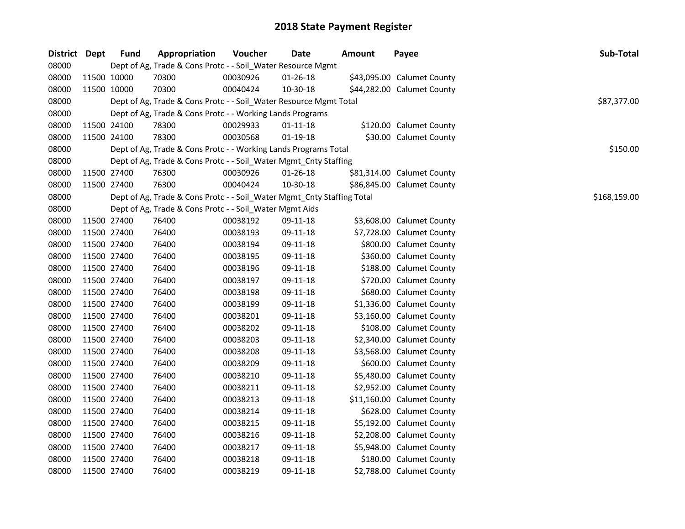| District Dept |             | <b>Fund</b> | Appropriation                                                          | Voucher  | <b>Date</b>    | <b>Amount</b> | Payee                      | Sub-Total    |
|---------------|-------------|-------------|------------------------------------------------------------------------|----------|----------------|---------------|----------------------------|--------------|
| 08000         |             |             | Dept of Ag, Trade & Cons Protc - - Soil_Water Resource Mgmt            |          |                |               |                            |              |
| 08000         |             | 11500 10000 | 70300                                                                  | 00030926 | 01-26-18       |               | \$43,095.00 Calumet County |              |
| 08000         |             | 11500 10000 | 70300                                                                  | 00040424 | 10-30-18       |               | \$44,282.00 Calumet County |              |
| 08000         |             |             | Dept of Ag, Trade & Cons Protc - - Soil_Water Resource Mgmt Total      |          |                |               |                            | \$87,377.00  |
| 08000         |             |             | Dept of Ag, Trade & Cons Protc - - Working Lands Programs              |          |                |               |                            |              |
| 08000         |             | 11500 24100 | 78300                                                                  | 00029933 | $01 - 11 - 18$ |               | \$120.00 Calumet County    |              |
| 08000         |             | 11500 24100 | 78300                                                                  | 00030568 | $01 - 19 - 18$ |               | \$30.00 Calumet County     |              |
| 08000         |             |             | Dept of Ag, Trade & Cons Protc - - Working Lands Programs Total        |          |                |               |                            | \$150.00     |
| 08000         |             |             | Dept of Ag, Trade & Cons Protc - - Soil_Water Mgmt_Cnty Staffing       |          |                |               |                            |              |
| 08000         |             | 11500 27400 | 76300                                                                  | 00030926 | $01 - 26 - 18$ |               | \$81,314.00 Calumet County |              |
| 08000         |             | 11500 27400 | 76300                                                                  | 00040424 | 10-30-18       |               | \$86,845.00 Calumet County |              |
| 08000         |             |             | Dept of Ag, Trade & Cons Protc - - Soil_Water Mgmt_Cnty Staffing Total |          |                |               |                            | \$168,159.00 |
| 08000         |             |             | Dept of Ag, Trade & Cons Protc - - Soil_Water Mgmt Aids                |          |                |               |                            |              |
| 08000         |             | 11500 27400 | 76400                                                                  | 00038192 | 09-11-18       |               | \$3,608.00 Calumet County  |              |
| 08000         |             | 11500 27400 | 76400                                                                  | 00038193 | 09-11-18       |               | \$7,728.00 Calumet County  |              |
| 08000         |             | 11500 27400 | 76400                                                                  | 00038194 | 09-11-18       |               | \$800.00 Calumet County    |              |
| 08000         |             | 11500 27400 | 76400                                                                  | 00038195 | 09-11-18       |               | \$360.00 Calumet County    |              |
| 08000         |             | 11500 27400 | 76400                                                                  | 00038196 | 09-11-18       |               | \$188.00 Calumet County    |              |
| 08000         |             | 11500 27400 | 76400                                                                  | 00038197 | 09-11-18       |               | \$720.00 Calumet County    |              |
| 08000         |             | 11500 27400 | 76400                                                                  | 00038198 | 09-11-18       |               | \$680.00 Calumet County    |              |
| 08000         |             | 11500 27400 | 76400                                                                  | 00038199 | 09-11-18       |               | \$1,336.00 Calumet County  |              |
| 08000         |             | 11500 27400 | 76400                                                                  | 00038201 | 09-11-18       |               | \$3,160.00 Calumet County  |              |
| 08000         |             | 11500 27400 | 76400                                                                  | 00038202 | 09-11-18       |               | \$108.00 Calumet County    |              |
| 08000         |             | 11500 27400 | 76400                                                                  | 00038203 | 09-11-18       |               | \$2,340.00 Calumet County  |              |
| 08000         |             | 11500 27400 | 76400                                                                  | 00038208 | 09-11-18       |               | \$3,568.00 Calumet County  |              |
| 08000         |             | 11500 27400 | 76400                                                                  | 00038209 | 09-11-18       |               | \$600.00 Calumet County    |              |
| 08000         |             | 11500 27400 | 76400                                                                  | 00038210 | 09-11-18       |               | \$5,480.00 Calumet County  |              |
| 08000         |             | 11500 27400 | 76400                                                                  | 00038211 | 09-11-18       |               | \$2,952.00 Calumet County  |              |
| 08000         |             | 11500 27400 | 76400                                                                  | 00038213 | 09-11-18       |               | \$11,160.00 Calumet County |              |
| 08000         |             | 11500 27400 | 76400                                                                  | 00038214 | 09-11-18       |               | \$628.00 Calumet County    |              |
| 08000         |             | 11500 27400 | 76400                                                                  | 00038215 | 09-11-18       |               | \$5,192.00 Calumet County  |              |
| 08000         |             | 11500 27400 | 76400                                                                  | 00038216 | 09-11-18       |               | \$2,208.00 Calumet County  |              |
| 08000         |             | 11500 27400 | 76400                                                                  | 00038217 | 09-11-18       |               | \$5,948.00 Calumet County  |              |
| 08000         |             | 11500 27400 | 76400                                                                  | 00038218 | 09-11-18       |               | \$180.00 Calumet County    |              |
| 08000         | 11500 27400 |             | 76400                                                                  | 00038219 | 09-11-18       |               | \$2,788.00 Calumet County  |              |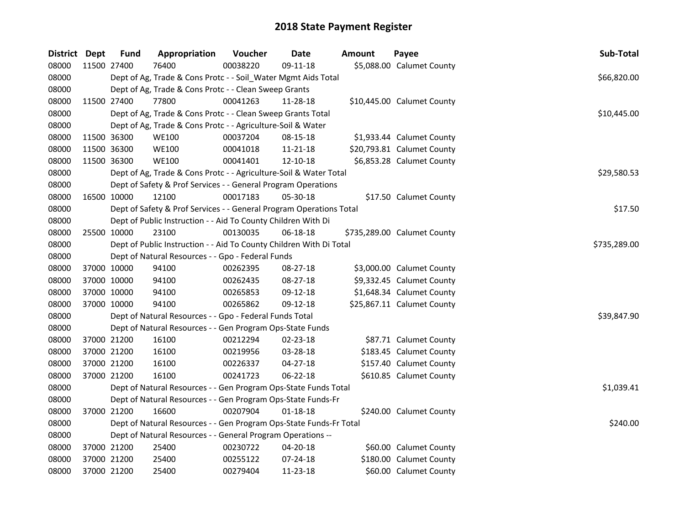| District Dept |             | <b>Fund</b> | Appropriation                                                       | Voucher  | Date           | Amount | Payee                       | Sub-Total    |
|---------------|-------------|-------------|---------------------------------------------------------------------|----------|----------------|--------|-----------------------------|--------------|
| 08000         | 11500 27400 |             | 76400                                                               | 00038220 | 09-11-18       |        | \$5,088.00 Calumet County   |              |
| 08000         |             |             | Dept of Ag, Trade & Cons Protc - - Soil_Water Mgmt Aids Total       |          |                |        |                             | \$66,820.00  |
| 08000         |             |             | Dept of Ag, Trade & Cons Protc - - Clean Sweep Grants               |          |                |        |                             |              |
| 08000         | 11500 27400 |             | 77800                                                               | 00041263 | 11-28-18       |        | \$10,445.00 Calumet County  |              |
| 08000         |             |             | Dept of Ag, Trade & Cons Protc - - Clean Sweep Grants Total         |          |                |        |                             | \$10,445.00  |
| 08000         |             |             | Dept of Ag, Trade & Cons Protc - - Agriculture-Soil & Water         |          |                |        |                             |              |
| 08000         | 11500 36300 |             | <b>WE100</b>                                                        | 00037204 | 08-15-18       |        | \$1,933.44 Calumet County   |              |
| 08000         | 11500 36300 |             | <b>WE100</b>                                                        | 00041018 | 11-21-18       |        | \$20,793.81 Calumet County  |              |
| 08000         |             | 11500 36300 | <b>WE100</b>                                                        | 00041401 | 12-10-18       |        | \$6,853.28 Calumet County   |              |
| 08000         |             |             | Dept of Ag, Trade & Cons Protc - - Agriculture-Soil & Water Total   |          |                |        |                             | \$29,580.53  |
| 08000         |             |             | Dept of Safety & Prof Services - - General Program Operations       |          |                |        |                             |              |
| 08000         | 16500 10000 |             | 12100                                                               | 00017183 | 05-30-18       |        | \$17.50 Calumet County      |              |
| 08000         |             |             | Dept of Safety & Prof Services - - General Program Operations Total |          |                |        |                             | \$17.50      |
| 08000         |             |             | Dept of Public Instruction - - Aid To County Children With Di       |          |                |        |                             |              |
| 08000         | 25500 10000 |             | 23100                                                               | 00130035 | 06-18-18       |        | \$735,289.00 Calumet County |              |
| 08000         |             |             | Dept of Public Instruction - - Aid To County Children With Di Total |          |                |        |                             | \$735,289.00 |
| 08000         |             |             | Dept of Natural Resources - - Gpo - Federal Funds                   |          |                |        |                             |              |
| 08000         | 37000 10000 |             | 94100                                                               | 00262395 | 08-27-18       |        | \$3,000.00 Calumet County   |              |
| 08000         | 37000 10000 |             | 94100                                                               | 00262435 | 08-27-18       |        | \$9,332.45 Calumet County   |              |
| 08000         | 37000 10000 |             | 94100                                                               | 00265853 | 09-12-18       |        | \$1,648.34 Calumet County   |              |
| 08000         | 37000 10000 |             | 94100                                                               | 00265862 | 09-12-18       |        | \$25,867.11 Calumet County  |              |
| 08000         |             |             | Dept of Natural Resources - - Gpo - Federal Funds Total             |          |                |        |                             | \$39,847.90  |
| 08000         |             |             | Dept of Natural Resources - - Gen Program Ops-State Funds           |          |                |        |                             |              |
| 08000         |             | 37000 21200 | 16100                                                               | 00212294 | 02-23-18       |        | \$87.71 Calumet County      |              |
| 08000         | 37000 21200 |             | 16100                                                               | 00219956 | 03-28-18       |        | \$183.45 Calumet County     |              |
| 08000         | 37000 21200 |             | 16100                                                               | 00226337 | $04 - 27 - 18$ |        | \$157.40 Calumet County     |              |
| 08000         | 37000 21200 |             | 16100                                                               | 00241723 | 06-22-18       |        | \$610.85 Calumet County     |              |
| 08000         |             |             | Dept of Natural Resources - - Gen Program Ops-State Funds Total     |          |                |        |                             | \$1,039.41   |
| 08000         |             |             | Dept of Natural Resources - - Gen Program Ops-State Funds-Fr        |          |                |        |                             |              |
| 08000         | 37000 21200 |             | 16600                                                               | 00207904 | 01-18-18       |        | \$240.00 Calumet County     |              |
| 08000         |             |             | Dept of Natural Resources - - Gen Program Ops-State Funds-Fr Total  |          |                |        |                             | \$240.00     |
| 08000         |             |             | Dept of Natural Resources - - General Program Operations --         |          |                |        |                             |              |
| 08000         |             | 37000 21200 | 25400                                                               | 00230722 | 04-20-18       |        | \$60.00 Calumet County      |              |
| 08000         |             | 37000 21200 | 25400                                                               | 00255122 | 07-24-18       |        | \$180.00 Calumet County     |              |
| 08000         | 37000 21200 |             | 25400                                                               | 00279404 | 11-23-18       |        | \$60.00 Calumet County      |              |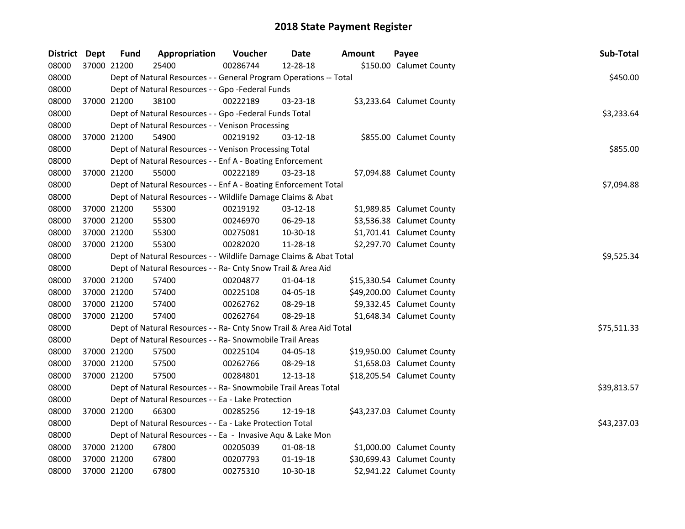| <b>District Dept</b> |             | <b>Fund</b> | Appropriation                                                      | Voucher  | Date           | Amount | Payee                      | Sub-Total   |
|----------------------|-------------|-------------|--------------------------------------------------------------------|----------|----------------|--------|----------------------------|-------------|
| 08000                | 37000 21200 |             | 25400                                                              | 00286744 | 12-28-18       |        | \$150.00 Calumet County    |             |
| 08000                |             |             | Dept of Natural Resources - - General Program Operations -- Total  |          |                |        |                            | \$450.00    |
| 08000                |             |             | Dept of Natural Resources - - Gpo -Federal Funds                   |          |                |        |                            |             |
| 08000                |             | 37000 21200 | 38100                                                              | 00222189 | $03 - 23 - 18$ |        | \$3,233.64 Calumet County  |             |
| 08000                |             |             | Dept of Natural Resources - - Gpo -Federal Funds Total             |          |                |        |                            | \$3,233.64  |
| 08000                |             |             | Dept of Natural Resources - - Venison Processing                   |          |                |        |                            |             |
| 08000                |             | 37000 21200 | 54900                                                              | 00219192 | $03-12-18$     |        | \$855.00 Calumet County    |             |
| 08000                |             |             | Dept of Natural Resources - - Venison Processing Total             |          |                |        |                            | \$855.00    |
| 08000                |             |             | Dept of Natural Resources - - Enf A - Boating Enforcement          |          |                |        |                            |             |
| 08000                |             | 37000 21200 | 55000                                                              | 00222189 | 03-23-18       |        | \$7,094.88 Calumet County  |             |
| 08000                |             |             | Dept of Natural Resources - - Enf A - Boating Enforcement Total    |          |                |        |                            | \$7,094.88  |
| 08000                |             |             | Dept of Natural Resources - - Wildlife Damage Claims & Abat        |          |                |        |                            |             |
| 08000                | 37000 21200 |             | 55300                                                              | 00219192 | 03-12-18       |        | \$1,989.85 Calumet County  |             |
| 08000                | 37000 21200 |             | 55300                                                              | 00246970 | 06-29-18       |        | \$3,536.38 Calumet County  |             |
| 08000                |             | 37000 21200 | 55300                                                              | 00275081 | 10-30-18       |        | \$1,701.41 Calumet County  |             |
| 08000                |             | 37000 21200 | 55300                                                              | 00282020 | 11-28-18       |        | \$2,297.70 Calumet County  |             |
| 08000                |             |             | Dept of Natural Resources - - Wildlife Damage Claims & Abat Total  |          |                |        |                            | \$9,525.34  |
| 08000                |             |             | Dept of Natural Resources - - Ra- Cnty Snow Trail & Area Aid       |          |                |        |                            |             |
| 08000                | 37000 21200 |             | 57400                                                              | 00204877 | 01-04-18       |        | \$15,330.54 Calumet County |             |
| 08000                | 37000 21200 |             | 57400                                                              | 00225108 | 04-05-18       |        | \$49,200.00 Calumet County |             |
| 08000                | 37000 21200 |             | 57400                                                              | 00262762 | 08-29-18       |        | \$9,332.45 Calumet County  |             |
| 08000                | 37000 21200 |             | 57400                                                              | 00262764 | 08-29-18       |        | \$1,648.34 Calumet County  |             |
| 08000                |             |             | Dept of Natural Resources - - Ra- Cnty Snow Trail & Area Aid Total |          |                |        |                            | \$75,511.33 |
| 08000                |             |             | Dept of Natural Resources - - Ra- Snowmobile Trail Areas           |          |                |        |                            |             |
| 08000                | 37000 21200 |             | 57500                                                              | 00225104 | 04-05-18       |        | \$19,950.00 Calumet County |             |
| 08000                | 37000 21200 |             | 57500                                                              | 00262766 | 08-29-18       |        | \$1,658.03 Calumet County  |             |
| 08000                | 37000 21200 |             | 57500                                                              | 00284801 | 12-13-18       |        | \$18,205.54 Calumet County |             |
| 08000                |             |             | Dept of Natural Resources - - Ra- Snowmobile Trail Areas Total     |          |                |        |                            | \$39,813.57 |
| 08000                |             |             | Dept of Natural Resources - - Ea - Lake Protection                 |          |                |        |                            |             |
| 08000                | 37000 21200 |             | 66300                                                              | 00285256 | 12-19-18       |        | \$43,237.03 Calumet County |             |
| 08000                |             |             | Dept of Natural Resources - - Ea - Lake Protection Total           |          |                |        |                            | \$43,237.03 |
| 08000                |             |             | Dept of Natural Resources - - Ea - Invasive Aqu & Lake Mon         |          |                |        |                            |             |
| 08000                | 37000 21200 |             | 67800                                                              | 00205039 | 01-08-18       |        | \$1,000.00 Calumet County  |             |
| 08000                |             | 37000 21200 | 67800                                                              | 00207793 | $01 - 19 - 18$ |        | \$30,699.43 Calumet County |             |
| 08000                | 37000 21200 |             | 67800                                                              | 00275310 | 10-30-18       |        | \$2,941.22 Calumet County  |             |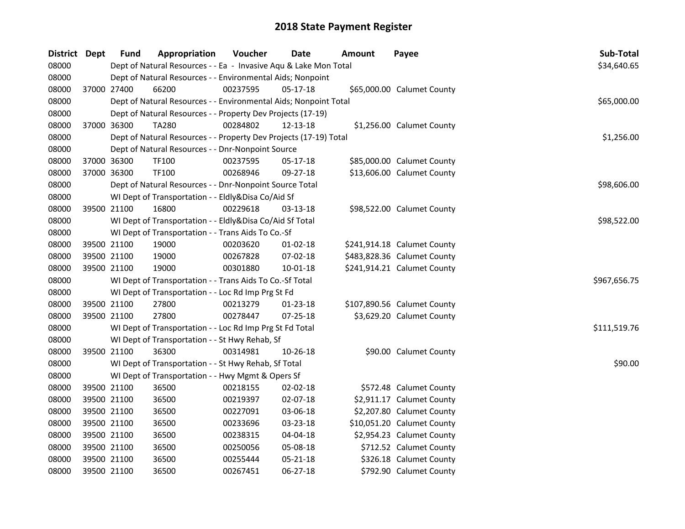| District Dept |             | Fund        | Appropriation                                                     | Voucher  | <b>Date</b>    | Amount | Payee                       | Sub-Total    |
|---------------|-------------|-------------|-------------------------------------------------------------------|----------|----------------|--------|-----------------------------|--------------|
| 08000         |             |             | Dept of Natural Resources - - Ea - Invasive Aqu & Lake Mon Total  |          |                |        |                             | \$34,640.65  |
| 08000         |             |             | Dept of Natural Resources - - Environmental Aids; Nonpoint        |          |                |        |                             |              |
| 08000         |             | 37000 27400 | 66200                                                             | 00237595 | 05-17-18       |        | \$65,000.00 Calumet County  |              |
| 08000         |             |             | Dept of Natural Resources - - Environmental Aids; Nonpoint Total  |          |                |        |                             | \$65,000.00  |
| 08000         |             |             | Dept of Natural Resources - - Property Dev Projects (17-19)       |          |                |        |                             |              |
| 08000         |             | 37000 36300 | TA280                                                             | 00284802 | 12-13-18       |        | \$1,256.00 Calumet County   |              |
| 08000         |             |             | Dept of Natural Resources - - Property Dev Projects (17-19) Total |          |                |        |                             | \$1,256.00   |
| 08000         |             |             | Dept of Natural Resources - - Dnr-Nonpoint Source                 |          |                |        |                             |              |
| 08000         | 37000 36300 |             | TF100                                                             | 00237595 | 05-17-18       |        | \$85,000.00 Calumet County  |              |
| 08000         |             | 37000 36300 | TF100                                                             | 00268946 | 09-27-18       |        | \$13,606.00 Calumet County  |              |
| 08000         |             |             | Dept of Natural Resources - - Dnr-Nonpoint Source Total           |          |                |        |                             | \$98,606.00  |
| 08000         |             |             | WI Dept of Transportation - - Eldly&Disa Co/Aid Sf                |          |                |        |                             |              |
| 08000         |             | 39500 21100 | 16800                                                             | 00229618 | 03-13-18       |        | \$98,522.00 Calumet County  |              |
| 08000         |             |             | WI Dept of Transportation - - Eldly&Disa Co/Aid Sf Total          |          |                |        |                             | \$98,522.00  |
| 08000         |             |             | WI Dept of Transportation - - Trans Aids To Co.-Sf                |          |                |        |                             |              |
| 08000         |             | 39500 21100 | 19000                                                             | 00203620 | $01-02-18$     |        | \$241,914.18 Calumet County |              |
| 08000         |             | 39500 21100 | 19000                                                             | 00267828 | 07-02-18       |        | \$483,828.36 Calumet County |              |
| 08000         |             | 39500 21100 | 19000                                                             | 00301880 | $10 - 01 - 18$ |        | \$241,914.21 Calumet County |              |
| 08000         |             |             | WI Dept of Transportation - - Trans Aids To Co.-Sf Total          |          |                |        |                             | \$967,656.75 |
| 08000         |             |             | WI Dept of Transportation - - Loc Rd Imp Prg St Fd                |          |                |        |                             |              |
| 08000         |             | 39500 21100 | 27800                                                             | 00213279 | $01 - 23 - 18$ |        | \$107,890.56 Calumet County |              |
| 08000         |             | 39500 21100 | 27800                                                             | 00278447 | $07 - 25 - 18$ |        | \$3,629.20 Calumet County   |              |
| 08000         |             |             | WI Dept of Transportation - - Loc Rd Imp Prg St Fd Total          |          |                |        |                             | \$111,519.76 |
| 08000         |             |             | WI Dept of Transportation - - St Hwy Rehab, Sf                    |          |                |        |                             |              |
| 08000         | 39500 21100 |             | 36300                                                             | 00314981 | 10-26-18       |        | \$90.00 Calumet County      |              |
| 08000         |             |             | WI Dept of Transportation - - St Hwy Rehab, Sf Total              |          |                |        |                             | \$90.00      |
| 08000         |             |             | WI Dept of Transportation - - Hwy Mgmt & Opers Sf                 |          |                |        |                             |              |
| 08000         |             | 39500 21100 | 36500                                                             | 00218155 | 02-02-18       |        | \$572.48 Calumet County     |              |
| 08000         | 39500 21100 |             | 36500                                                             | 00219397 | 02-07-18       |        | \$2,911.17 Calumet County   |              |
| 08000         | 39500 21100 |             | 36500                                                             | 00227091 | 03-06-18       |        | \$2,207.80 Calumet County   |              |
| 08000         |             | 39500 21100 | 36500                                                             | 00233696 | 03-23-18       |        | \$10,051.20 Calumet County  |              |
| 08000         |             | 39500 21100 | 36500                                                             | 00238315 | 04-04-18       |        | \$2,954.23 Calumet County   |              |
| 08000         | 39500 21100 |             | 36500                                                             | 00250056 | 05-08-18       |        | \$712.52 Calumet County     |              |
| 08000         |             | 39500 21100 | 36500                                                             | 00255444 | 05-21-18       |        | \$326.18 Calumet County     |              |
| 08000         |             | 39500 21100 | 36500                                                             | 00267451 | 06-27-18       |        | \$792.90 Calumet County     |              |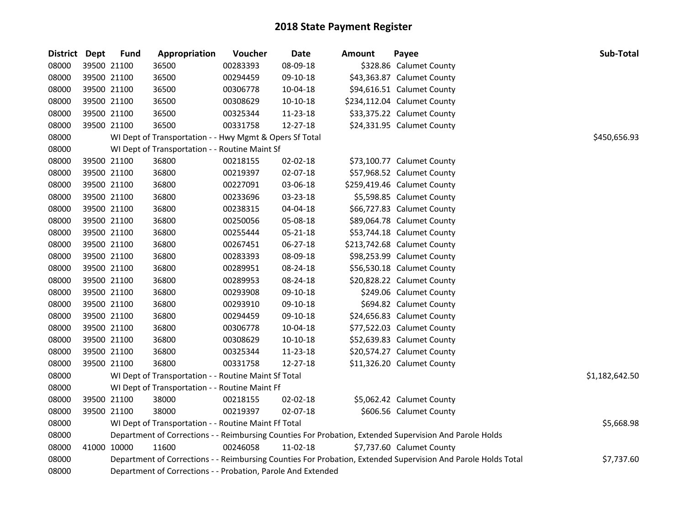| <b>District</b> | <b>Dept</b> | <b>Fund</b> | Appropriation                                                | Voucher  | <b>Date</b> | Amount | Payee                                                                                                         | Sub-Total      |
|-----------------|-------------|-------------|--------------------------------------------------------------|----------|-------------|--------|---------------------------------------------------------------------------------------------------------------|----------------|
| 08000           |             | 39500 21100 | 36500                                                        | 00283393 | 08-09-18    |        | \$328.86 Calumet County                                                                                       |                |
| 08000           |             | 39500 21100 | 36500                                                        | 00294459 | 09-10-18    |        | \$43,363.87 Calumet County                                                                                    |                |
| 08000           | 39500 21100 |             | 36500                                                        | 00306778 | 10-04-18    |        | \$94,616.51 Calumet County                                                                                    |                |
| 08000           | 39500 21100 |             | 36500                                                        | 00308629 | 10-10-18    |        | \$234,112.04 Calumet County                                                                                   |                |
| 08000           | 39500 21100 |             | 36500                                                        | 00325344 | 11-23-18    |        | \$33,375.22 Calumet County                                                                                    |                |
| 08000           |             | 39500 21100 | 36500                                                        | 00331758 | 12-27-18    |        | \$24,331.95 Calumet County                                                                                    |                |
| 08000           |             |             | WI Dept of Transportation - - Hwy Mgmt & Opers Sf Total      |          |             |        |                                                                                                               | \$450,656.93   |
| 08000           |             |             | WI Dept of Transportation - - Routine Maint Sf               |          |             |        |                                                                                                               |                |
| 08000           | 39500 21100 |             | 36800                                                        | 00218155 | 02-02-18    |        | \$73,100.77 Calumet County                                                                                    |                |
| 08000           | 39500 21100 |             | 36800                                                        | 00219397 | 02-07-18    |        | \$57,968.52 Calumet County                                                                                    |                |
| 08000           |             | 39500 21100 | 36800                                                        | 00227091 | 03-06-18    |        | \$259,419.46 Calumet County                                                                                   |                |
| 08000           | 39500 21100 |             | 36800                                                        | 00233696 | 03-23-18    |        | \$5,598.85 Calumet County                                                                                     |                |
| 08000           | 39500 21100 |             | 36800                                                        | 00238315 | 04-04-18    |        | \$66,727.83 Calumet County                                                                                    |                |
| 08000           | 39500 21100 |             | 36800                                                        | 00250056 | 05-08-18    |        | \$89,064.78 Calumet County                                                                                    |                |
| 08000           | 39500 21100 |             | 36800                                                        | 00255444 | 05-21-18    |        | \$53,744.18 Calumet County                                                                                    |                |
| 08000           | 39500 21100 |             | 36800                                                        | 00267451 | 06-27-18    |        | \$213,742.68 Calumet County                                                                                   |                |
| 08000           | 39500 21100 |             | 36800                                                        | 00283393 | 08-09-18    |        | \$98,253.99 Calumet County                                                                                    |                |
| 08000           | 39500 21100 |             | 36800                                                        | 00289951 | 08-24-18    |        | \$56,530.18 Calumet County                                                                                    |                |
| 08000           | 39500 21100 |             | 36800                                                        | 00289953 | 08-24-18    |        | \$20,828.22 Calumet County                                                                                    |                |
| 08000           | 39500 21100 |             | 36800                                                        | 00293908 | 09-10-18    |        | \$249.06 Calumet County                                                                                       |                |
| 08000           | 39500 21100 |             | 36800                                                        | 00293910 | 09-10-18    |        | \$694.82 Calumet County                                                                                       |                |
| 08000           |             | 39500 21100 | 36800                                                        | 00294459 | 09-10-18    |        | \$24,656.83 Calumet County                                                                                    |                |
| 08000           | 39500 21100 |             | 36800                                                        | 00306778 | 10-04-18    |        | \$77,522.03 Calumet County                                                                                    |                |
| 08000           | 39500 21100 |             | 36800                                                        | 00308629 | 10-10-18    |        | \$52,639.83 Calumet County                                                                                    |                |
| 08000           | 39500 21100 |             | 36800                                                        | 00325344 | 11-23-18    |        | \$20,574.27 Calumet County                                                                                    |                |
| 08000           |             | 39500 21100 | 36800                                                        | 00331758 | 12-27-18    |        | \$11,326.20 Calumet County                                                                                    |                |
| 08000           |             |             | WI Dept of Transportation - - Routine Maint Sf Total         |          |             |        |                                                                                                               | \$1,182,642.50 |
| 08000           |             |             | WI Dept of Transportation - - Routine Maint Ff               |          |             |        |                                                                                                               |                |
| 08000           |             | 39500 21100 | 38000                                                        | 00218155 | 02-02-18    |        | \$5,062.42 Calumet County                                                                                     |                |
| 08000           |             | 39500 21100 | 38000                                                        | 00219397 | 02-07-18    |        | \$606.56 Calumet County                                                                                       |                |
| 08000           |             |             | WI Dept of Transportation - - Routine Maint Ff Total         |          |             |        |                                                                                                               | \$5,668.98     |
| 08000           |             |             |                                                              |          |             |        | Department of Corrections - - Reimbursing Counties For Probation, Extended Supervision And Parole Holds       |                |
| 08000           | 41000 10000 |             | 11600                                                        | 00246058 | 11-02-18    |        | \$7,737.60 Calumet County                                                                                     |                |
| 08000           |             |             |                                                              |          |             |        | Department of Corrections - - Reimbursing Counties For Probation, Extended Supervision And Parole Holds Total | \$7,737.60     |
| 08000           |             |             | Department of Corrections - - Probation, Parole And Extended |          |             |        |                                                                                                               |                |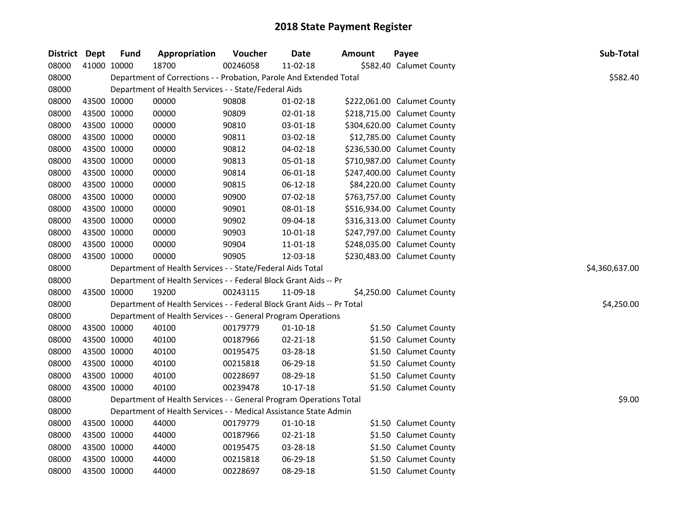| District Dept |             | <b>Fund</b> | Appropriation                                                          | Voucher  | <b>Date</b>    | <b>Amount</b> | Payee                       | Sub-Total      |
|---------------|-------------|-------------|------------------------------------------------------------------------|----------|----------------|---------------|-----------------------------|----------------|
| 08000         | 41000 10000 |             | 18700                                                                  | 00246058 | 11-02-18       |               | \$582.40 Calumet County     |                |
| 08000         |             |             | Department of Corrections - - Probation, Parole And Extended Total     |          |                |               |                             | \$582.40       |
| 08000         |             |             | Department of Health Services - - State/Federal Aids                   |          |                |               |                             |                |
| 08000         | 43500 10000 |             | 00000                                                                  | 90808    | $01-02-18$     |               | \$222,061.00 Calumet County |                |
| 08000         | 43500 10000 |             | 00000                                                                  | 90809    | 02-01-18       |               | \$218,715.00 Calumet County |                |
| 08000         | 43500 10000 |             | 00000                                                                  | 90810    | 03-01-18       |               | \$304,620.00 Calumet County |                |
| 08000         | 43500 10000 |             | 00000                                                                  | 90811    | 03-02-18       |               | \$12,785.00 Calumet County  |                |
| 08000         | 43500 10000 |             | 00000                                                                  | 90812    | $04 - 02 - 18$ |               | \$236,530.00 Calumet County |                |
| 08000         | 43500 10000 |             | 00000                                                                  | 90813    | 05-01-18       |               | \$710,987.00 Calumet County |                |
| 08000         | 43500 10000 |             | 00000                                                                  | 90814    | 06-01-18       |               | \$247,400.00 Calumet County |                |
| 08000         | 43500 10000 |             | 00000                                                                  | 90815    | 06-12-18       |               | \$84,220.00 Calumet County  |                |
| 08000         | 43500 10000 |             | 00000                                                                  | 90900    | 07-02-18       |               | \$763,757.00 Calumet County |                |
| 08000         | 43500 10000 |             | 00000                                                                  | 90901    | 08-01-18       |               | \$516,934.00 Calumet County |                |
| 08000         | 43500 10000 |             | 00000                                                                  | 90902    | 09-04-18       |               | \$316,313.00 Calumet County |                |
| 08000         | 43500 10000 |             | 00000                                                                  | 90903    | $10 - 01 - 18$ |               | \$247,797.00 Calumet County |                |
| 08000         | 43500 10000 |             | 00000                                                                  | 90904    | 11-01-18       |               | \$248,035.00 Calumet County |                |
| 08000         | 43500 10000 |             | 00000                                                                  | 90905    | 12-03-18       |               | \$230,483.00 Calumet County |                |
| 08000         |             |             | Department of Health Services - - State/Federal Aids Total             |          |                |               |                             | \$4,360,637.00 |
| 08000         |             |             | Department of Health Services - - Federal Block Grant Aids -- Pr       |          |                |               |                             |                |
| 08000         |             | 43500 10000 | 19200                                                                  | 00243115 | 11-09-18       |               | \$4,250.00 Calumet County   |                |
| 08000         |             |             | Department of Health Services - - Federal Block Grant Aids -- Pr Total |          |                |               |                             | \$4,250.00     |
| 08000         |             |             | Department of Health Services - - General Program Operations           |          |                |               |                             |                |
| 08000         | 43500 10000 |             | 40100                                                                  | 00179779 | $01 - 10 - 18$ |               | \$1.50 Calumet County       |                |
| 08000         |             | 43500 10000 | 40100                                                                  | 00187966 | 02-21-18       |               | \$1.50 Calumet County       |                |
| 08000         | 43500 10000 |             | 40100                                                                  | 00195475 | 03-28-18       |               | \$1.50 Calumet County       |                |
| 08000         | 43500 10000 |             | 40100                                                                  | 00215818 | 06-29-18       |               | \$1.50 Calumet County       |                |
| 08000         | 43500 10000 |             | 40100                                                                  | 00228697 | 08-29-18       |               | \$1.50 Calumet County       |                |
| 08000         | 43500 10000 |             | 40100                                                                  | 00239478 | $10-17-18$     |               | \$1.50 Calumet County       |                |
| 08000         |             |             | Department of Health Services - - General Program Operations Total     |          |                |               |                             | \$9.00         |
| 08000         |             |             | Department of Health Services - - Medical Assistance State Admin       |          |                |               |                             |                |
| 08000         | 43500 10000 |             | 44000                                                                  | 00179779 | $01 - 10 - 18$ |               | \$1.50 Calumet County       |                |
| 08000         | 43500 10000 |             | 44000                                                                  | 00187966 | 02-21-18       |               | \$1.50 Calumet County       |                |
| 08000         | 43500 10000 |             | 44000                                                                  | 00195475 | 03-28-18       |               | \$1.50 Calumet County       |                |
| 08000         | 43500 10000 |             | 44000                                                                  | 00215818 | 06-29-18       |               | \$1.50 Calumet County       |                |
| 08000         | 43500 10000 |             | 44000                                                                  | 00228697 | 08-29-18       |               | \$1.50 Calumet County       |                |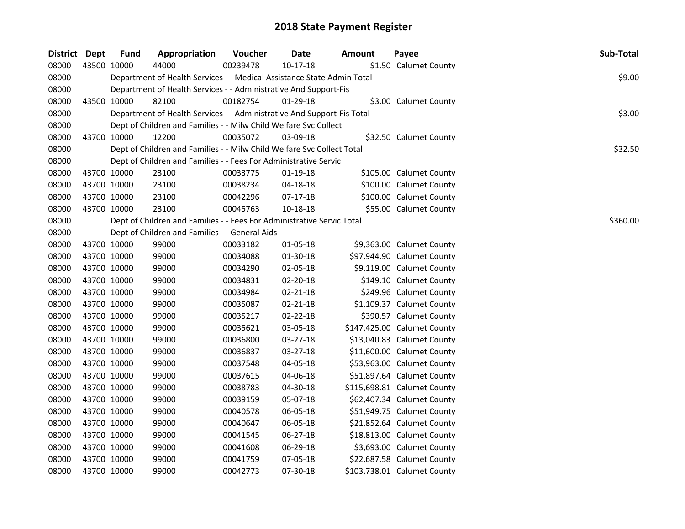| District Dept |             | <b>Fund</b> | Appropriation                                                          | Voucher  | <b>Date</b>    | Amount | Payee                       | Sub-Total |
|---------------|-------------|-------------|------------------------------------------------------------------------|----------|----------------|--------|-----------------------------|-----------|
| 08000         |             | 43500 10000 | 44000                                                                  | 00239478 | 10-17-18       |        | \$1.50 Calumet County       |           |
| 08000         |             |             | Department of Health Services - - Medical Assistance State Admin Total |          |                |        |                             | \$9.00    |
| 08000         |             |             | Department of Health Services - - Administrative And Support-Fis       |          |                |        |                             |           |
| 08000         |             | 43500 10000 | 82100                                                                  | 00182754 | $01-29-18$     |        | \$3.00 Calumet County       |           |
| 08000         |             |             | Department of Health Services - - Administrative And Support-Fis Total |          |                |        |                             | \$3.00    |
| 08000         |             |             | Dept of Children and Families - - Milw Child Welfare Svc Collect       |          |                |        |                             |           |
| 08000         |             | 43700 10000 | 12200                                                                  | 00035072 | 03-09-18       |        | \$32.50 Calumet County      |           |
| 08000         |             |             | Dept of Children and Families - - Milw Child Welfare Svc Collect Total |          |                |        |                             | \$32.50   |
| 08000         |             |             | Dept of Children and Families - - Fees For Administrative Servic       |          |                |        |                             |           |
| 08000         |             | 43700 10000 | 23100                                                                  | 00033775 | $01-19-18$     |        | \$105.00 Calumet County     |           |
| 08000         |             | 43700 10000 | 23100                                                                  | 00038234 | 04-18-18       |        | \$100.00 Calumet County     |           |
| 08000         | 43700 10000 |             | 23100                                                                  | 00042296 | 07-17-18       |        | \$100.00 Calumet County     |           |
| 08000         | 43700 10000 |             | 23100                                                                  | 00045763 | 10-18-18       |        | \$55.00 Calumet County      |           |
| 08000         |             |             | Dept of Children and Families - - Fees For Administrative Servic Total |          |                |        |                             | \$360.00  |
| 08000         |             |             | Dept of Children and Families - - General Aids                         |          |                |        |                             |           |
| 08000         |             | 43700 10000 | 99000                                                                  | 00033182 | 01-05-18       |        | \$9,363.00 Calumet County   |           |
| 08000         |             | 43700 10000 | 99000                                                                  | 00034088 | 01-30-18       |        | \$97,944.90 Calumet County  |           |
| 08000         |             | 43700 10000 | 99000                                                                  | 00034290 | 02-05-18       |        | \$9,119.00 Calumet County   |           |
| 08000         |             | 43700 10000 | 99000                                                                  | 00034831 | 02-20-18       |        | \$149.10 Calumet County     |           |
| 08000         |             | 43700 10000 | 99000                                                                  | 00034984 | 02-21-18       |        | \$249.96 Calumet County     |           |
| 08000         |             | 43700 10000 | 99000                                                                  | 00035087 | 02-21-18       |        | \$1,109.37 Calumet County   |           |
| 08000         | 43700 10000 |             | 99000                                                                  | 00035217 | $02 - 22 - 18$ |        | \$390.57 Calumet County     |           |
| 08000         | 43700 10000 |             | 99000                                                                  | 00035621 | 03-05-18       |        | \$147,425.00 Calumet County |           |
| 08000         |             | 43700 10000 | 99000                                                                  | 00036800 | 03-27-18       |        | \$13,040.83 Calumet County  |           |
| 08000         |             | 43700 10000 | 99000                                                                  | 00036837 | 03-27-18       |        | \$11,600.00 Calumet County  |           |
| 08000         |             | 43700 10000 | 99000                                                                  | 00037548 | 04-05-18       |        | \$53,963.00 Calumet County  |           |
| 08000         |             | 43700 10000 | 99000                                                                  | 00037615 | 04-06-18       |        | \$51,897.64 Calumet County  |           |
| 08000         |             | 43700 10000 | 99000                                                                  | 00038783 | 04-30-18       |        | \$115,698.81 Calumet County |           |
| 08000         |             | 43700 10000 | 99000                                                                  | 00039159 | 05-07-18       |        | \$62,407.34 Calumet County  |           |
| 08000         |             | 43700 10000 | 99000                                                                  | 00040578 | 06-05-18       |        | \$51,949.75 Calumet County  |           |
| 08000         |             | 43700 10000 | 99000                                                                  | 00040647 | 06-05-18       |        | \$21,852.64 Calumet County  |           |
| 08000         |             | 43700 10000 | 99000                                                                  | 00041545 | 06-27-18       |        | \$18,813.00 Calumet County  |           |
| 08000         | 43700 10000 |             | 99000                                                                  | 00041608 | 06-29-18       |        | \$3,693.00 Calumet County   |           |
| 08000         |             | 43700 10000 | 99000                                                                  | 00041759 | 07-05-18       |        | \$22,687.58 Calumet County  |           |
| 08000         | 43700 10000 |             | 99000                                                                  | 00042773 | 07-30-18       |        | \$103,738.01 Calumet County |           |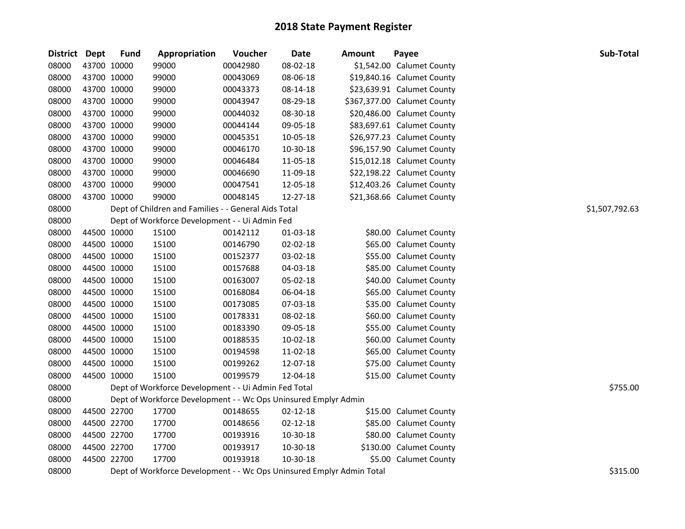| District Dept |             | <b>Fund</b> | Appropriation                                                         | Voucher  | <b>Date</b>    | <b>Amount</b> | Payee                       | Sub-Total      |
|---------------|-------------|-------------|-----------------------------------------------------------------------|----------|----------------|---------------|-----------------------------|----------------|
| 08000         | 43700 10000 |             | 99000                                                                 | 00042980 | 08-02-18       |               | \$1,542.00 Calumet County   |                |
| 08000         | 43700 10000 |             | 99000                                                                 | 00043069 | 08-06-18       |               | \$19,840.16 Calumet County  |                |
| 08000         | 43700 10000 |             | 99000                                                                 | 00043373 | 08-14-18       |               | \$23,639.91 Calumet County  |                |
| 08000         | 43700 10000 |             | 99000                                                                 | 00043947 | 08-29-18       |               | \$367,377.00 Calumet County |                |
| 08000         | 43700 10000 |             | 99000                                                                 | 00044032 | 08-30-18       |               | \$20,486.00 Calumet County  |                |
| 08000         | 43700 10000 |             | 99000                                                                 | 00044144 | 09-05-18       |               | \$83,697.61 Calumet County  |                |
| 08000         | 43700 10000 |             | 99000                                                                 | 00045351 | 10-05-18       |               | \$26,977.23 Calumet County  |                |
| 08000         | 43700 10000 |             | 99000                                                                 | 00046170 | 10-30-18       |               | \$96,157.90 Calumet County  |                |
| 08000         | 43700 10000 |             | 99000                                                                 | 00046484 | 11-05-18       |               | \$15,012.18 Calumet County  |                |
| 08000         | 43700 10000 |             | 99000                                                                 | 00046690 | 11-09-18       |               | \$22,198.22 Calumet County  |                |
| 08000         | 43700 10000 |             | 99000                                                                 | 00047541 | 12-05-18       |               | \$12,403.26 Calumet County  |                |
| 08000         | 43700 10000 |             | 99000                                                                 | 00048145 | 12-27-18       |               | \$21,368.66 Calumet County  |                |
| 08000         |             |             | Dept of Children and Families - - General Aids Total                  |          |                |               |                             | \$1,507,792.63 |
| 08000         |             |             | Dept of Workforce Development - - Ui Admin Fed                        |          |                |               |                             |                |
| 08000         | 44500 10000 |             | 15100                                                                 | 00142112 | 01-03-18       |               | \$80.00 Calumet County      |                |
| 08000         | 44500 10000 |             | 15100                                                                 | 00146790 | 02-02-18       |               | \$65.00 Calumet County      |                |
| 08000         | 44500 10000 |             | 15100                                                                 | 00152377 | 03-02-18       |               | \$55.00 Calumet County      |                |
| 08000         | 44500 10000 |             | 15100                                                                 | 00157688 | 04-03-18       |               | \$85.00 Calumet County      |                |
| 08000         | 44500 10000 |             | 15100                                                                 | 00163007 | 05-02-18       |               | \$40.00 Calumet County      |                |
| 08000         | 44500 10000 |             | 15100                                                                 | 00168084 | 06-04-18       |               | \$65.00 Calumet County      |                |
| 08000         | 44500 10000 |             | 15100                                                                 | 00173085 | 07-03-18       |               | \$35.00 Calumet County      |                |
| 08000         | 44500 10000 |             | 15100                                                                 | 00178331 | 08-02-18       |               | \$60.00 Calumet County      |                |
| 08000         | 44500 10000 |             | 15100                                                                 | 00183390 | 09-05-18       |               | \$55.00 Calumet County      |                |
| 08000         | 44500 10000 |             | 15100                                                                 | 00188535 | 10-02-18       |               | \$60.00 Calumet County      |                |
| 08000         | 44500 10000 |             | 15100                                                                 | 00194598 | 11-02-18       |               | \$65.00 Calumet County      |                |
| 08000         | 44500 10000 |             | 15100                                                                 | 00199262 | 12-07-18       |               | \$75.00 Calumet County      |                |
| 08000         | 44500 10000 |             | 15100                                                                 | 00199579 | 12-04-18       |               | \$15.00 Calumet County      |                |
| 08000         |             |             | Dept of Workforce Development - - Ui Admin Fed Total                  |          |                |               |                             | \$755.00       |
| 08000         |             |             | Dept of Workforce Development - - Wc Ops Uninsured Emplyr Admin       |          |                |               |                             |                |
| 08000         | 44500 22700 |             | 17700                                                                 | 00148655 | $02 - 12 - 18$ |               | \$15.00 Calumet County      |                |
| 08000         | 44500 22700 |             | 17700                                                                 | 00148656 | $02 - 12 - 18$ |               | \$85.00 Calumet County      |                |
| 08000         | 44500 22700 |             | 17700                                                                 | 00193916 | 10-30-18       |               | \$80.00 Calumet County      |                |
| 08000         | 44500 22700 |             | 17700                                                                 | 00193917 | 10-30-18       |               | \$130.00 Calumet County     |                |
| 08000         | 44500 22700 |             | 17700                                                                 | 00193918 | 10-30-18       |               | \$5.00 Calumet County       |                |
| 08000         |             |             | Dept of Workforce Development - - Wc Ops Uninsured Emplyr Admin Total |          |                |               |                             | \$315.00       |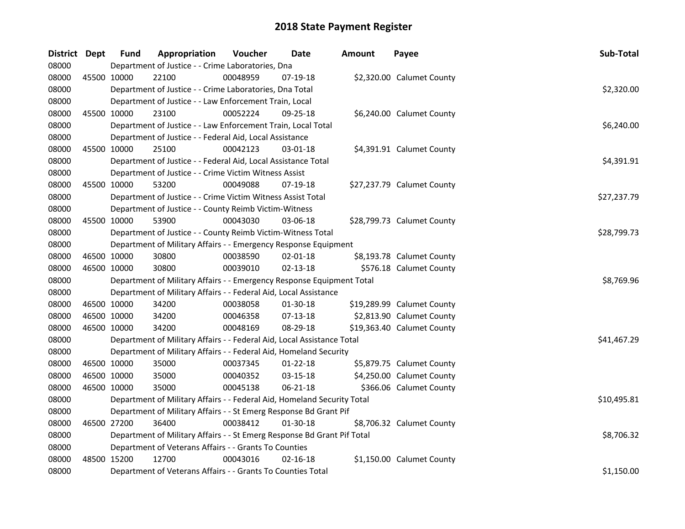| District Dept |             | <b>Fund</b> | Appropriation                                                           | Voucher  | <b>Date</b>    | Amount | Payee                      | Sub-Total   |
|---------------|-------------|-------------|-------------------------------------------------------------------------|----------|----------------|--------|----------------------------|-------------|
| 08000         |             |             | Department of Justice - - Crime Laboratories, Dna                       |          |                |        |                            |             |
| 08000         |             | 45500 10000 | 22100                                                                   | 00048959 | 07-19-18       |        | \$2,320.00 Calumet County  |             |
| 08000         |             |             | Department of Justice - - Crime Laboratories, Dna Total                 |          |                |        |                            | \$2,320.00  |
| 08000         |             |             | Department of Justice - - Law Enforcement Train, Local                  |          |                |        |                            |             |
| 08000         |             | 45500 10000 | 23100                                                                   | 00052224 | 09-25-18       |        | \$6,240.00 Calumet County  |             |
| 08000         |             |             | Department of Justice - - Law Enforcement Train, Local Total            |          |                |        |                            | \$6,240.00  |
| 08000         |             |             | Department of Justice - - Federal Aid, Local Assistance                 |          |                |        |                            |             |
| 08000         |             | 45500 10000 | 25100                                                                   | 00042123 | 03-01-18       |        | \$4,391.91 Calumet County  |             |
| 08000         |             |             | Department of Justice - - Federal Aid, Local Assistance Total           |          |                |        |                            | \$4,391.91  |
| 08000         |             |             | Department of Justice - - Crime Victim Witness Assist                   |          |                |        |                            |             |
| 08000         |             | 45500 10000 | 53200                                                                   | 00049088 | 07-19-18       |        | \$27,237.79 Calumet County |             |
| 08000         |             |             | Department of Justice - - Crime Victim Witness Assist Total             |          |                |        |                            | \$27,237.79 |
| 08000         |             |             | Department of Justice - - County Reimb Victim-Witness                   |          |                |        |                            |             |
| 08000         |             | 45500 10000 | 53900                                                                   | 00043030 | 03-06-18       |        | \$28,799.73 Calumet County |             |
| 08000         |             |             | Department of Justice - - County Reimb Victim-Witness Total             |          |                |        |                            | \$28,799.73 |
| 08000         |             |             | Department of Military Affairs - - Emergency Response Equipment         |          |                |        |                            |             |
| 08000         |             | 46500 10000 | 30800                                                                   | 00038590 | 02-01-18       |        | \$8,193.78 Calumet County  |             |
| 08000         | 46500 10000 |             | 30800                                                                   | 00039010 | $02 - 13 - 18$ |        | \$576.18 Calumet County    |             |
| 08000         |             |             | Department of Military Affairs - - Emergency Response Equipment Total   |          |                |        |                            | \$8,769.96  |
| 08000         |             |             | Department of Military Affairs - - Federal Aid, Local Assistance        |          |                |        |                            |             |
| 08000         |             | 46500 10000 | 34200                                                                   | 00038058 | 01-30-18       |        | \$19,289.99 Calumet County |             |
| 08000         | 46500 10000 |             | 34200                                                                   | 00046358 | 07-13-18       |        | \$2,813.90 Calumet County  |             |
| 08000         | 46500 10000 |             | 34200                                                                   | 00048169 | 08-29-18       |        | \$19,363.40 Calumet County |             |
| 08000         |             |             | Department of Military Affairs - - Federal Aid, Local Assistance Total  |          |                |        |                            | \$41,467.29 |
| 08000         |             |             | Department of Military Affairs - - Federal Aid, Homeland Security       |          |                |        |                            |             |
| 08000         | 46500 10000 |             | 35000                                                                   | 00037345 | $01 - 22 - 18$ |        | \$5,879.75 Calumet County  |             |
| 08000         | 46500 10000 |             | 35000                                                                   | 00040352 | 03-15-18       |        | \$4,250.00 Calumet County  |             |
| 08000         | 46500 10000 |             | 35000                                                                   | 00045138 | 06-21-18       |        | \$366.06 Calumet County    |             |
| 08000         |             |             | Department of Military Affairs - - Federal Aid, Homeland Security Total |          |                |        |                            | \$10,495.81 |
| 08000         |             |             | Department of Military Affairs - - St Emerg Response Bd Grant Pif       |          |                |        |                            |             |
| 08000         |             | 46500 27200 | 36400                                                                   | 00038412 | $01 - 30 - 18$ |        | \$8,706.32 Calumet County  |             |
| 08000         |             |             | Department of Military Affairs - - St Emerg Response Bd Grant Pif Total |          |                |        |                            | \$8,706.32  |
| 08000         |             |             | Department of Veterans Affairs - - Grants To Counties                   |          |                |        |                            |             |
| 08000         | 48500 15200 |             | 12700                                                                   | 00043016 | $02 - 16 - 18$ |        | \$1,150.00 Calumet County  |             |
| 08000         |             |             | Department of Veterans Affairs - - Grants To Counties Total             |          |                |        |                            | \$1,150.00  |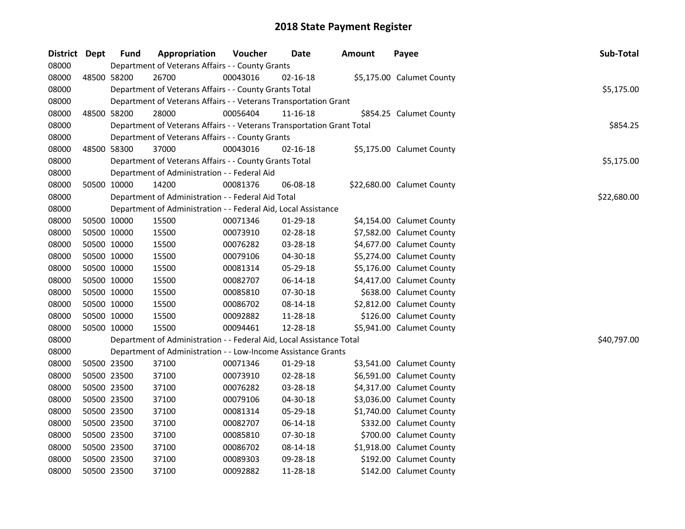| District Dept |             | <b>Fund</b> | Appropriation                                                          | Voucher  | Date           | <b>Amount</b> | Payee                      | Sub-Total   |
|---------------|-------------|-------------|------------------------------------------------------------------------|----------|----------------|---------------|----------------------------|-------------|
| 08000         |             |             | Department of Veterans Affairs - - County Grants                       |          |                |               |                            |             |
| 08000         |             | 48500 58200 | 26700                                                                  | 00043016 | 02-16-18       |               | \$5,175.00 Calumet County  |             |
| 08000         |             |             | Department of Veterans Affairs - - County Grants Total                 |          |                |               |                            | \$5,175.00  |
| 08000         |             |             | Department of Veterans Affairs - - Veterans Transportation Grant       |          |                |               |                            |             |
| 08000         |             | 48500 58200 | 28000                                                                  | 00056404 | 11-16-18       |               | \$854.25 Calumet County    |             |
| 08000         |             |             | Department of Veterans Affairs - - Veterans Transportation Grant Total |          |                |               |                            | \$854.25    |
| 08000         |             |             | Department of Veterans Affairs - - County Grants                       |          |                |               |                            |             |
| 08000         |             | 48500 58300 | 37000                                                                  | 00043016 | $02 - 16 - 18$ |               | \$5,175.00 Calumet County  |             |
| 08000         |             |             | Department of Veterans Affairs - - County Grants Total                 |          |                |               |                            | \$5,175.00  |
| 08000         |             |             | Department of Administration - - Federal Aid                           |          |                |               |                            |             |
| 08000         |             | 50500 10000 | 14200                                                                  | 00081376 | 06-08-18       |               | \$22,680.00 Calumet County |             |
| 08000         |             |             | Department of Administration - - Federal Aid Total                     |          |                |               |                            | \$22,680.00 |
| 08000         |             |             | Department of Administration - - Federal Aid, Local Assistance         |          |                |               |                            |             |
| 08000         |             | 50500 10000 | 15500                                                                  | 00071346 | 01-29-18       |               | \$4,154.00 Calumet County  |             |
| 08000         | 50500 10000 |             | 15500                                                                  | 00073910 | 02-28-18       |               | \$7,582.00 Calumet County  |             |
| 08000         |             | 50500 10000 | 15500                                                                  | 00076282 | 03-28-18       |               | \$4,677.00 Calumet County  |             |
| 08000         |             | 50500 10000 | 15500                                                                  | 00079106 | 04-30-18       |               | \$5,274.00 Calumet County  |             |
| 08000         |             | 50500 10000 | 15500                                                                  | 00081314 | 05-29-18       |               | \$5,176.00 Calumet County  |             |
| 08000         |             | 50500 10000 | 15500                                                                  | 00082707 | 06-14-18       |               | \$4,417.00 Calumet County  |             |
| 08000         |             | 50500 10000 | 15500                                                                  | 00085810 | 07-30-18       |               | \$638.00 Calumet County    |             |
| 08000         | 50500 10000 |             | 15500                                                                  | 00086702 | 08-14-18       |               | \$2,812.00 Calumet County  |             |
| 08000         |             | 50500 10000 | 15500                                                                  | 00092882 | 11-28-18       |               | \$126.00 Calumet County    |             |
| 08000         |             | 50500 10000 | 15500                                                                  | 00094461 | 12-28-18       |               | \$5,941.00 Calumet County  |             |
| 08000         |             |             | Department of Administration - - Federal Aid, Local Assistance Total   |          |                |               |                            | \$40,797.00 |
| 08000         |             |             | Department of Administration - - Low-Income Assistance Grants          |          |                |               |                            |             |
| 08000         |             | 50500 23500 | 37100                                                                  | 00071346 | $01-29-18$     |               | \$3,541.00 Calumet County  |             |
| 08000         | 50500 23500 |             | 37100                                                                  | 00073910 | 02-28-18       |               | \$6,591.00 Calumet County  |             |
| 08000         |             | 50500 23500 | 37100                                                                  | 00076282 | 03-28-18       |               | \$4,317.00 Calumet County  |             |
| 08000         |             | 50500 23500 | 37100                                                                  | 00079106 | 04-30-18       |               | \$3,036.00 Calumet County  |             |
| 08000         |             | 50500 23500 | 37100                                                                  | 00081314 | 05-29-18       |               | \$1,740.00 Calumet County  |             |
| 08000         |             | 50500 23500 | 37100                                                                  | 00082707 | 06-14-18       |               | \$332.00 Calumet County    |             |
| 08000         |             | 50500 23500 | 37100                                                                  | 00085810 | 07-30-18       |               | \$700.00 Calumet County    |             |
| 08000         |             | 50500 23500 | 37100                                                                  | 00086702 | 08-14-18       |               | \$1,918.00 Calumet County  |             |
| 08000         |             | 50500 23500 | 37100                                                                  | 00089303 | 09-28-18       |               | \$192.00 Calumet County    |             |
| 08000         |             | 50500 23500 | 37100                                                                  | 00092882 | 11-28-18       |               | \$142.00 Calumet County    |             |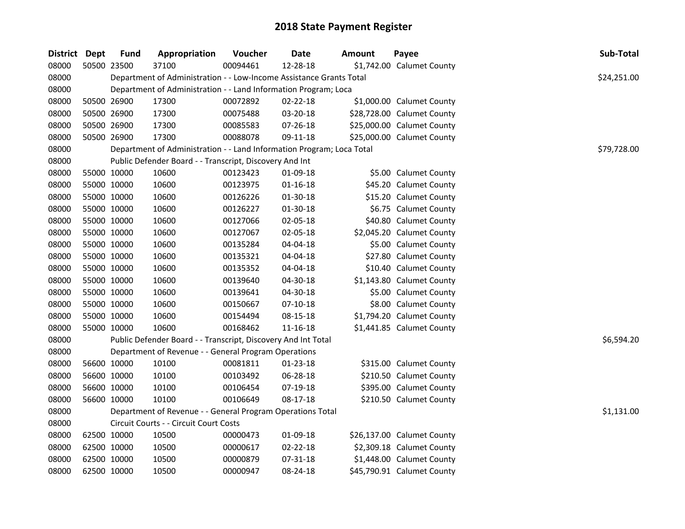| District Dept | <b>Fund</b> | Appropriation                                                         | Voucher  | <b>Date</b>    | <b>Amount</b> | Payee                      | Sub-Total   |
|---------------|-------------|-----------------------------------------------------------------------|----------|----------------|---------------|----------------------------|-------------|
| 08000         | 50500 23500 | 37100                                                                 | 00094461 | 12-28-18       |               | \$1,742.00 Calumet County  |             |
| 08000         |             | Department of Administration - - Low-Income Assistance Grants Total   |          |                |               |                            | \$24,251.00 |
| 08000         |             | Department of Administration - - Land Information Program; Loca       |          |                |               |                            |             |
| 08000         | 50500 26900 | 17300                                                                 | 00072892 | $02 - 22 - 18$ |               | \$1,000.00 Calumet County  |             |
| 08000         | 50500 26900 | 17300                                                                 | 00075488 | 03-20-18       |               | \$28,728.00 Calumet County |             |
| 08000         | 50500 26900 | 17300                                                                 | 00085583 | 07-26-18       |               | \$25,000.00 Calumet County |             |
| 08000         | 50500 26900 | 17300                                                                 | 00088078 | 09-11-18       |               | \$25,000.00 Calumet County |             |
| 08000         |             | Department of Administration - - Land Information Program; Loca Total |          |                |               |                            | \$79,728.00 |
| 08000         |             | Public Defender Board - - Transcript, Discovery And Int               |          |                |               |                            |             |
| 08000         | 55000 10000 | 10600                                                                 | 00123423 | 01-09-18       |               | \$5.00 Calumet County      |             |
| 08000         | 55000 10000 | 10600                                                                 | 00123975 | $01 - 16 - 18$ |               | \$45.20 Calumet County     |             |
| 08000         | 55000 10000 | 10600                                                                 | 00126226 | 01-30-18       |               | \$15.20 Calumet County     |             |
| 08000         | 55000 10000 | 10600                                                                 | 00126227 | 01-30-18       |               | \$6.75 Calumet County      |             |
| 08000         | 55000 10000 | 10600                                                                 | 00127066 | 02-05-18       |               | \$40.80 Calumet County     |             |
| 08000         | 55000 10000 | 10600                                                                 | 00127067 | 02-05-18       |               | \$2,045.20 Calumet County  |             |
| 08000         | 55000 10000 | 10600                                                                 | 00135284 | 04-04-18       |               | \$5.00 Calumet County      |             |
| 08000         | 55000 10000 | 10600                                                                 | 00135321 | 04-04-18       |               | \$27.80 Calumet County     |             |
| 08000         | 55000 10000 | 10600                                                                 | 00135352 | 04-04-18       |               | \$10.40 Calumet County     |             |
| 08000         | 55000 10000 | 10600                                                                 | 00139640 | 04-30-18       |               | \$1,143.80 Calumet County  |             |
| 08000         | 55000 10000 | 10600                                                                 | 00139641 | 04-30-18       |               | \$5.00 Calumet County      |             |
| 08000         | 55000 10000 | 10600                                                                 | 00150667 | $07-10-18$     |               | \$8.00 Calumet County      |             |
| 08000         | 55000 10000 | 10600                                                                 | 00154494 | 08-15-18       |               | \$1,794.20 Calumet County  |             |
| 08000         | 55000 10000 | 10600                                                                 | 00168462 | $11 - 16 - 18$ |               | \$1,441.85 Calumet County  |             |
| 08000         |             | Public Defender Board - - Transcript, Discovery And Int Total         |          |                |               |                            | \$6,594.20  |
| 08000         |             | Department of Revenue - - General Program Operations                  |          |                |               |                            |             |
| 08000         | 56600 10000 | 10100                                                                 | 00081811 | 01-23-18       |               | \$315.00 Calumet County    |             |
| 08000         | 56600 10000 | 10100                                                                 | 00103492 | 06-28-18       |               | \$210.50 Calumet County    |             |
| 08000         | 56600 10000 | 10100                                                                 | 00106454 | 07-19-18       |               | \$395.00 Calumet County    |             |
| 08000         | 56600 10000 | 10100                                                                 | 00106649 | 08-17-18       |               | \$210.50 Calumet County    |             |
| 08000         |             | Department of Revenue - - General Program Operations Total            |          |                |               |                            | \$1,131.00  |
| 08000         |             | Circuit Courts - - Circuit Court Costs                                |          |                |               |                            |             |
| 08000         | 62500 10000 | 10500                                                                 | 00000473 | 01-09-18       |               | \$26,137.00 Calumet County |             |
| 08000         | 62500 10000 | 10500                                                                 | 00000617 | 02-22-18       |               | \$2,309.18 Calumet County  |             |
| 08000         | 62500 10000 | 10500                                                                 | 00000879 | 07-31-18       |               | \$1,448.00 Calumet County  |             |
| 08000         | 62500 10000 | 10500                                                                 | 00000947 | 08-24-18       |               | \$45,790.91 Calumet County |             |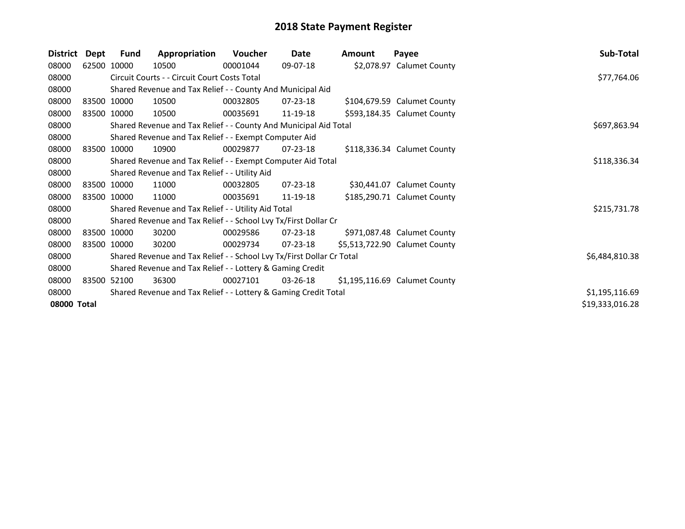| <b>District</b> | Dept        | <b>Fund</b> | Appropriation                                                         | Voucher      | Date           | Amount | Payee                         | Sub-Total       |
|-----------------|-------------|-------------|-----------------------------------------------------------------------|--------------|----------------|--------|-------------------------------|-----------------|
| 08000           |             | 62500 10000 | 10500                                                                 | 00001044     | 09-07-18       |        | \$2,078.97 Calumet County     |                 |
| 08000           |             |             | Circuit Courts - - Circuit Court Costs Total                          |              |                |        |                               | \$77,764.06     |
| 08000           |             |             | Shared Revenue and Tax Relief - - County And Municipal Aid            |              |                |        |                               |                 |
| 08000           |             | 83500 10000 | 10500                                                                 | 00032805     | $07 - 23 - 18$ |        | \$104,679.59 Calumet County   |                 |
| 08000           | 83500 10000 |             | 10500                                                                 | 00035691     | 11-19-18       |        | \$593,184.35 Calumet County   |                 |
| 08000           |             |             | Shared Revenue and Tax Relief - - County And Municipal Aid Total      | \$697,863.94 |                |        |                               |                 |
| 08000           |             |             | Shared Revenue and Tax Relief - - Exempt Computer Aid                 |              |                |        |                               |                 |
| 08000           |             | 83500 10000 | 10900                                                                 | 00029877     | $07 - 23 - 18$ |        | \$118,336.34 Calumet County   |                 |
| 08000           |             |             | Shared Revenue and Tax Relief - - Exempt Computer Aid Total           |              |                |        |                               | \$118,336.34    |
| 08000           |             |             | Shared Revenue and Tax Relief - - Utility Aid                         |              |                |        |                               |                 |
| 08000           |             | 83500 10000 | 11000                                                                 | 00032805     | 07-23-18       |        | \$30,441.07 Calumet County    |                 |
| 08000           | 83500 10000 |             | 11000                                                                 | 00035691     | 11-19-18       |        | \$185,290.71 Calumet County   |                 |
| 08000           |             |             | Shared Revenue and Tax Relief - - Utility Aid Total                   |              |                |        |                               | \$215,731.78    |
| 08000           |             |             | Shared Revenue and Tax Relief - - School Lvy Tx/First Dollar Cr       |              |                |        |                               |                 |
| 08000           |             | 83500 10000 | 30200                                                                 | 00029586     | $07 - 23 - 18$ |        | \$971,087.48 Calumet County   |                 |
| 08000           |             | 83500 10000 | 30200                                                                 | 00029734     | 07-23-18       |        | \$5,513,722.90 Calumet County |                 |
| 08000           |             |             | Shared Revenue and Tax Relief - - School Lvy Tx/First Dollar Cr Total |              |                |        |                               | \$6,484,810.38  |
| 08000           |             |             | Shared Revenue and Tax Relief - - Lottery & Gaming Credit             |              |                |        |                               |                 |
| 08000           |             | 83500 52100 | 36300                                                                 | 00027101     | 03-26-18       |        | \$1,195,116.69 Calumet County |                 |
| 08000           |             |             | Shared Revenue and Tax Relief - - Lottery & Gaming Credit Total       |              |                |        |                               | \$1,195,116.69  |
| 08000 Total     |             |             |                                                                       |              |                |        |                               | \$19,333,016.28 |
|                 |             |             |                                                                       |              |                |        |                               |                 |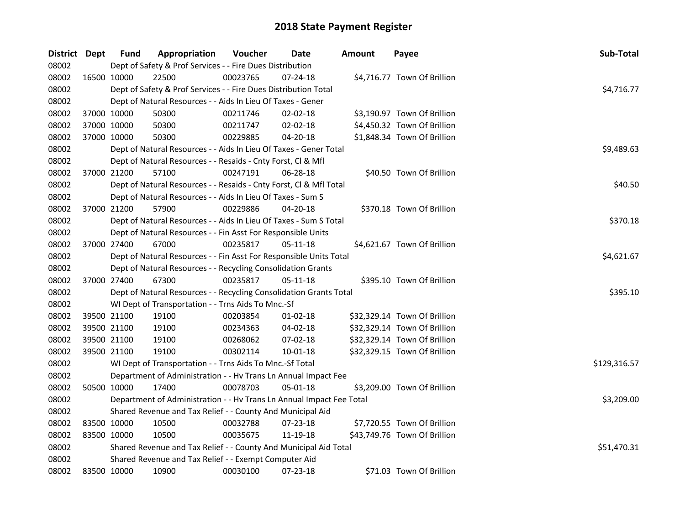| District Dept |             | <b>Fund</b> | Appropriation                                                        | Voucher    | Date           | <b>Amount</b> | Payee                        | Sub-Total    |
|---------------|-------------|-------------|----------------------------------------------------------------------|------------|----------------|---------------|------------------------------|--------------|
| 08002         |             |             | Dept of Safety & Prof Services - - Fire Dues Distribution            |            |                |               |                              |              |
| 08002         |             | 16500 10000 | 22500                                                                | 00023765   | 07-24-18       |               | \$4,716.77 Town Of Brillion  |              |
| 08002         |             |             | Dept of Safety & Prof Services - - Fire Dues Distribution Total      |            |                |               |                              | \$4,716.77   |
| 08002         |             |             | Dept of Natural Resources - - Aids In Lieu Of Taxes - Gener          |            |                |               |                              |              |
| 08002         |             | 37000 10000 | 50300                                                                | 00211746   | 02-02-18       |               | \$3,190.97 Town Of Brillion  |              |
| 08002         | 37000 10000 |             | 50300                                                                | 00211747   | 02-02-18       |               | \$4,450.32 Town Of Brillion  |              |
| 08002         | 37000 10000 |             | 50300                                                                | 00229885   | 04-20-18       |               | \$1,848.34 Town Of Brillion  |              |
| 08002         |             |             | Dept of Natural Resources - - Aids In Lieu Of Taxes - Gener Total    |            |                |               |                              | \$9,489.63   |
| 08002         |             |             | Dept of Natural Resources - - Resaids - Cnty Forst, Cl & Mfl         |            |                |               |                              |              |
| 08002         |             | 37000 21200 | 57100                                                                | 00247191   | 06-28-18       |               | \$40.50 Town Of Brillion     |              |
| 08002         |             |             | Dept of Natural Resources - - Resaids - Cnty Forst, Cl & Mfl Total   |            |                |               |                              | \$40.50      |
| 08002         |             |             | Dept of Natural Resources - - Aids In Lieu Of Taxes - Sum S          |            |                |               |                              |              |
| 08002         |             | 37000 21200 | 57900                                                                | 00229886   | 04-20-18       |               | \$370.18 Town Of Brillion    |              |
| 08002         |             |             | Dept of Natural Resources - - Aids In Lieu Of Taxes - Sum S Total    |            |                |               |                              | \$370.18     |
| 08002         |             |             | Dept of Natural Resources - - Fin Asst For Responsible Units         |            |                |               |                              |              |
| 08002         |             | 37000 27400 | 67000                                                                | 00235817   | $05 - 11 - 18$ |               | \$4,621.67 Town Of Brillion  |              |
| 08002         |             |             | Dept of Natural Resources - - Fin Asst For Responsible Units Total   | \$4,621.67 |                |               |                              |              |
| 08002         |             |             | Dept of Natural Resources - - Recycling Consolidation Grants         |            |                |               |                              |              |
| 08002         |             | 37000 27400 | 67300                                                                | 00235817   | 05-11-18       |               | \$395.10 Town Of Brillion    |              |
| 08002         |             |             | Dept of Natural Resources - - Recycling Consolidation Grants Total   |            |                |               |                              | \$395.10     |
| 08002         |             |             | WI Dept of Transportation - - Trns Aids To Mnc.-Sf                   |            |                |               |                              |              |
| 08002         | 39500 21100 |             | 19100                                                                | 00203854   | $01 - 02 - 18$ |               | \$32,329.14 Town Of Brillion |              |
| 08002         | 39500 21100 |             | 19100                                                                | 00234363   | 04-02-18       |               | \$32,329.14 Town Of Brillion |              |
| 08002         | 39500 21100 |             | 19100                                                                | 00268062   | 07-02-18       |               | \$32,329.14 Town Of Brillion |              |
| 08002         |             | 39500 21100 | 19100                                                                | 00302114   | 10-01-18       |               | \$32,329.15 Town Of Brillion |              |
| 08002         |             |             | WI Dept of Transportation - - Trns Aids To Mnc.-Sf Total             |            |                |               |                              | \$129,316.57 |
| 08002         |             |             | Department of Administration - - Hv Trans Ln Annual Impact Fee       |            |                |               |                              |              |
| 08002         |             | 50500 10000 | 17400                                                                | 00078703   | 05-01-18       |               | \$3,209.00 Town Of Brillion  |              |
| 08002         |             |             | Department of Administration - - Hv Trans Ln Annual Impact Fee Total |            |                |               |                              | \$3,209.00   |
| 08002         |             |             | Shared Revenue and Tax Relief - - County And Municipal Aid           |            |                |               |                              |              |
| 08002         | 83500 10000 |             | 10500                                                                | 00032788   | 07-23-18       |               | \$7,720.55 Town Of Brillion  |              |
| 08002         | 83500 10000 |             | 10500                                                                | 00035675   | 11-19-18       |               | \$43,749.76 Town Of Brillion |              |
| 08002         |             |             | Shared Revenue and Tax Relief - - County And Municipal Aid Total     |            |                |               |                              | \$51,470.31  |
| 08002         |             |             | Shared Revenue and Tax Relief - - Exempt Computer Aid                |            |                |               |                              |              |
| 08002         | 83500 10000 |             | 10900                                                                | 00030100   | 07-23-18       |               | \$71.03 Town Of Brillion     |              |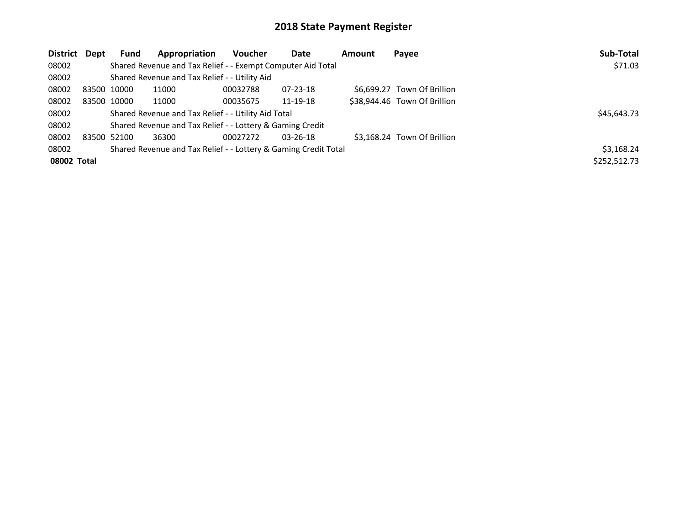| District Dept |             | <b>Fund</b>                                         | Appropriation                                                   | <b>Voucher</b> | Date           | Amount | Payee                        | Sub-Total    |
|---------------|-------------|-----------------------------------------------------|-----------------------------------------------------------------|----------------|----------------|--------|------------------------------|--------------|
| 08002         |             |                                                     | Shared Revenue and Tax Relief - - Exempt Computer Aid Total     |                |                |        |                              | \$71.03      |
| 08002         |             |                                                     | Shared Revenue and Tax Relief - - Utility Aid                   |                |                |        |                              |              |
| 08002         | 83500 10000 |                                                     | 11000                                                           | 00032788       | 07-23-18       |        | \$6.699.27 Town Of Brillion  |              |
| 08002         | 83500 10000 |                                                     | 11000                                                           | 00035675       | 11-19-18       |        | \$38,944.46 Town Of Brillion |              |
| 08002         |             | Shared Revenue and Tax Relief - - Utility Aid Total | \$45,643.73                                                     |                |                |        |                              |              |
| 08002         |             |                                                     | Shared Revenue and Tax Relief - - Lottery & Gaming Credit       |                |                |        |                              |              |
| 08002         | 83500 52100 |                                                     | 36300                                                           | 00027272       | $03 - 26 - 18$ |        | \$3.168.24 Town Of Brillion  |              |
| 08002         |             |                                                     | Shared Revenue and Tax Relief - - Lottery & Gaming Credit Total |                |                |        |                              | \$3,168.24   |
| 08002 Total   |             |                                                     |                                                                 |                |                |        |                              | \$252,512.73 |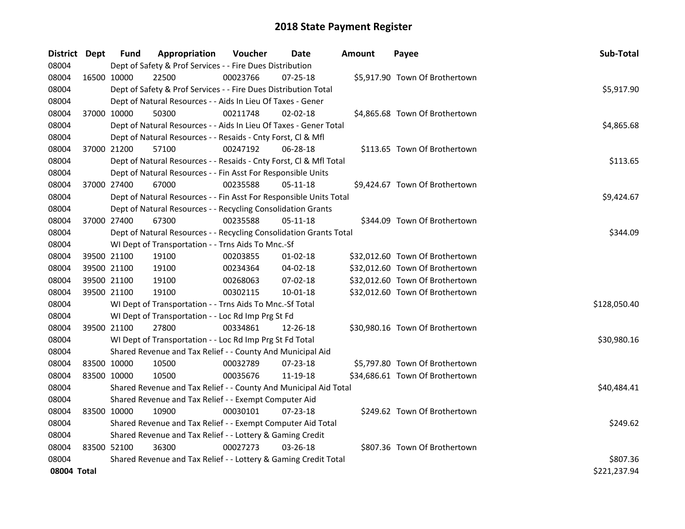| District Dept |             | <b>Fund</b>                                               | Appropriation                                                      | Voucher  | Date           | <b>Amount</b> | Payee                           | Sub-Total    |
|---------------|-------------|-----------------------------------------------------------|--------------------------------------------------------------------|----------|----------------|---------------|---------------------------------|--------------|
| 08004         |             |                                                           | Dept of Safety & Prof Services - - Fire Dues Distribution          |          |                |               |                                 |              |
| 08004         | 16500 10000 |                                                           | 22500                                                              | 00023766 | 07-25-18       |               | \$5,917.90 Town Of Brothertown  |              |
| 08004         |             |                                                           | Dept of Safety & Prof Services - - Fire Dues Distribution Total    |          |                |               |                                 | \$5,917.90   |
| 08004         |             |                                                           | Dept of Natural Resources - - Aids In Lieu Of Taxes - Gener        |          |                |               |                                 |              |
| 08004         | 37000 10000 |                                                           | 50300                                                              | 00211748 | $02 - 02 - 18$ |               | \$4,865.68 Town Of Brothertown  |              |
| 08004         |             |                                                           | Dept of Natural Resources - - Aids In Lieu Of Taxes - Gener Total  |          |                |               |                                 | \$4,865.68   |
| 08004         |             |                                                           | Dept of Natural Resources - - Resaids - Cnty Forst, Cl & Mfl       |          |                |               |                                 |              |
| 08004         |             | 37000 21200                                               | 57100                                                              | 00247192 | 06-28-18       |               | \$113.65 Town Of Brothertown    |              |
| 08004         |             |                                                           | Dept of Natural Resources - - Resaids - Cnty Forst, Cl & Mfl Total |          |                |               |                                 | \$113.65     |
| 08004         |             |                                                           | Dept of Natural Resources - - Fin Asst For Responsible Units       |          |                |               |                                 |              |
| 08004         |             | 37000 27400                                               | 67000                                                              | 00235588 | 05-11-18       |               | \$9,424.67 Town Of Brothertown  |              |
| 08004         |             |                                                           | Dept of Natural Resources - - Fin Asst For Responsible Units Total |          |                |               |                                 | \$9,424.67   |
| 08004         |             |                                                           | Dept of Natural Resources - - Recycling Consolidation Grants       |          |                |               |                                 |              |
| 08004         | 37000 27400 |                                                           | 67300                                                              | 00235588 | 05-11-18       |               | \$344.09 Town Of Brothertown    |              |
| 08004         |             |                                                           | Dept of Natural Resources - - Recycling Consolidation Grants Total |          |                |               |                                 | \$344.09     |
| 08004         |             |                                                           | WI Dept of Transportation - - Trns Aids To Mnc.-Sf                 |          |                |               |                                 |              |
| 08004         | 39500 21100 |                                                           | 19100                                                              | 00203855 | $01-02-18$     |               | \$32,012.60 Town Of Brothertown |              |
| 08004         | 39500 21100 |                                                           | 19100                                                              | 00234364 | 04-02-18       |               | \$32,012.60 Town Of Brothertown |              |
| 08004         | 39500 21100 |                                                           | 19100                                                              | 00268063 | 07-02-18       |               | \$32,012.60 Town Of Brothertown |              |
| 08004         | 39500 21100 |                                                           | 19100                                                              | 00302115 | 10-01-18       |               | \$32,012.60 Town Of Brothertown |              |
| 08004         |             |                                                           | WI Dept of Transportation - - Trns Aids To Mnc.-Sf Total           |          |                |               |                                 | \$128,050.40 |
| 08004         |             |                                                           | WI Dept of Transportation - - Loc Rd Imp Prg St Fd                 |          |                |               |                                 |              |
| 08004         | 39500 21100 |                                                           | 27800                                                              | 00334861 | 12-26-18       |               | \$30,980.16 Town Of Brothertown |              |
| 08004         |             |                                                           | WI Dept of Transportation - - Loc Rd Imp Prg St Fd Total           |          |                |               |                                 | \$30,980.16  |
| 08004         |             |                                                           | Shared Revenue and Tax Relief - - County And Municipal Aid         |          |                |               |                                 |              |
| 08004         | 83500 10000 |                                                           | 10500                                                              | 00032789 | 07-23-18       |               | \$5,797.80 Town Of Brothertown  |              |
| 08004         | 83500 10000 |                                                           | 10500                                                              | 00035676 | 11-19-18       |               | \$34,686.61 Town Of Brothertown |              |
| 08004         |             |                                                           | Shared Revenue and Tax Relief - - County And Municipal Aid Total   |          |                |               |                                 | \$40,484.41  |
| 08004         |             |                                                           | Shared Revenue and Tax Relief - - Exempt Computer Aid              |          |                |               |                                 |              |
| 08004         | 83500 10000 |                                                           | 10900                                                              | 00030101 | 07-23-18       |               | \$249.62 Town Of Brothertown    |              |
| 08004         |             |                                                           | Shared Revenue and Tax Relief - - Exempt Computer Aid Total        |          |                |               |                                 | \$249.62     |
| 08004         |             | Shared Revenue and Tax Relief - - Lottery & Gaming Credit |                                                                    |          |                |               |                                 |              |
| 08004         | 83500 52100 |                                                           | 36300                                                              | 00027273 | $03 - 26 - 18$ |               | \$807.36 Town Of Brothertown    |              |
| 08004         |             |                                                           | Shared Revenue and Tax Relief - - Lottery & Gaming Credit Total    |          |                |               |                                 | \$807.36     |
| 08004 Total   |             |                                                           |                                                                    |          |                |               |                                 | \$221,237.94 |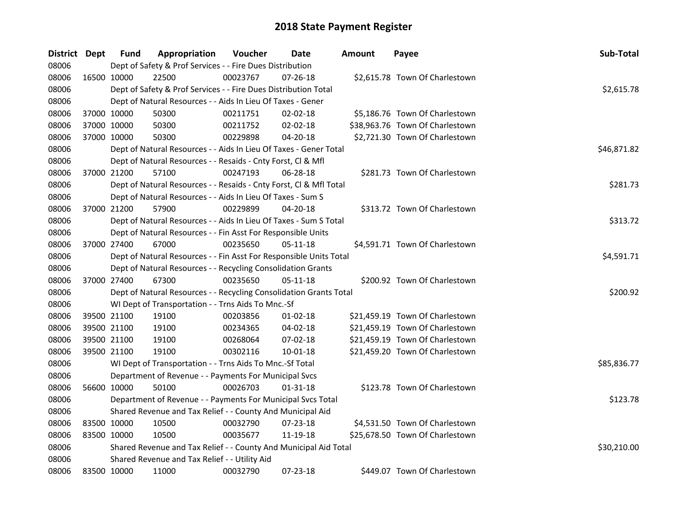| District Dept |             | <b>Fund</b> | Appropriation                                                      | Voucher  | Date           | <b>Amount</b> | Payee                           | Sub-Total   |
|---------------|-------------|-------------|--------------------------------------------------------------------|----------|----------------|---------------|---------------------------------|-------------|
| 08006         |             |             | Dept of Safety & Prof Services - - Fire Dues Distribution          |          |                |               |                                 |             |
| 08006         | 16500 10000 |             | 22500                                                              | 00023767 | $07 - 26 - 18$ |               | \$2,615.78 Town Of Charlestown  |             |
| 08006         |             |             | Dept of Safety & Prof Services - - Fire Dues Distribution Total    |          |                |               |                                 | \$2,615.78  |
| 08006         |             |             | Dept of Natural Resources - - Aids In Lieu Of Taxes - Gener        |          |                |               |                                 |             |
| 08006         |             | 37000 10000 | 50300                                                              | 00211751 | $02 - 02 - 18$ |               | \$5,186.76 Town Of Charlestown  |             |
| 08006         |             | 37000 10000 | 50300                                                              | 00211752 | 02-02-18       |               | \$38,963.76 Town Of Charlestown |             |
| 08006         |             | 37000 10000 | 50300                                                              | 00229898 | 04-20-18       |               | \$2,721.30 Town Of Charlestown  |             |
| 08006         |             |             | Dept of Natural Resources - - Aids In Lieu Of Taxes - Gener Total  |          |                |               |                                 | \$46,871.82 |
| 08006         |             |             | Dept of Natural Resources - - Resaids - Cnty Forst, Cl & Mfl       |          |                |               |                                 |             |
| 08006         |             | 37000 21200 | 57100                                                              | 00247193 | 06-28-18       |               | \$281.73 Town Of Charlestown    |             |
| 08006         |             |             | Dept of Natural Resources - - Resaids - Cnty Forst, CI & Mfl Total |          |                |               |                                 | \$281.73    |
| 08006         |             |             | Dept of Natural Resources - - Aids In Lieu Of Taxes - Sum S        |          |                |               |                                 |             |
| 08006         |             | 37000 21200 | 57900                                                              | 00229899 | 04-20-18       |               | \$313.72 Town Of Charlestown    |             |
| 08006         |             |             | Dept of Natural Resources - - Aids In Lieu Of Taxes - Sum S Total  |          |                |               |                                 | \$313.72    |
| 08006         |             |             | Dept of Natural Resources - - Fin Asst For Responsible Units       |          |                |               |                                 |             |
| 08006         |             | 37000 27400 | 67000                                                              | 00235650 | $05-11-18$     |               | \$4,591.71 Town Of Charlestown  |             |
| 08006         |             |             | Dept of Natural Resources - - Fin Asst For Responsible Units Total |          | \$4,591.71     |               |                                 |             |
| 08006         |             |             | Dept of Natural Resources - - Recycling Consolidation Grants       |          |                |               |                                 |             |
| 08006         |             | 37000 27400 | 67300                                                              | 00235650 | 05-11-18       |               | \$200.92 Town Of Charlestown    |             |
| 08006         |             |             | Dept of Natural Resources - - Recycling Consolidation Grants Total |          |                |               |                                 | \$200.92    |
| 08006         |             |             | WI Dept of Transportation - - Trns Aids To Mnc.-Sf                 |          |                |               |                                 |             |
| 08006         |             | 39500 21100 | 19100                                                              | 00203856 | $01 - 02 - 18$ |               | \$21,459.19 Town Of Charlestown |             |
| 08006         |             | 39500 21100 | 19100                                                              | 00234365 | 04-02-18       |               | \$21,459.19 Town Of Charlestown |             |
| 08006         |             | 39500 21100 | 19100                                                              | 00268064 | 07-02-18       |               | \$21,459.19 Town Of Charlestown |             |
| 08006         |             | 39500 21100 | 19100                                                              | 00302116 | 10-01-18       |               | \$21,459.20 Town Of Charlestown |             |
| 08006         |             |             | WI Dept of Transportation - - Trns Aids To Mnc.-Sf Total           |          |                |               |                                 | \$85,836.77 |
| 08006         |             |             | Department of Revenue - - Payments For Municipal Svcs              |          |                |               |                                 |             |
| 08006         |             | 56600 10000 | 50100                                                              | 00026703 | 01-31-18       |               | \$123.78 Town Of Charlestown    |             |
| 08006         |             |             | Department of Revenue - - Payments For Municipal Svcs Total        |          |                |               |                                 | \$123.78    |
| 08006         |             |             | Shared Revenue and Tax Relief - - County And Municipal Aid         |          |                |               |                                 |             |
| 08006         |             | 83500 10000 | 10500                                                              | 00032790 | 07-23-18       |               | \$4,531.50 Town Of Charlestown  |             |
| 08006         | 83500 10000 |             | 10500                                                              | 00035677 | 11-19-18       |               | \$25,678.50 Town Of Charlestown |             |
| 08006         |             |             | Shared Revenue and Tax Relief - - County And Municipal Aid Total   |          |                |               |                                 | \$30,210.00 |
| 08006         |             |             | Shared Revenue and Tax Relief - - Utility Aid                      |          |                |               |                                 |             |
| 08006         |             | 83500 10000 | 11000                                                              | 00032790 | 07-23-18       |               | \$449.07 Town Of Charlestown    |             |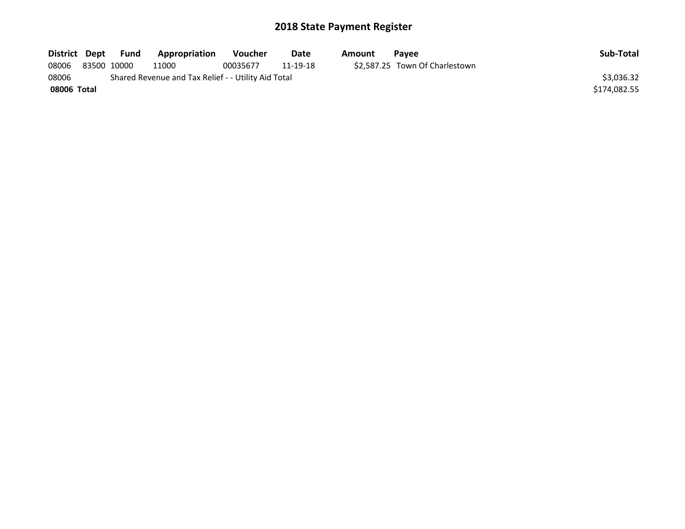| District Dept | Fund        | Appropriation                                       | Voucher  | Date     | Amount | <b>Pavee</b>                   | Sub-Total    |
|---------------|-------------|-----------------------------------------------------|----------|----------|--------|--------------------------------|--------------|
| 08006         | 83500 10000 | 11000                                               | 00035677 | 11-19-18 |        | \$2,587.25 Town Of Charlestown |              |
| 08006         |             | Shared Revenue and Tax Relief - - Utility Aid Total |          |          |        |                                | \$3.036.32   |
| 08006 Total   |             |                                                     |          |          |        |                                | \$174,082.55 |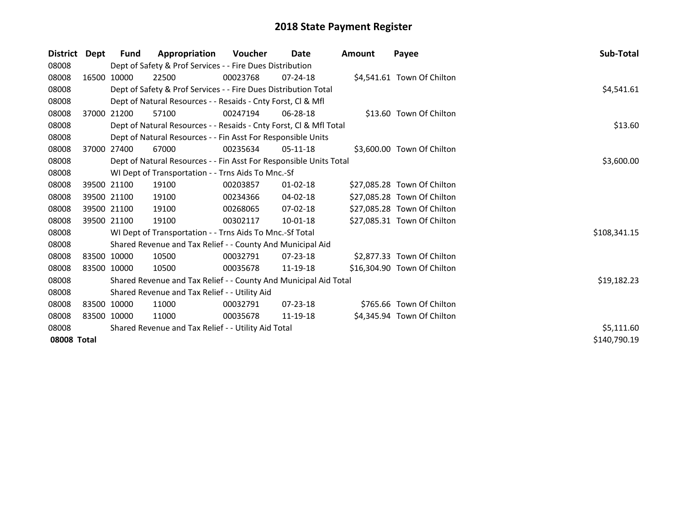| <b>District</b> | Dept        | <b>Fund</b> | Appropriation                                                      | Voucher  | Date           | <b>Amount</b> | Payee                       | Sub-Total    |
|-----------------|-------------|-------------|--------------------------------------------------------------------|----------|----------------|---------------|-----------------------------|--------------|
| 08008           |             |             | Dept of Safety & Prof Services - - Fire Dues Distribution          |          |                |               |                             |              |
| 08008           |             | 16500 10000 | 22500                                                              | 00023768 | $07 - 24 - 18$ |               | \$4,541.61 Town Of Chilton  |              |
| 08008           |             |             | Dept of Safety & Prof Services - - Fire Dues Distribution Total    |          |                |               |                             | \$4,541.61   |
| 08008           |             |             | Dept of Natural Resources - - Resaids - Cnty Forst, Cl & Mfl       |          |                |               |                             |              |
| 08008           |             | 37000 21200 | 57100                                                              | 00247194 | 06-28-18       |               | \$13.60 Town Of Chilton     |              |
| 08008           |             |             | Dept of Natural Resources - - Resaids - Cnty Forst, Cl & Mfl Total |          |                |               |                             | \$13.60      |
| 08008           |             |             | Dept of Natural Resources - - Fin Asst For Responsible Units       |          |                |               |                             |              |
| 08008           |             | 37000 27400 | 67000                                                              | 00235634 | $05-11-18$     |               | \$3,600.00 Town Of Chilton  |              |
| 08008           |             |             | Dept of Natural Resources - - Fin Asst For Responsible Units Total |          |                |               |                             | \$3,600.00   |
| 08008           |             |             | WI Dept of Transportation - - Trns Aids To Mnc.-Sf                 |          |                |               |                             |              |
| 08008           |             | 39500 21100 | 19100                                                              | 00203857 | 01-02-18       |               | \$27,085.28 Town Of Chilton |              |
| 08008           |             | 39500 21100 | 19100                                                              | 00234366 | 04-02-18       |               | \$27,085.28 Town Of Chilton |              |
| 08008           |             | 39500 21100 | 19100                                                              | 00268065 | 07-02-18       |               | \$27,085.28 Town Of Chilton |              |
| 08008           |             | 39500 21100 | 19100                                                              | 00302117 | 10-01-18       |               | \$27,085.31 Town Of Chilton |              |
| 08008           |             |             | WI Dept of Transportation - - Trns Aids To Mnc.-Sf Total           |          |                |               |                             | \$108,341.15 |
| 08008           |             |             | Shared Revenue and Tax Relief - - County And Municipal Aid         |          |                |               |                             |              |
| 08008           | 83500 10000 |             | 10500                                                              | 00032791 | $07 - 23 - 18$ |               | \$2,877.33 Town Of Chilton  |              |
| 08008           | 83500 10000 |             | 10500                                                              | 00035678 | 11-19-18       |               | \$16,304.90 Town Of Chilton |              |
| 08008           |             |             | Shared Revenue and Tax Relief - - County And Municipal Aid Total   |          |                |               |                             | \$19,182.23  |
| 08008           |             |             | Shared Revenue and Tax Relief - - Utility Aid                      |          |                |               |                             |              |
| 08008           | 83500 10000 |             | 11000                                                              | 00032791 | 07-23-18       |               | \$765.66 Town Of Chilton    |              |
| 08008           | 83500 10000 |             | 11000                                                              | 00035678 | 11-19-18       |               | \$4,345.94 Town Of Chilton  |              |
| 08008           |             | \$5,111.60  |                                                                    |          |                |               |                             |              |
| 08008 Total     |             |             |                                                                    |          |                |               |                             | \$140,790.19 |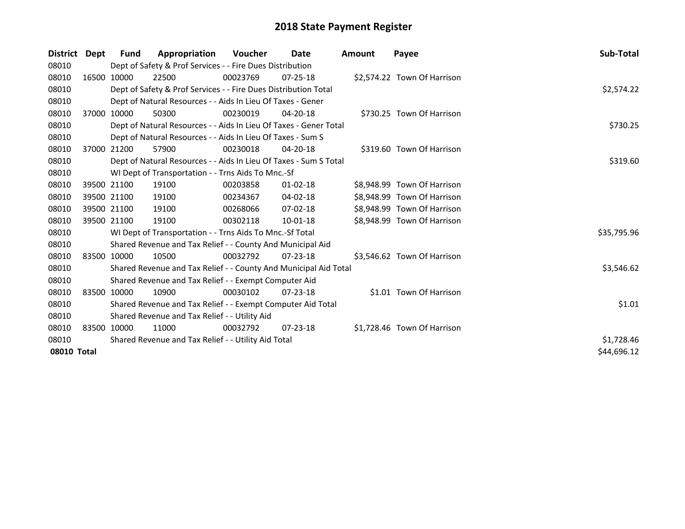| District    | Dept | Fund        | Appropriation                                                     | <b>Voucher</b> | Date           | Amount | Payee                       | Sub-Total   |
|-------------|------|-------------|-------------------------------------------------------------------|----------------|----------------|--------|-----------------------------|-------------|
| 08010       |      |             | Dept of Safety & Prof Services - - Fire Dues Distribution         |                |                |        |                             |             |
| 08010       |      | 16500 10000 | 22500                                                             | 00023769       | 07-25-18       |        | \$2,574.22 Town Of Harrison |             |
| 08010       |      |             | Dept of Safety & Prof Services - - Fire Dues Distribution Total   |                |                |        |                             | \$2,574.22  |
| 08010       |      |             | Dept of Natural Resources - - Aids In Lieu Of Taxes - Gener       |                |                |        |                             |             |
| 08010       |      | 37000 10000 | 50300                                                             | 00230019       | $04 - 20 - 18$ |        | \$730.25 Town Of Harrison   |             |
| 08010       |      |             | Dept of Natural Resources - - Aids In Lieu Of Taxes - Gener Total |                |                |        |                             | \$730.25    |
| 08010       |      |             | Dept of Natural Resources - - Aids In Lieu Of Taxes - Sum S       |                |                |        |                             |             |
| 08010       |      | 37000 21200 | 57900                                                             | 00230018       | 04-20-18       |        | \$319.60 Town Of Harrison   |             |
| 08010       |      |             | Dept of Natural Resources - - Aids In Lieu Of Taxes - Sum S Total |                |                |        |                             | \$319.60    |
| 08010       |      |             | WI Dept of Transportation - - Trns Aids To Mnc.-Sf                |                |                |        |                             |             |
| 08010       |      | 39500 21100 | 19100                                                             | 00203858       | $01 - 02 - 18$ |        | \$8,948.99 Town Of Harrison |             |
| 08010       |      | 39500 21100 | 19100                                                             | 00234367       | 04-02-18       |        | \$8,948.99 Town Of Harrison |             |
| 08010       |      | 39500 21100 | 19100                                                             | 00268066       | $07 - 02 - 18$ |        | \$8,948.99 Town Of Harrison |             |
| 08010       |      | 39500 21100 | 19100                                                             | 00302118       | 10-01-18       |        | \$8,948.99 Town Of Harrison |             |
| 08010       |      |             | WI Dept of Transportation - - Trns Aids To Mnc.-Sf Total          |                |                |        |                             | \$35,795.96 |
| 08010       |      |             | Shared Revenue and Tax Relief - - County And Municipal Aid        |                |                |        |                             |             |
| 08010       |      | 83500 10000 | 10500                                                             | 00032792       | $07 - 23 - 18$ |        | \$3,546.62 Town Of Harrison |             |
| 08010       |      |             | Shared Revenue and Tax Relief - - County And Municipal Aid Total  |                |                |        |                             | \$3,546.62  |
| 08010       |      |             | Shared Revenue and Tax Relief - - Exempt Computer Aid             |                |                |        |                             |             |
| 08010       |      | 83500 10000 | 10900                                                             | 00030102       | $07 - 23 - 18$ |        | \$1.01 Town Of Harrison     |             |
| 08010       |      |             | Shared Revenue and Tax Relief - - Exempt Computer Aid Total       |                |                |        |                             | \$1.01      |
| 08010       |      |             | Shared Revenue and Tax Relief - - Utility Aid                     |                |                |        |                             |             |
| 08010       |      | 83500 10000 | 11000                                                             | 00032792       | $07 - 23 - 18$ |        | \$1,728.46 Town Of Harrison |             |
| 08010       |      |             | Shared Revenue and Tax Relief - - Utility Aid Total               |                |                |        |                             | \$1,728.46  |
| 08010 Total |      |             |                                                                   |                |                |        |                             | \$44,696.12 |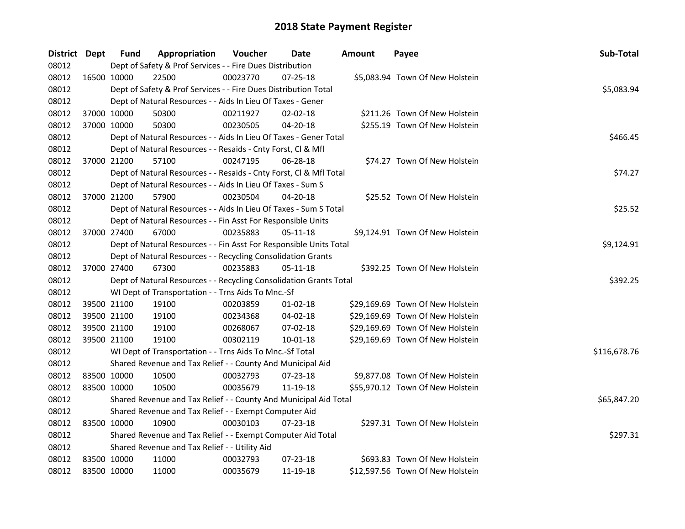| District Dept |             | <b>Fund</b> | Appropriation                                                      | Voucher    | Date           | Amount | Payee                            | Sub-Total    |
|---------------|-------------|-------------|--------------------------------------------------------------------|------------|----------------|--------|----------------------------------|--------------|
| 08012         |             |             | Dept of Safety & Prof Services - - Fire Dues Distribution          |            |                |        |                                  |              |
| 08012         |             | 16500 10000 | 22500                                                              | 00023770   | 07-25-18       |        | \$5,083.94 Town Of New Holstein  |              |
| 08012         |             |             | Dept of Safety & Prof Services - - Fire Dues Distribution Total    |            |                |        |                                  | \$5,083.94   |
| 08012         |             |             | Dept of Natural Resources - - Aids In Lieu Of Taxes - Gener        |            |                |        |                                  |              |
| 08012         |             | 37000 10000 | 50300                                                              | 00211927   | 02-02-18       |        | \$211.26 Town Of New Holstein    |              |
| 08012         | 37000 10000 |             | 50300                                                              | 00230505   | 04-20-18       |        | \$255.19 Town Of New Holstein    |              |
| 08012         |             |             | Dept of Natural Resources - - Aids In Lieu Of Taxes - Gener Total  |            |                |        |                                  | \$466.45     |
| 08012         |             |             | Dept of Natural Resources - - Resaids - Cnty Forst, Cl & Mfl       |            |                |        |                                  |              |
| 08012         |             | 37000 21200 | 57100                                                              | 00247195   | 06-28-18       |        | \$74.27 Town Of New Holstein     |              |
| 08012         |             |             | Dept of Natural Resources - - Resaids - Cnty Forst, Cl & Mfl Total |            |                |        |                                  | \$74.27      |
| 08012         |             |             | Dept of Natural Resources - - Aids In Lieu Of Taxes - Sum S        |            |                |        |                                  |              |
| 08012         |             | 37000 21200 | 57900                                                              | 00230504   | 04-20-18       |        | \$25.52 Town Of New Holstein     |              |
| 08012         |             |             | Dept of Natural Resources - - Aids In Lieu Of Taxes - Sum S Total  |            |                |        |                                  | \$25.52      |
| 08012         |             |             | Dept of Natural Resources - - Fin Asst For Responsible Units       |            |                |        |                                  |              |
| 08012         |             | 37000 27400 | 67000                                                              | 00235883   | 05-11-18       |        | \$9,124.91 Town Of New Holstein  |              |
| 08012         |             |             | Dept of Natural Resources - - Fin Asst For Responsible Units Total | \$9,124.91 |                |        |                                  |              |
| 08012         |             |             | Dept of Natural Resources - - Recycling Consolidation Grants       |            |                |        |                                  |              |
| 08012         |             | 37000 27400 | 67300                                                              | 00235883   | $05 - 11 - 18$ |        | \$392.25 Town Of New Holstein    |              |
| 08012         |             |             | Dept of Natural Resources - - Recycling Consolidation Grants Total |            |                |        |                                  | \$392.25     |
| 08012         |             |             | WI Dept of Transportation - - Trns Aids To Mnc.-Sf                 |            |                |        |                                  |              |
| 08012         |             | 39500 21100 | 19100                                                              | 00203859   | 01-02-18       |        | \$29,169.69 Town Of New Holstein |              |
| 08012         | 39500 21100 |             | 19100                                                              | 00234368   | 04-02-18       |        | \$29,169.69 Town Of New Holstein |              |
| 08012         | 39500 21100 |             | 19100                                                              | 00268067   | 07-02-18       |        | \$29,169.69 Town Of New Holstein |              |
| 08012         | 39500 21100 |             | 19100                                                              | 00302119   | 10-01-18       |        | \$29,169.69 Town Of New Holstein |              |
| 08012         |             |             | WI Dept of Transportation - - Trns Aids To Mnc.-Sf Total           |            |                |        |                                  | \$116,678.76 |
| 08012         |             |             | Shared Revenue and Tax Relief - - County And Municipal Aid         |            |                |        |                                  |              |
| 08012         | 83500 10000 |             | 10500                                                              | 00032793   | $07 - 23 - 18$ |        | \$9,877.08 Town Of New Holstein  |              |
| 08012         | 83500 10000 |             | 10500                                                              | 00035679   | 11-19-18       |        | \$55,970.12 Town Of New Holstein |              |
| 08012         |             |             | Shared Revenue and Tax Relief - - County And Municipal Aid Total   |            |                |        |                                  | \$65,847.20  |
| 08012         |             |             | Shared Revenue and Tax Relief - - Exempt Computer Aid              |            |                |        |                                  |              |
| 08012         |             | 83500 10000 | 10900                                                              | 00030103   | $07 - 23 - 18$ |        | \$297.31 Town Of New Holstein    |              |
| 08012         |             |             | Shared Revenue and Tax Relief - - Exempt Computer Aid Total        | \$297.31   |                |        |                                  |              |
| 08012         |             |             | Shared Revenue and Tax Relief - - Utility Aid                      |            |                |        |                                  |              |
| 08012         | 83500 10000 |             | 11000                                                              | 00032793   | $07 - 23 - 18$ |        | \$693.83 Town Of New Holstein    |              |
| 08012         | 83500 10000 |             | 11000                                                              | 00035679   | 11-19-18       |        | \$12,597.56 Town Of New Holstein |              |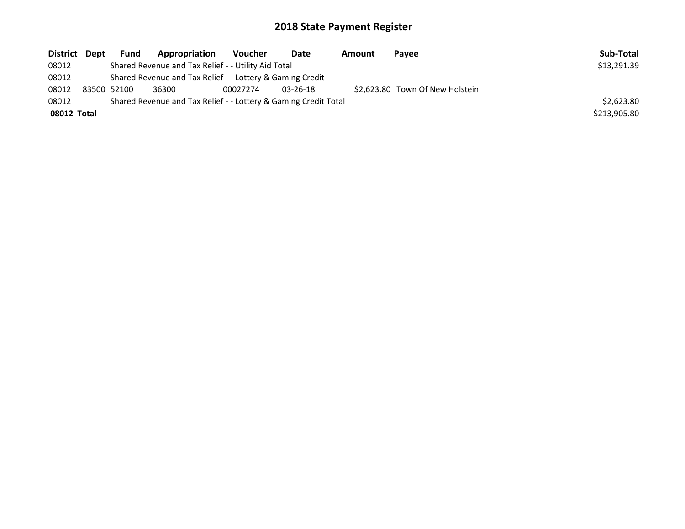| <b>District</b> | Dept                                                            | <b>Fund</b>                                               | <b>Appropriation</b>                                | Voucher  | <b>Date</b>    | Amount | Payee                           | Sub-Total    |
|-----------------|-----------------------------------------------------------------|-----------------------------------------------------------|-----------------------------------------------------|----------|----------------|--------|---------------------------------|--------------|
| 08012           |                                                                 |                                                           | Shared Revenue and Tax Relief - - Utility Aid Total |          |                |        |                                 | \$13,291.39  |
| 08012           |                                                                 | Shared Revenue and Tax Relief - - Lottery & Gaming Credit |                                                     |          |                |        |                                 |              |
| 08012           |                                                                 | 83500 52100                                               | 36300                                               | 00027274 | $03 - 26 - 18$ |        | \$2.623.80 Town Of New Holstein |              |
| 08012           | Shared Revenue and Tax Relief - - Lottery & Gaming Credit Total |                                                           |                                                     |          |                |        |                                 | \$2,623.80   |
| 08012 Total     |                                                                 |                                                           |                                                     |          |                |        |                                 | \$213,905.80 |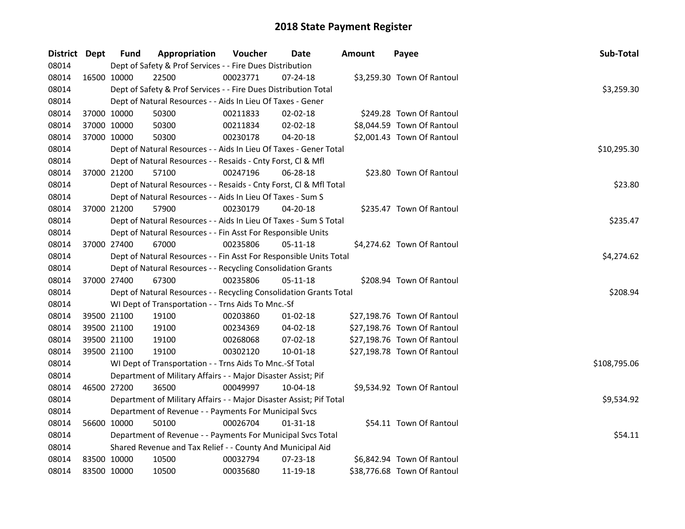| District Dept |             | <b>Fund</b> | Appropriation                                                       | Voucher    | Date           | <b>Amount</b> | Payee                       | Sub-Total    |
|---------------|-------------|-------------|---------------------------------------------------------------------|------------|----------------|---------------|-----------------------------|--------------|
| 08014         |             |             | Dept of Safety & Prof Services - - Fire Dues Distribution           |            |                |               |                             |              |
| 08014         | 16500 10000 |             | 22500                                                               | 00023771   | 07-24-18       |               | \$3,259.30 Town Of Rantoul  |              |
| 08014         |             |             | Dept of Safety & Prof Services - - Fire Dues Distribution Total     |            |                |               |                             | \$3,259.30   |
| 08014         |             |             | Dept of Natural Resources - - Aids In Lieu Of Taxes - Gener         |            |                |               |                             |              |
| 08014         | 37000 10000 |             | 50300                                                               | 00211833   | 02-02-18       |               | \$249.28 Town Of Rantoul    |              |
| 08014         | 37000 10000 |             | 50300                                                               | 00211834   | 02-02-18       |               | \$8,044.59 Town Of Rantoul  |              |
| 08014         | 37000 10000 |             | 50300                                                               | 00230178   | $04 - 20 - 18$ |               | \$2,001.43 Town Of Rantoul  |              |
| 08014         |             |             | Dept of Natural Resources - - Aids In Lieu Of Taxes - Gener Total   |            |                |               |                             | \$10,295.30  |
| 08014         |             |             | Dept of Natural Resources - - Resaids - Cnty Forst, Cl & Mfl        |            |                |               |                             |              |
| 08014         | 37000 21200 |             | 57100                                                               | 00247196   | $06 - 28 - 18$ |               | \$23.80 Town Of Rantoul     |              |
| 08014         |             |             | Dept of Natural Resources - - Resaids - Cnty Forst, Cl & Mfl Total  |            |                |               |                             | \$23.80      |
| 08014         |             |             | Dept of Natural Resources - - Aids In Lieu Of Taxes - Sum S         |            |                |               |                             |              |
| 08014         | 37000 21200 |             | 57900                                                               | 00230179   | 04-20-18       |               | \$235.47 Town Of Rantoul    |              |
| 08014         |             |             | Dept of Natural Resources - - Aids In Lieu Of Taxes - Sum S Total   |            |                |               |                             | \$235.47     |
| 08014         |             |             | Dept of Natural Resources - - Fin Asst For Responsible Units        |            |                |               |                             |              |
| 08014         | 37000 27400 |             | 67000                                                               | 00235806   | 05-11-18       |               | \$4,274.62 Town Of Rantoul  |              |
| 08014         |             |             | Dept of Natural Resources - - Fin Asst For Responsible Units Total  | \$4,274.62 |                |               |                             |              |
| 08014         |             |             | Dept of Natural Resources - - Recycling Consolidation Grants        |            |                |               |                             |              |
| 08014         | 37000 27400 |             | 67300                                                               | 00235806   | 05-11-18       |               | \$208.94 Town Of Rantoul    |              |
| 08014         |             |             | Dept of Natural Resources - - Recycling Consolidation Grants Total  |            |                |               |                             | \$208.94     |
| 08014         |             |             | WI Dept of Transportation - - Trns Aids To Mnc.-Sf                  |            |                |               |                             |              |
| 08014         | 39500 21100 |             | 19100                                                               | 00203860   | $01 - 02 - 18$ |               | \$27,198.76 Town Of Rantoul |              |
| 08014         | 39500 21100 |             | 19100                                                               | 00234369   | 04-02-18       |               | \$27,198.76 Town Of Rantoul |              |
| 08014         | 39500 21100 |             | 19100                                                               | 00268068   | 07-02-18       |               | \$27,198.76 Town Of Rantoul |              |
| 08014         | 39500 21100 |             | 19100                                                               | 00302120   | 10-01-18       |               | \$27,198.78 Town Of Rantoul |              |
| 08014         |             |             | WI Dept of Transportation - - Trns Aids To Mnc.-Sf Total            |            |                |               |                             | \$108,795.06 |
| 08014         |             |             | Department of Military Affairs - - Major Disaster Assist; Pif       |            |                |               |                             |              |
| 08014         | 46500 27200 |             | 36500                                                               | 00049997   | 10-04-18       |               | \$9,534.92 Town Of Rantoul  |              |
| 08014         |             |             | Department of Military Affairs - - Major Disaster Assist; Pif Total |            |                |               |                             | \$9,534.92   |
| 08014         |             |             | Department of Revenue - - Payments For Municipal Svcs               |            |                |               |                             |              |
| 08014         | 56600 10000 |             | 50100                                                               | 00026704   | 01-31-18       |               | \$54.11 Town Of Rantoul     |              |
| 08014         |             |             | Department of Revenue - - Payments For Municipal Svcs Total         |            |                |               |                             | \$54.11      |
| 08014         |             |             | Shared Revenue and Tax Relief - - County And Municipal Aid          |            |                |               |                             |              |
| 08014         | 83500 10000 |             | 10500                                                               | 00032794   | 07-23-18       |               | \$6,842.94 Town Of Rantoul  |              |
| 08014         | 83500 10000 |             | 10500                                                               | 00035680   | 11-19-18       |               | \$38,776.68 Town Of Rantoul |              |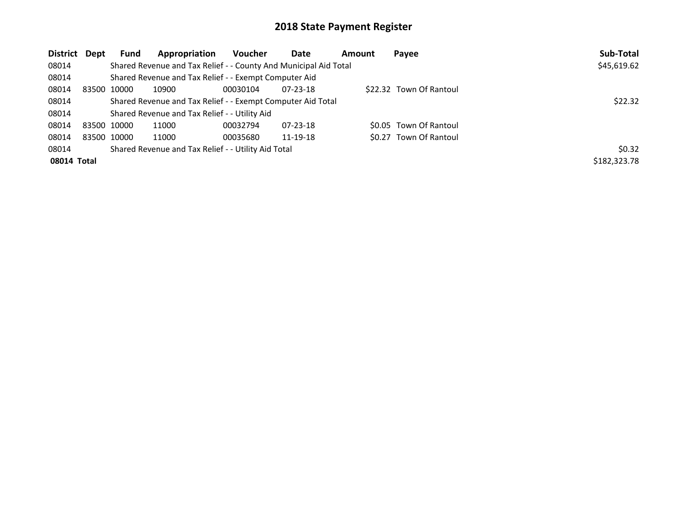| <b>District</b> | Dept | <b>Fund</b> | Appropriation                                                    | Voucher  | Date           | <b>Amount</b> | Payee                   | Sub-Total    |
|-----------------|------|-------------|------------------------------------------------------------------|----------|----------------|---------------|-------------------------|--------------|
| 08014           |      |             | Shared Revenue and Tax Relief - - County And Municipal Aid Total |          |                |               |                         | \$45,619.62  |
| 08014           |      |             | Shared Revenue and Tax Relief - - Exempt Computer Aid            |          |                |               |                         |              |
| 08014           |      | 83500 10000 | 10900                                                            | 00030104 | $07 - 23 - 18$ |               | \$22.32 Town Of Rantoul |              |
| 08014           |      |             | Shared Revenue and Tax Relief - - Exempt Computer Aid Total      | \$22.32  |                |               |                         |              |
| 08014           |      |             | Shared Revenue and Tax Relief - - Utility Aid                    |          |                |               |                         |              |
| 08014           |      | 83500 10000 | 11000                                                            | 00032794 | $07 - 23 - 18$ |               | \$0.05 Town Of Rantoul  |              |
| 08014           |      | 83500 10000 | 11000                                                            | 00035680 | 11-19-18       |               | \$0.27 Town Of Rantoul  |              |
| 08014           |      |             | Shared Revenue and Tax Relief - - Utility Aid Total              |          |                |               |                         | \$0.32       |
| 08014 Total     |      |             |                                                                  |          |                |               |                         | \$182,323.78 |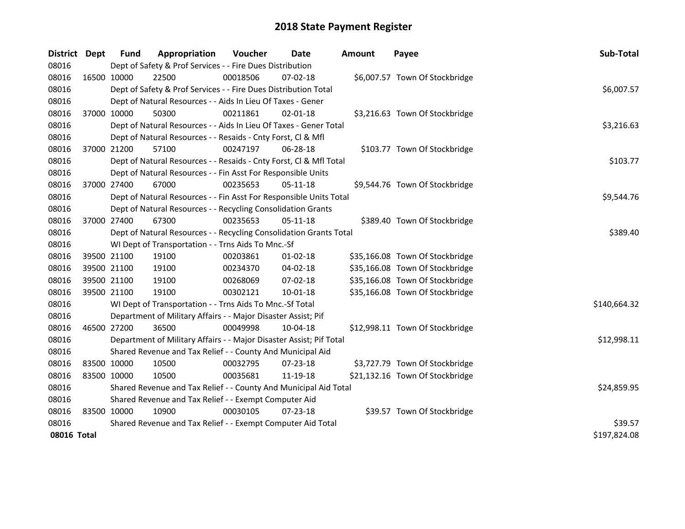| District    | <b>Dept</b> | Fund        | Appropriation                                                       | <b>Voucher</b> | Date           | <b>Amount</b> | Payee                           | Sub-Total    |
|-------------|-------------|-------------|---------------------------------------------------------------------|----------------|----------------|---------------|---------------------------------|--------------|
| 08016       |             |             | Dept of Safety & Prof Services - - Fire Dues Distribution           |                |                |               |                                 |              |
| 08016       |             | 16500 10000 | 22500                                                               | 00018506       | 07-02-18       |               | \$6,007.57 Town Of Stockbridge  |              |
| 08016       |             |             | Dept of Safety & Prof Services - - Fire Dues Distribution Total     |                |                |               |                                 | \$6,007.57   |
| 08016       |             |             | Dept of Natural Resources - - Aids In Lieu Of Taxes - Gener         |                |                |               |                                 |              |
| 08016       |             | 37000 10000 | 50300                                                               | 00211861       | 02-01-18       |               | \$3,216.63 Town Of Stockbridge  |              |
| 08016       |             |             | Dept of Natural Resources - - Aids In Lieu Of Taxes - Gener Total   |                |                |               |                                 | \$3,216.63   |
| 08016       |             |             | Dept of Natural Resources - - Resaids - Cnty Forst, Cl & Mfl        |                |                |               |                                 |              |
| 08016       |             | 37000 21200 | 57100                                                               | 00247197       | 06-28-18       |               | \$103.77 Town Of Stockbridge    |              |
| 08016       |             |             | Dept of Natural Resources - - Resaids - Cnty Forst, Cl & Mfl Total  |                |                |               |                                 | \$103.77     |
| 08016       |             |             | Dept of Natural Resources - - Fin Asst For Responsible Units        |                |                |               |                                 |              |
| 08016       |             | 37000 27400 | 67000                                                               | 00235653       | $05-11-18$     |               | \$9,544.76 Town Of Stockbridge  |              |
| 08016       |             |             | Dept of Natural Resources - - Fin Asst For Responsible Units Total  |                |                |               |                                 | \$9,544.76   |
| 08016       |             |             | Dept of Natural Resources - - Recycling Consolidation Grants        |                |                |               |                                 |              |
| 08016       |             | 37000 27400 | 67300                                                               | 00235653       | 05-11-18       |               | \$389.40 Town Of Stockbridge    |              |
| 08016       |             |             | Dept of Natural Resources - - Recycling Consolidation Grants Total  | \$389.40       |                |               |                                 |              |
| 08016       |             |             | WI Dept of Transportation - - Trns Aids To Mnc.-Sf                  |                |                |               |                                 |              |
| 08016       |             | 39500 21100 | 19100                                                               | 00203861       | $01 - 02 - 18$ |               | \$35,166.08 Town Of Stockbridge |              |
| 08016       |             | 39500 21100 | 19100                                                               | 00234370       | 04-02-18       |               | \$35,166.08 Town Of Stockbridge |              |
| 08016       |             | 39500 21100 | 19100                                                               | 00268069       | 07-02-18       |               | \$35,166.08 Town Of Stockbridge |              |
| 08016       |             | 39500 21100 | 19100                                                               | 00302121       | 10-01-18       |               | \$35,166.08 Town Of Stockbridge |              |
| 08016       |             |             | WI Dept of Transportation - - Trns Aids To Mnc.-Sf Total            |                |                |               |                                 | \$140,664.32 |
| 08016       |             |             | Department of Military Affairs - - Major Disaster Assist; Pif       |                |                |               |                                 |              |
| 08016       |             | 46500 27200 | 36500                                                               | 00049998       | 10-04-18       |               | \$12,998.11 Town Of Stockbridge |              |
| 08016       |             |             | Department of Military Affairs - - Major Disaster Assist; Pif Total |                |                |               |                                 | \$12,998.11  |
| 08016       |             |             | Shared Revenue and Tax Relief - - County And Municipal Aid          |                |                |               |                                 |              |
| 08016       |             | 83500 10000 | 10500                                                               | 00032795       | 07-23-18       |               | \$3,727.79 Town Of Stockbridge  |              |
| 08016       |             | 83500 10000 | 10500                                                               | 00035681       | 11-19-18       |               | \$21,132.16 Town Of Stockbridge |              |
| 08016       |             |             | Shared Revenue and Tax Relief - - County And Municipal Aid Total    | \$24,859.95    |                |               |                                 |              |
| 08016       |             |             | Shared Revenue and Tax Relief - - Exempt Computer Aid               |                |                |               |                                 |              |
| 08016       |             | 83500 10000 | 10900                                                               | 00030105       | 07-23-18       |               | \$39.57 Town Of Stockbridge     |              |
| 08016       |             |             | Shared Revenue and Tax Relief - - Exempt Computer Aid Total         | \$39.57        |                |               |                                 |              |
| 08016 Total |             |             |                                                                     |                |                |               |                                 | \$197,824.08 |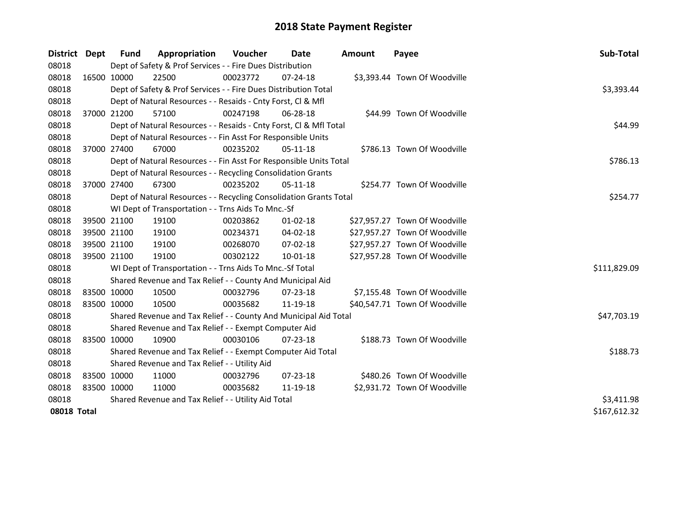| District | <b>Dept</b>                 | Fund                                                | Appropriation                                                                  | <b>Voucher</b> | Date           | <b>Amount</b> | Payee                         | Sub-Total    |  |  |  |
|----------|-----------------------------|-----------------------------------------------------|--------------------------------------------------------------------------------|----------------|----------------|---------------|-------------------------------|--------------|--|--|--|
| 08018    |                             |                                                     | Dept of Safety & Prof Services - - Fire Dues Distribution                      |                |                |               |                               |              |  |  |  |
| 08018    |                             | 16500 10000                                         | 22500                                                                          | 00023772       | $07 - 24 - 18$ |               | \$3,393.44 Town Of Woodville  |              |  |  |  |
| 08018    |                             |                                                     | Dept of Safety & Prof Services - - Fire Dues Distribution Total                |                |                |               |                               | \$3,393.44   |  |  |  |
| 08018    |                             |                                                     | Dept of Natural Resources - - Resaids - Cnty Forst, Cl & Mfl                   |                |                |               |                               |              |  |  |  |
| 08018    |                             | 37000 21200                                         | 57100                                                                          | 00247198       | 06-28-18       |               | \$44.99 Town Of Woodville     |              |  |  |  |
| 08018    |                             |                                                     | Dept of Natural Resources - - Resaids - Cnty Forst, Cl & Mfl Total             |                |                |               |                               | \$44.99      |  |  |  |
| 08018    |                             |                                                     | Dept of Natural Resources - - Fin Asst For Responsible Units                   |                |                |               |                               |              |  |  |  |
| 08018    |                             | 37000 27400                                         | 67000                                                                          | 00235202       | 05-11-18       |               | \$786.13 Town Of Woodville    |              |  |  |  |
| 08018    |                             |                                                     | \$786.13<br>Dept of Natural Resources - - Fin Asst For Responsible Units Total |                |                |               |                               |              |  |  |  |
| 08018    |                             |                                                     | Dept of Natural Resources - - Recycling Consolidation Grants                   |                |                |               |                               |              |  |  |  |
| 08018    |                             | 37000 27400                                         | 67300                                                                          | 00235202       | 05-11-18       |               | \$254.77 Town Of Woodville    |              |  |  |  |
| 08018    |                             |                                                     | Dept of Natural Resources - - Recycling Consolidation Grants Total             |                |                |               |                               | \$254.77     |  |  |  |
| 08018    |                             |                                                     | WI Dept of Transportation - - Trns Aids To Mnc.-Sf                             |                |                |               |                               |              |  |  |  |
| 08018    |                             | 39500 21100                                         | 19100                                                                          | 00203862       | 01-02-18       |               | \$27,957.27 Town Of Woodville |              |  |  |  |
| 08018    |                             | 39500 21100                                         | 19100                                                                          | 00234371       | 04-02-18       |               | \$27,957.27 Town Of Woodville |              |  |  |  |
| 08018    |                             | 39500 21100                                         | 19100                                                                          | 00268070       | 07-02-18       |               | \$27,957.27 Town Of Woodville |              |  |  |  |
| 08018    |                             | 39500 21100                                         | 19100                                                                          | 00302122       | $10 - 01 - 18$ |               | \$27,957.28 Town Of Woodville |              |  |  |  |
| 08018    |                             |                                                     | WI Dept of Transportation - - Trns Aids To Mnc.-Sf Total                       |                |                |               |                               | \$111,829.09 |  |  |  |
| 08018    |                             |                                                     | Shared Revenue and Tax Relief - - County And Municipal Aid                     |                |                |               |                               |              |  |  |  |
| 08018    |                             | 83500 10000                                         | 10500                                                                          | 00032796       | 07-23-18       |               | \$7,155.48 Town Of Woodville  |              |  |  |  |
| 08018    |                             | 83500 10000                                         | 10500                                                                          | 00035682       | 11-19-18       |               | \$40,547.71 Town Of Woodville |              |  |  |  |
| 08018    |                             |                                                     | Shared Revenue and Tax Relief - - County And Municipal Aid Total               |                |                |               |                               | \$47,703.19  |  |  |  |
| 08018    |                             |                                                     | Shared Revenue and Tax Relief - - Exempt Computer Aid                          |                |                |               |                               |              |  |  |  |
| 08018    | 83500 10000                 |                                                     | 10900                                                                          | 00030106       | $07 - 23 - 18$ |               | \$188.73 Town Of Woodville    |              |  |  |  |
| 08018    |                             |                                                     | Shared Revenue and Tax Relief - - Exempt Computer Aid Total                    |                |                |               |                               | \$188.73     |  |  |  |
| 08018    |                             |                                                     | Shared Revenue and Tax Relief - - Utility Aid                                  |                |                |               |                               |              |  |  |  |
| 08018    |                             | 83500 10000                                         | 11000                                                                          | 00032796       | 07-23-18       |               | \$480.26 Town Of Woodville    |              |  |  |  |
| 08018    |                             | 83500 10000                                         | 11000                                                                          | 00035682       | 11-19-18       |               | \$2,931.72 Town Of Woodville  |              |  |  |  |
| 08018    |                             | Shared Revenue and Tax Relief - - Utility Aid Total |                                                                                |                |                |               |                               |              |  |  |  |
|          | \$167,612.32<br>08018 Total |                                                     |                                                                                |                |                |               |                               |              |  |  |  |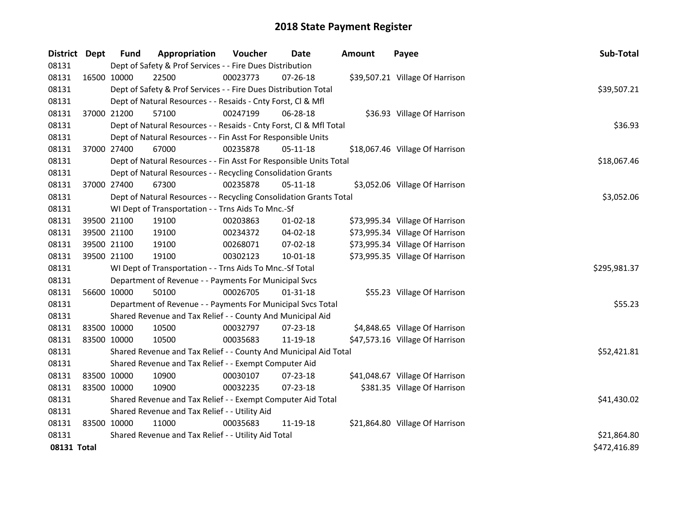| District Dept | <b>Fund</b>                                   | Appropriation                                                      | Voucher  | <b>Date</b>    | <b>Amount</b> | Payee                           | Sub-Total    |  |
|---------------|-----------------------------------------------|--------------------------------------------------------------------|----------|----------------|---------------|---------------------------------|--------------|--|
| 08131         |                                               | Dept of Safety & Prof Services - - Fire Dues Distribution          |          |                |               |                                 |              |  |
| 08131         | 16500 10000                                   | 22500                                                              | 00023773 | 07-26-18       |               | \$39,507.21 Village Of Harrison |              |  |
| 08131         |                                               | Dept of Safety & Prof Services - - Fire Dues Distribution Total    |          |                |               |                                 | \$39,507.21  |  |
| 08131         |                                               | Dept of Natural Resources - - Resaids - Cnty Forst, Cl & Mfl       |          |                |               |                                 |              |  |
| 08131         | 37000 21200                                   | 57100                                                              | 00247199 | 06-28-18       |               | \$36.93 Village Of Harrison     |              |  |
| 08131         |                                               | Dept of Natural Resources - - Resaids - Cnty Forst, Cl & Mfl Total |          |                |               |                                 | \$36.93      |  |
| 08131         |                                               | Dept of Natural Resources - - Fin Asst For Responsible Units       |          |                |               |                                 |              |  |
| 08131         | 37000 27400                                   | 67000                                                              | 00235878 | 05-11-18       |               | \$18,067.46 Village Of Harrison |              |  |
| 08131         |                                               | Dept of Natural Resources - - Fin Asst For Responsible Units Total |          |                |               |                                 | \$18,067.46  |  |
| 08131         |                                               | Dept of Natural Resources - - Recycling Consolidation Grants       |          |                |               |                                 |              |  |
| 08131         | 37000 27400                                   | 67300                                                              | 00235878 | $05-11-18$     |               | \$3,052.06 Village Of Harrison  |              |  |
| 08131         |                                               | Dept of Natural Resources - - Recycling Consolidation Grants Total |          |                |               |                                 | \$3,052.06   |  |
| 08131         |                                               | WI Dept of Transportation - - Trns Aids To Mnc.-Sf                 |          |                |               |                                 |              |  |
| 08131         | 39500 21100                                   | 19100                                                              | 00203863 | $01 - 02 - 18$ |               | \$73,995.34 Village Of Harrison |              |  |
| 08131         | 39500 21100                                   | 19100                                                              | 00234372 | 04-02-18       |               | \$73,995.34 Village Of Harrison |              |  |
| 08131         | 39500 21100                                   | 19100                                                              | 00268071 | 07-02-18       |               | \$73,995.34 Village Of Harrison |              |  |
| 08131         | 39500 21100                                   | 19100                                                              | 00302123 | 10-01-18       |               | \$73,995.35 Village Of Harrison |              |  |
| 08131         |                                               | WI Dept of Transportation - - Trns Aids To Mnc.-Sf Total           |          |                |               |                                 | \$295,981.37 |  |
| 08131         |                                               | Department of Revenue - - Payments For Municipal Svcs              |          |                |               |                                 |              |  |
| 08131         | 56600 10000                                   | 50100                                                              | 00026705 | 01-31-18       |               | \$55.23 Village Of Harrison     |              |  |
| 08131         |                                               | Department of Revenue - - Payments For Municipal Svcs Total        |          |                |               |                                 | \$55.23      |  |
| 08131         |                                               | Shared Revenue and Tax Relief - - County And Municipal Aid         |          |                |               |                                 |              |  |
| 08131         | 83500 10000                                   | 10500                                                              | 00032797 | 07-23-18       |               | \$4,848.65 Village Of Harrison  |              |  |
| 08131         | 83500 10000                                   | 10500                                                              | 00035683 | 11-19-18       |               | \$47,573.16 Village Of Harrison |              |  |
| 08131         |                                               | Shared Revenue and Tax Relief - - County And Municipal Aid Total   |          |                |               |                                 | \$52,421.81  |  |
| 08131         |                                               | Shared Revenue and Tax Relief - - Exempt Computer Aid              |          |                |               |                                 |              |  |
| 08131         | 83500 10000                                   | 10900                                                              | 00030107 | 07-23-18       |               | \$41,048.67 Village Of Harrison |              |  |
| 08131         | 83500 10000                                   | 10900                                                              | 00032235 | $07 - 23 - 18$ |               | \$381.35 Village Of Harrison    |              |  |
| 08131         |                                               | Shared Revenue and Tax Relief - - Exempt Computer Aid Total        |          |                |               |                                 | \$41,430.02  |  |
| 08131         | Shared Revenue and Tax Relief - - Utility Aid |                                                                    |          |                |               |                                 |              |  |
| 08131         | 83500 10000                                   | 11000                                                              | 00035683 | 11-19-18       |               | \$21,864.80 Village Of Harrison |              |  |
| 08131         |                                               | Shared Revenue and Tax Relief - - Utility Aid Total                |          |                |               |                                 | \$21,864.80  |  |
| 08131 Total   |                                               |                                                                    |          |                |               |                                 | \$472,416.89 |  |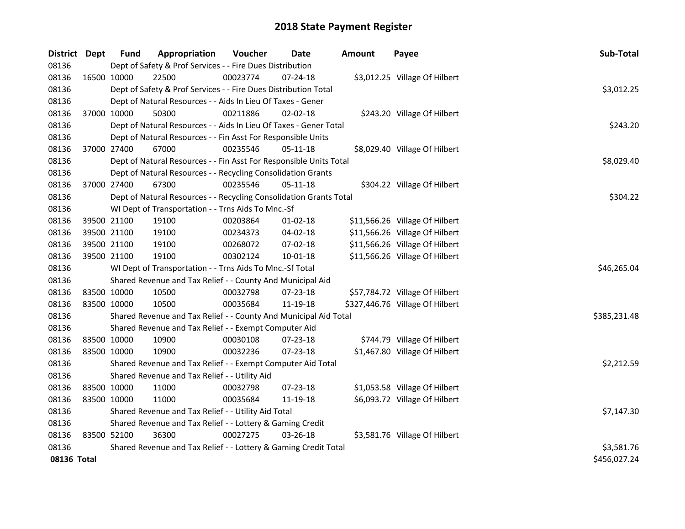| District Dept |             | Fund | Appropriation                                                      | Voucher  | Date           | <b>Amount</b> | Payee                           | Sub-Total    |  |  |
|---------------|-------------|------|--------------------------------------------------------------------|----------|----------------|---------------|---------------------------------|--------------|--|--|
| 08136         |             |      | Dept of Safety & Prof Services - - Fire Dues Distribution          |          |                |               |                                 |              |  |  |
| 08136         | 16500 10000 |      | 22500                                                              | 00023774 | 07-24-18       |               | \$3,012.25 Village Of Hilbert   |              |  |  |
| 08136         |             |      | Dept of Safety & Prof Services - - Fire Dues Distribution Total    |          |                |               |                                 | \$3,012.25   |  |  |
| 08136         |             |      | Dept of Natural Resources - - Aids In Lieu Of Taxes - Gener        |          |                |               |                                 |              |  |  |
| 08136         | 37000 10000 |      | 50300                                                              | 00211886 | $02 - 02 - 18$ |               | \$243.20 Village Of Hilbert     |              |  |  |
| 08136         |             |      | Dept of Natural Resources - - Aids In Lieu Of Taxes - Gener Total  |          |                |               |                                 | \$243.20     |  |  |
| 08136         |             |      | Dept of Natural Resources - - Fin Asst For Responsible Units       |          |                |               |                                 |              |  |  |
| 08136         | 37000 27400 |      | 67000                                                              | 00235546 | 05-11-18       |               | \$8,029.40 Village Of Hilbert   |              |  |  |
| 08136         |             |      | Dept of Natural Resources - - Fin Asst For Responsible Units Total |          |                |               |                                 | \$8,029.40   |  |  |
| 08136         |             |      | Dept of Natural Resources - - Recycling Consolidation Grants       |          |                |               |                                 |              |  |  |
| 08136         | 37000 27400 |      | 67300                                                              | 00235546 | 05-11-18       |               | \$304.22 Village Of Hilbert     |              |  |  |
| 08136         |             |      | Dept of Natural Resources - - Recycling Consolidation Grants Total |          |                |               |                                 | \$304.22     |  |  |
| 08136         |             |      | WI Dept of Transportation - - Trns Aids To Mnc.-Sf                 |          |                |               |                                 |              |  |  |
| 08136         | 39500 21100 |      | 19100                                                              | 00203864 | 01-02-18       |               | \$11,566.26 Village Of Hilbert  |              |  |  |
| 08136         | 39500 21100 |      | 19100                                                              | 00234373 | 04-02-18       |               | \$11,566.26 Village Of Hilbert  |              |  |  |
| 08136         | 39500 21100 |      | 19100                                                              | 00268072 | 07-02-18       |               | \$11,566.26 Village Of Hilbert  |              |  |  |
| 08136         | 39500 21100 |      | 19100                                                              | 00302124 | $10 - 01 - 18$ |               | \$11,566.26 Village Of Hilbert  |              |  |  |
| 08136         |             |      | WI Dept of Transportation - - Trns Aids To Mnc.-Sf Total           |          |                |               |                                 | \$46,265.04  |  |  |
| 08136         |             |      | Shared Revenue and Tax Relief - - County And Municipal Aid         |          |                |               |                                 |              |  |  |
| 08136         | 83500 10000 |      | 10500                                                              | 00032798 | 07-23-18       |               | \$57,784.72 Village Of Hilbert  |              |  |  |
| 08136         | 83500 10000 |      | 10500                                                              | 00035684 | 11-19-18       |               | \$327,446.76 Village Of Hilbert |              |  |  |
| 08136         |             |      | Shared Revenue and Tax Relief - - County And Municipal Aid Total   |          |                |               |                                 | \$385,231.48 |  |  |
| 08136         |             |      | Shared Revenue and Tax Relief - - Exempt Computer Aid              |          |                |               |                                 |              |  |  |
| 08136         | 83500 10000 |      | 10900                                                              | 00030108 | 07-23-18       |               | \$744.79 Village Of Hilbert     |              |  |  |
| 08136         | 83500 10000 |      | 10900                                                              | 00032236 | 07-23-18       |               | \$1,467.80 Village Of Hilbert   |              |  |  |
| 08136         |             |      | Shared Revenue and Tax Relief - - Exempt Computer Aid Total        |          |                |               |                                 | \$2,212.59   |  |  |
| 08136         |             |      | Shared Revenue and Tax Relief - - Utility Aid                      |          |                |               |                                 |              |  |  |
| 08136         | 83500 10000 |      | 11000                                                              | 00032798 | 07-23-18       |               | \$1,053.58 Village Of Hilbert   |              |  |  |
| 08136         | 83500 10000 |      | 11000                                                              | 00035684 | 11-19-18       |               | \$6,093.72 Village Of Hilbert   |              |  |  |
| 08136         |             |      | Shared Revenue and Tax Relief - - Utility Aid Total                |          |                |               |                                 | \$7,147.30   |  |  |
| 08136         |             |      | Shared Revenue and Tax Relief - - Lottery & Gaming Credit          |          |                |               |                                 |              |  |  |
| 08136         | 83500 52100 |      | 36300                                                              | 00027275 | $03 - 26 - 18$ |               | \$3,581.76 Village Of Hilbert   |              |  |  |
| 08136         |             |      | Shared Revenue and Tax Relief - - Lottery & Gaming Credit Total    |          |                |               |                                 | \$3,581.76   |  |  |
| 08136 Total   |             |      |                                                                    |          |                |               |                                 | \$456,027.24 |  |  |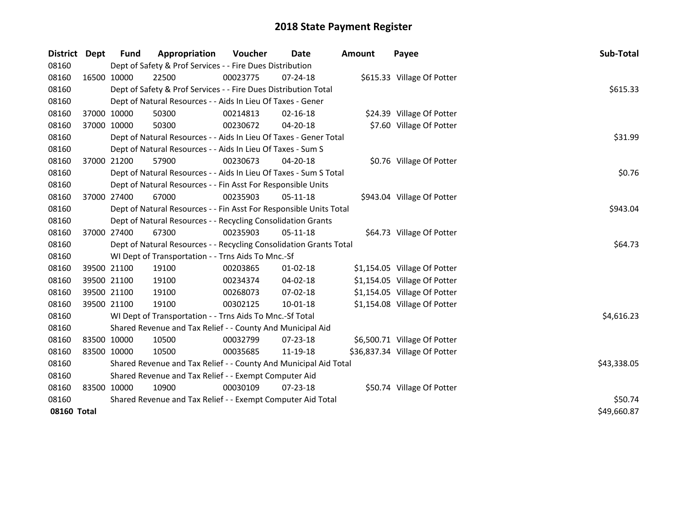| District    | <b>Dept</b> | Fund        | Appropriation                                                      | Voucher  | Date           | <b>Amount</b> | Payee                         | Sub-Total   |  |  |
|-------------|-------------|-------------|--------------------------------------------------------------------|----------|----------------|---------------|-------------------------------|-------------|--|--|
| 08160       |             |             | Dept of Safety & Prof Services - - Fire Dues Distribution          |          |                |               |                               |             |  |  |
| 08160       |             | 16500 10000 | 22500                                                              | 00023775 | 07-24-18       |               | \$615.33 Village Of Potter    |             |  |  |
| 08160       |             |             | Dept of Safety & Prof Services - - Fire Dues Distribution Total    |          |                |               |                               | \$615.33    |  |  |
| 08160       |             |             | Dept of Natural Resources - - Aids In Lieu Of Taxes - Gener        |          |                |               |                               |             |  |  |
| 08160       |             | 37000 10000 | 50300                                                              | 00214813 | $02 - 16 - 18$ |               | \$24.39 Village Of Potter     |             |  |  |
| 08160       | 37000 10000 |             | 50300                                                              | 00230672 | 04-20-18       |               | \$7.60 Village Of Potter      |             |  |  |
| 08160       |             |             | Dept of Natural Resources - - Aids In Lieu Of Taxes - Gener Total  |          |                |               |                               | \$31.99     |  |  |
| 08160       |             |             | Dept of Natural Resources - - Aids In Lieu Of Taxes - Sum S        |          |                |               |                               |             |  |  |
| 08160       | 37000 21200 |             | 57900                                                              | 00230673 | 04-20-18       |               | \$0.76 Village Of Potter      |             |  |  |
| 08160       |             |             | Dept of Natural Resources - - Aids In Lieu Of Taxes - Sum S Total  |          |                |               |                               | \$0.76      |  |  |
| 08160       |             |             | Dept of Natural Resources - - Fin Asst For Responsible Units       |          |                |               |                               |             |  |  |
| 08160       |             | 37000 27400 | 67000                                                              | 00235903 | $05-11-18$     |               | \$943.04 Village Of Potter    |             |  |  |
| 08160       |             |             | Dept of Natural Resources - - Fin Asst For Responsible Units Total |          |                |               |                               | \$943.04    |  |  |
| 08160       |             |             | Dept of Natural Resources - - Recycling Consolidation Grants       |          |                |               |                               |             |  |  |
| 08160       |             | 37000 27400 | 67300                                                              | 00235903 | $05-11-18$     |               | \$64.73 Village Of Potter     |             |  |  |
| 08160       |             |             | Dept of Natural Resources - - Recycling Consolidation Grants Total |          |                |               |                               | \$64.73     |  |  |
| 08160       |             |             | WI Dept of Transportation - - Trns Aids To Mnc.-Sf                 |          |                |               |                               |             |  |  |
| 08160       |             | 39500 21100 | 19100                                                              | 00203865 | $01 - 02 - 18$ |               | \$1,154.05 Village Of Potter  |             |  |  |
| 08160       |             | 39500 21100 | 19100                                                              | 00234374 | 04-02-18       |               | \$1,154.05 Village Of Potter  |             |  |  |
| 08160       |             | 39500 21100 | 19100                                                              | 00268073 | 07-02-18       |               | \$1,154.05 Village Of Potter  |             |  |  |
| 08160       | 39500 21100 |             | 19100                                                              | 00302125 | 10-01-18       |               | \$1,154.08 Village Of Potter  |             |  |  |
| 08160       |             |             | WI Dept of Transportation - - Trns Aids To Mnc.-Sf Total           |          |                |               |                               | \$4,616.23  |  |  |
| 08160       |             |             | Shared Revenue and Tax Relief - - County And Municipal Aid         |          |                |               |                               |             |  |  |
| 08160       |             | 83500 10000 | 10500                                                              | 00032799 | 07-23-18       |               | \$6,500.71 Village Of Potter  |             |  |  |
| 08160       | 83500 10000 |             | 10500                                                              | 00035685 | 11-19-18       |               | \$36,837.34 Village Of Potter |             |  |  |
| 08160       |             |             | Shared Revenue and Tax Relief - - County And Municipal Aid Total   |          |                |               |                               | \$43,338.05 |  |  |
| 08160       |             |             | Shared Revenue and Tax Relief - - Exempt Computer Aid              |          |                |               |                               |             |  |  |
| 08160       |             | 83500 10000 | 10900                                                              | 00030109 | $07 - 23 - 18$ |               | \$50.74 Village Of Potter     |             |  |  |
| 08160       |             |             | Shared Revenue and Tax Relief - - Exempt Computer Aid Total        |          |                |               |                               |             |  |  |
| 08160 Total |             |             |                                                                    |          |                |               |                               | \$49,660.87 |  |  |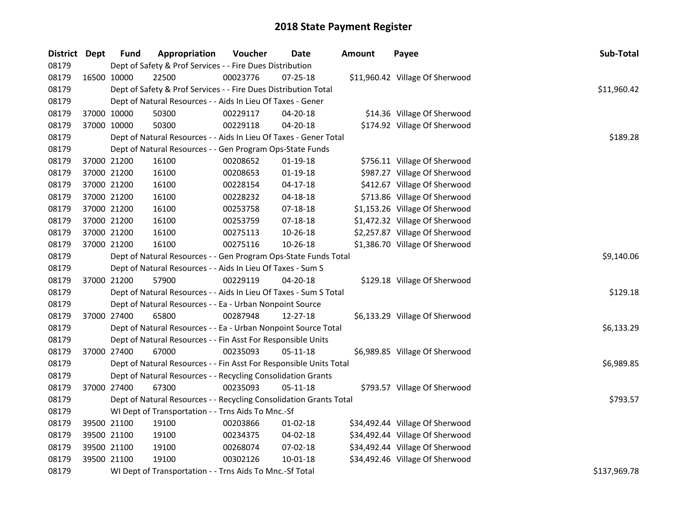| District Dept |             | <b>Fund</b> | Appropriation                                                      | Voucher  | <b>Date</b>    | Amount | Payee                           | Sub-Total    |
|---------------|-------------|-------------|--------------------------------------------------------------------|----------|----------------|--------|---------------------------------|--------------|
| 08179         |             |             | Dept of Safety & Prof Services - - Fire Dues Distribution          |          |                |        |                                 |              |
| 08179         | 16500 10000 |             | 22500                                                              | 00023776 | 07-25-18       |        | \$11,960.42 Village Of Sherwood |              |
| 08179         |             |             | Dept of Safety & Prof Services - - Fire Dues Distribution Total    |          |                |        |                                 | \$11,960.42  |
| 08179         |             |             | Dept of Natural Resources - - Aids In Lieu Of Taxes - Gener        |          |                |        |                                 |              |
| 08179         | 37000 10000 |             | 50300                                                              | 00229117 | $04 - 20 - 18$ |        | \$14.36 Village Of Sherwood     |              |
| 08179         | 37000 10000 |             | 50300                                                              | 00229118 | 04-20-18       |        | \$174.92 Village Of Sherwood    |              |
| 08179         |             |             | Dept of Natural Resources - - Aids In Lieu Of Taxes - Gener Total  |          |                |        |                                 | \$189.28     |
| 08179         |             |             | Dept of Natural Resources - - Gen Program Ops-State Funds          |          |                |        |                                 |              |
| 08179         | 37000 21200 |             | 16100                                                              | 00208652 | $01-19-18$     |        | \$756.11 Village Of Sherwood    |              |
| 08179         | 37000 21200 |             | 16100                                                              | 00208653 | $01-19-18$     |        | \$987.27 Village Of Sherwood    |              |
| 08179         | 37000 21200 |             | 16100                                                              | 00228154 | $04-17-18$     |        | \$412.67 Village Of Sherwood    |              |
| 08179         | 37000 21200 |             | 16100                                                              | 00228232 | $04 - 18 - 18$ |        | \$713.86 Village Of Sherwood    |              |
| 08179         | 37000 21200 |             | 16100                                                              | 00253758 | 07-18-18       |        | \$1,153.26 Village Of Sherwood  |              |
| 08179         | 37000 21200 |             | 16100                                                              | 00253759 | 07-18-18       |        | \$1,472.32 Village Of Sherwood  |              |
| 08179         | 37000 21200 |             | 16100                                                              | 00275113 | 10-26-18       |        | \$2,257.87 Village Of Sherwood  |              |
| 08179         | 37000 21200 |             | 16100                                                              | 00275116 | 10-26-18       |        | \$1,386.70 Village Of Sherwood  |              |
| 08179         |             |             | Dept of Natural Resources - - Gen Program Ops-State Funds Total    |          |                |        |                                 | \$9,140.06   |
| 08179         |             |             | Dept of Natural Resources - - Aids In Lieu Of Taxes - Sum S        |          |                |        |                                 |              |
| 08179         | 37000 21200 |             | 57900                                                              | 00229119 | 04-20-18       |        | \$129.18 Village Of Sherwood    |              |
| 08179         |             |             | Dept of Natural Resources - - Aids In Lieu Of Taxes - Sum S Total  |          |                |        |                                 | \$129.18     |
| 08179         |             |             | Dept of Natural Resources - - Ea - Urban Nonpoint Source           |          |                |        |                                 |              |
| 08179         | 37000 27400 |             | 65800                                                              | 00287948 | 12-27-18       |        | \$6,133.29 Village Of Sherwood  |              |
| 08179         |             |             | Dept of Natural Resources - - Ea - Urban Nonpoint Source Total     |          |                |        |                                 | \$6,133.29   |
| 08179         |             |             | Dept of Natural Resources - - Fin Asst For Responsible Units       |          |                |        |                                 |              |
| 08179         | 37000 27400 |             | 67000                                                              | 00235093 | $05-11-18$     |        | \$6,989.85 Village Of Sherwood  |              |
| 08179         |             |             | Dept of Natural Resources - - Fin Asst For Responsible Units Total |          |                |        |                                 | \$6,989.85   |
| 08179         |             |             | Dept of Natural Resources - - Recycling Consolidation Grants       |          |                |        |                                 |              |
| 08179         |             | 37000 27400 | 67300                                                              | 00235093 | $05-11-18$     |        | \$793.57 Village Of Sherwood    |              |
| 08179         |             |             | Dept of Natural Resources - - Recycling Consolidation Grants Total |          |                |        |                                 | \$793.57     |
| 08179         |             |             | WI Dept of Transportation - - Trns Aids To Mnc.-Sf                 |          |                |        |                                 |              |
| 08179         |             | 39500 21100 | 19100                                                              | 00203866 | $01-02-18$     |        | \$34,492.44 Village Of Sherwood |              |
| 08179         | 39500 21100 |             | 19100                                                              | 00234375 | 04-02-18       |        | \$34,492.44 Village Of Sherwood |              |
| 08179         | 39500 21100 |             | 19100                                                              | 00268074 | $07 - 02 - 18$ |        | \$34,492.44 Village Of Sherwood |              |
| 08179         | 39500 21100 |             | 19100                                                              | 00302126 | 10-01-18       |        | \$34,492.46 Village Of Sherwood |              |
| 08179         |             |             | WI Dept of Transportation - - Trns Aids To Mnc.-Sf Total           |          |                |        |                                 | \$137,969.78 |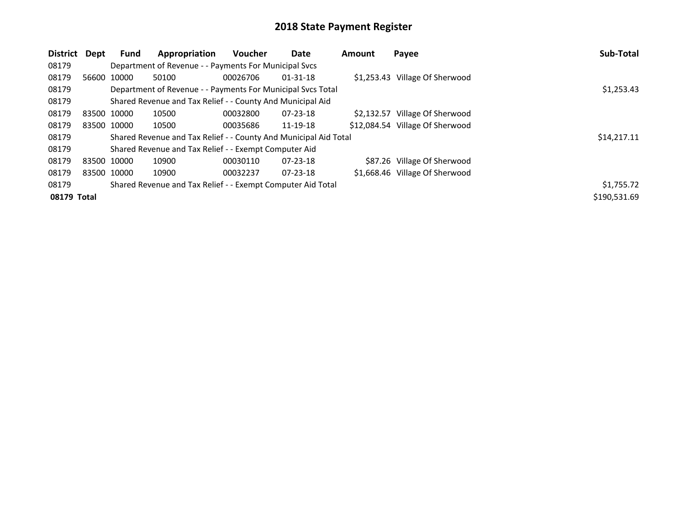| District    | Dept | <b>Fund</b> | Appropriation                                                    | <b>Voucher</b> | Date           | Amount | Payee                           | Sub-Total    |
|-------------|------|-------------|------------------------------------------------------------------|----------------|----------------|--------|---------------------------------|--------------|
| 08179       |      |             | Department of Revenue - - Payments For Municipal Svcs            |                |                |        |                                 |              |
| 08179       |      | 56600 10000 | 50100                                                            | 00026706       | $01 - 31 - 18$ |        | \$1,253.43 Village Of Sherwood  |              |
| 08179       |      |             | Department of Revenue - - Payments For Municipal Svcs Total      |                |                |        |                                 | \$1,253.43   |
| 08179       |      |             | Shared Revenue and Tax Relief - - County And Municipal Aid       |                |                |        |                                 |              |
| 08179       |      | 83500 10000 | 10500                                                            | 00032800       | $07 - 23 - 18$ |        | \$2,132.57 Village Of Sherwood  |              |
| 08179       |      | 83500 10000 | 10500                                                            | 00035686       | 11-19-18       |        | \$12,084.54 Village Of Sherwood |              |
| 08179       |      |             | Shared Revenue and Tax Relief - - County And Municipal Aid Total |                |                |        |                                 | \$14,217.11  |
| 08179       |      |             | Shared Revenue and Tax Relief - - Exempt Computer Aid            |                |                |        |                                 |              |
| 08179       |      | 83500 10000 | 10900                                                            | 00030110       | $07 - 23 - 18$ |        | \$87.26 Village Of Sherwood     |              |
| 08179       |      | 83500 10000 | 10900                                                            | 00032237       | $07 - 23 - 18$ |        | \$1,668.46 Village Of Sherwood  |              |
| 08179       |      |             | Shared Revenue and Tax Relief - - Exempt Computer Aid Total      |                |                |        |                                 | \$1,755.72   |
| 08179 Total |      |             |                                                                  |                |                |        |                                 | \$190,531.69 |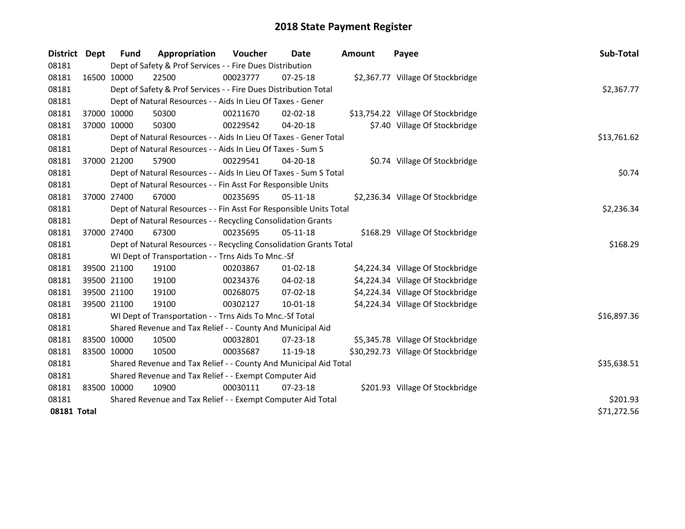| District    | <b>Dept</b> | <b>Fund</b>                                           | Appropriation                                                      | <b>Voucher</b> | Date           | <b>Amount</b> | Payee                              | Sub-Total   |  |
|-------------|-------------|-------------------------------------------------------|--------------------------------------------------------------------|----------------|----------------|---------------|------------------------------------|-------------|--|
| 08181       |             |                                                       | Dept of Safety & Prof Services - - Fire Dues Distribution          |                |                |               |                                    |             |  |
| 08181       |             | 16500 10000                                           | 22500                                                              | 00023777       | 07-25-18       |               | \$2,367.77 Village Of Stockbridge  |             |  |
| 08181       |             |                                                       | Dept of Safety & Prof Services - - Fire Dues Distribution Total    |                |                |               |                                    | \$2,367.77  |  |
| 08181       |             |                                                       | Dept of Natural Resources - - Aids In Lieu Of Taxes - Gener        |                |                |               |                                    |             |  |
| 08181       | 37000 10000 |                                                       | 50300                                                              | 00211670       | $02 - 02 - 18$ |               | \$13,754.22 Village Of Stockbridge |             |  |
| 08181       | 37000 10000 |                                                       | 50300                                                              | 00229542       | 04-20-18       |               | \$7.40 Village Of Stockbridge      |             |  |
| 08181       |             |                                                       | Dept of Natural Resources - - Aids In Lieu Of Taxes - Gener Total  |                |                |               |                                    | \$13,761.62 |  |
| 08181       |             |                                                       | Dept of Natural Resources - - Aids In Lieu Of Taxes - Sum S        |                |                |               |                                    |             |  |
| 08181       | 37000 21200 |                                                       | 57900                                                              | 00229541       | 04-20-18       |               | \$0.74 Village Of Stockbridge      |             |  |
| 08181       |             |                                                       | Dept of Natural Resources - - Aids In Lieu Of Taxes - Sum S Total  |                |                |               |                                    | \$0.74      |  |
| 08181       |             |                                                       | Dept of Natural Resources - - Fin Asst For Responsible Units       |                |                |               |                                    |             |  |
| 08181       |             | 37000 27400                                           | 67000                                                              | 00235695       | 05-11-18       |               | \$2,236.34 Village Of Stockbridge  |             |  |
| 08181       |             |                                                       | Dept of Natural Resources - - Fin Asst For Responsible Units Total |                |                |               |                                    | \$2,236.34  |  |
| 08181       |             |                                                       | Dept of Natural Resources - - Recycling Consolidation Grants       |                |                |               |                                    |             |  |
| 08181       | 37000 27400 |                                                       | 67300                                                              | 00235695       | $05-11-18$     |               | \$168.29 Village Of Stockbridge    |             |  |
| 08181       |             |                                                       | Dept of Natural Resources - - Recycling Consolidation Grants Total |                |                |               |                                    | \$168.29    |  |
| 08181       |             |                                                       | WI Dept of Transportation - - Trns Aids To Mnc.-Sf                 |                |                |               |                                    |             |  |
| 08181       |             | 39500 21100                                           | 19100                                                              | 00203867       | $01 - 02 - 18$ |               | \$4,224.34 Village Of Stockbridge  |             |  |
| 08181       |             | 39500 21100                                           | 19100                                                              | 00234376       | 04-02-18       |               | \$4,224.34 Village Of Stockbridge  |             |  |
| 08181       |             | 39500 21100                                           | 19100                                                              | 00268075       | 07-02-18       |               | \$4,224.34 Village Of Stockbridge  |             |  |
| 08181       | 39500 21100 |                                                       | 19100                                                              | 00302127       | 10-01-18       |               | \$4,224.34 Village Of Stockbridge  |             |  |
| 08181       |             |                                                       | WI Dept of Transportation - - Trns Aids To Mnc.-Sf Total           |                |                |               |                                    | \$16,897.36 |  |
| 08181       |             |                                                       | Shared Revenue and Tax Relief - - County And Municipal Aid         |                |                |               |                                    |             |  |
| 08181       |             | 83500 10000                                           | 10500                                                              | 00032801       | 07-23-18       |               | \$5,345.78 Village Of Stockbridge  |             |  |
| 08181       | 83500 10000 |                                                       | 10500                                                              | 00035687       | 11-19-18       |               | \$30,292.73 Village Of Stockbridge |             |  |
| 08181       |             |                                                       | Shared Revenue and Tax Relief - - County And Municipal Aid Total   |                |                |               |                                    | \$35,638.51 |  |
| 08181       |             | Shared Revenue and Tax Relief - - Exempt Computer Aid |                                                                    |                |                |               |                                    |             |  |
| 08181       |             | 83500 10000                                           | 10900                                                              | 00030111       | $07 - 23 - 18$ |               | \$201.93 Village Of Stockbridge    |             |  |
| 08181       |             |                                                       | Shared Revenue and Tax Relief - - Exempt Computer Aid Total        |                | \$201.93       |               |                                    |             |  |
| 08181 Total |             |                                                       |                                                                    |                |                |               |                                    | \$71,272.56 |  |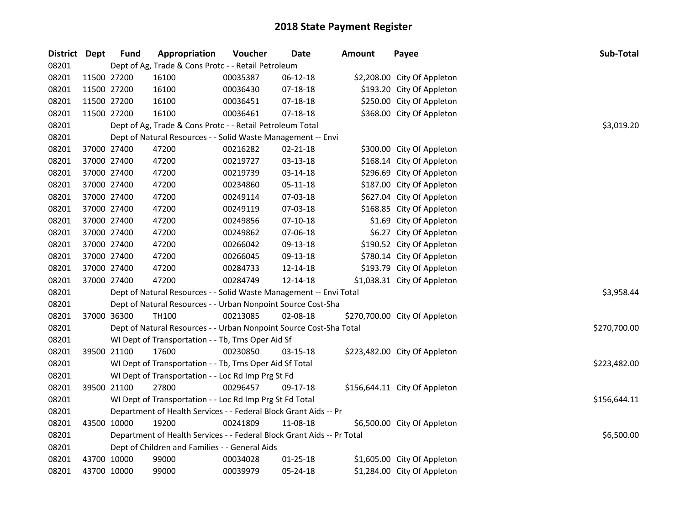| District Dept |             | <b>Fund</b> | Appropriation                                                          | Voucher  | <b>Date</b>    | <b>Amount</b> | Payee                         | Sub-Total    |  |  |
|---------------|-------------|-------------|------------------------------------------------------------------------|----------|----------------|---------------|-------------------------------|--------------|--|--|
| 08201         |             |             | Dept of Ag, Trade & Cons Protc - - Retail Petroleum                    |          |                |               |                               |              |  |  |
| 08201         |             | 11500 27200 | 16100                                                                  | 00035387 | 06-12-18       |               | \$2,208.00 City Of Appleton   |              |  |  |
| 08201         | 11500 27200 |             | 16100                                                                  | 00036430 | 07-18-18       |               | \$193.20 City Of Appleton     |              |  |  |
| 08201         | 11500 27200 |             | 16100                                                                  | 00036451 | 07-18-18       |               | \$250.00 City Of Appleton     |              |  |  |
| 08201         |             | 11500 27200 | 16100                                                                  | 00036461 | 07-18-18       |               | \$368.00 City Of Appleton     |              |  |  |
| 08201         |             |             | Dept of Ag, Trade & Cons Protc - - Retail Petroleum Total              |          |                |               |                               | \$3,019.20   |  |  |
| 08201         |             |             | Dept of Natural Resources - - Solid Waste Management -- Envi           |          |                |               |                               |              |  |  |
| 08201         |             | 37000 27400 | 47200                                                                  | 00216282 | 02-21-18       |               | \$300.00 City Of Appleton     |              |  |  |
| 08201         |             | 37000 27400 | 47200                                                                  | 00219727 | 03-13-18       |               | \$168.14 City Of Appleton     |              |  |  |
| 08201         | 37000 27400 |             | 47200                                                                  | 00219739 | 03-14-18       |               | \$296.69 City Of Appleton     |              |  |  |
| 08201         |             | 37000 27400 | 47200                                                                  | 00234860 | 05-11-18       |               | \$187.00 City Of Appleton     |              |  |  |
| 08201         |             | 37000 27400 | 47200                                                                  | 00249114 | 07-03-18       |               | \$627.04 City Of Appleton     |              |  |  |
| 08201         |             | 37000 27400 | 47200                                                                  | 00249119 | 07-03-18       |               | \$168.85 City Of Appleton     |              |  |  |
| 08201         |             | 37000 27400 | 47200                                                                  | 00249856 | $07-10-18$     |               | \$1.69 City Of Appleton       |              |  |  |
| 08201         |             | 37000 27400 | 47200                                                                  | 00249862 | 07-06-18       |               | \$6.27 City Of Appleton       |              |  |  |
| 08201         |             | 37000 27400 | 47200                                                                  | 00266042 | 09-13-18       |               | \$190.52 City Of Appleton     |              |  |  |
| 08201         |             | 37000 27400 | 47200                                                                  | 00266045 | 09-13-18       |               | \$780.14 City Of Appleton     |              |  |  |
| 08201         |             | 37000 27400 | 47200                                                                  | 00284733 | 12-14-18       |               | \$193.79 City Of Appleton     |              |  |  |
| 08201         |             | 37000 27400 | 47200                                                                  | 00284749 | 12-14-18       |               | \$1,038.31 City Of Appleton   |              |  |  |
| 08201         |             |             | Dept of Natural Resources - - Solid Waste Management -- Envi Total     |          |                |               |                               | \$3,958.44   |  |  |
| 08201         |             |             | Dept of Natural Resources - - Urban Nonpoint Source Cost-Sha           |          |                |               |                               |              |  |  |
| 08201         |             | 37000 36300 | <b>TH100</b>                                                           | 00213085 | 02-08-18       |               | \$270,700.00 City Of Appleton |              |  |  |
| 08201         |             |             | Dept of Natural Resources - - Urban Nonpoint Source Cost-Sha Total     |          |                |               |                               | \$270,700.00 |  |  |
| 08201         |             |             | WI Dept of Transportation - - Tb, Trns Oper Aid Sf                     |          |                |               |                               |              |  |  |
| 08201         |             | 39500 21100 | 17600                                                                  | 00230850 | 03-15-18       |               | \$223,482.00 City Of Appleton |              |  |  |
| 08201         |             |             | WI Dept of Transportation - - Tb, Trns Oper Aid Sf Total               |          |                |               |                               | \$223,482.00 |  |  |
| 08201         |             |             | WI Dept of Transportation - - Loc Rd Imp Prg St Fd                     |          |                |               |                               |              |  |  |
| 08201         |             | 39500 21100 | 27800                                                                  | 00296457 | 09-17-18       |               | \$156,644.11 City Of Appleton |              |  |  |
| 08201         |             |             | WI Dept of Transportation - - Loc Rd Imp Prg St Fd Total               |          |                |               |                               | \$156,644.11 |  |  |
| 08201         |             |             | Department of Health Services - - Federal Block Grant Aids -- Pr       |          |                |               |                               |              |  |  |
| 08201         | 43500 10000 |             | 19200                                                                  | 00241809 | 11-08-18       |               | \$6,500.00 City Of Appleton   |              |  |  |
| 08201         |             |             | Department of Health Services - - Federal Block Grant Aids -- Pr Total |          |                |               |                               | \$6,500.00   |  |  |
| 08201         |             |             | Dept of Children and Families - - General Aids                         |          |                |               |                               |              |  |  |
| 08201         |             | 43700 10000 | 99000                                                                  | 00034028 | $01 - 25 - 18$ |               | \$1,605.00 City Of Appleton   |              |  |  |
| 08201         |             | 43700 10000 | 99000                                                                  | 00039979 | 05-24-18       |               | \$1,284.00 City Of Appleton   |              |  |  |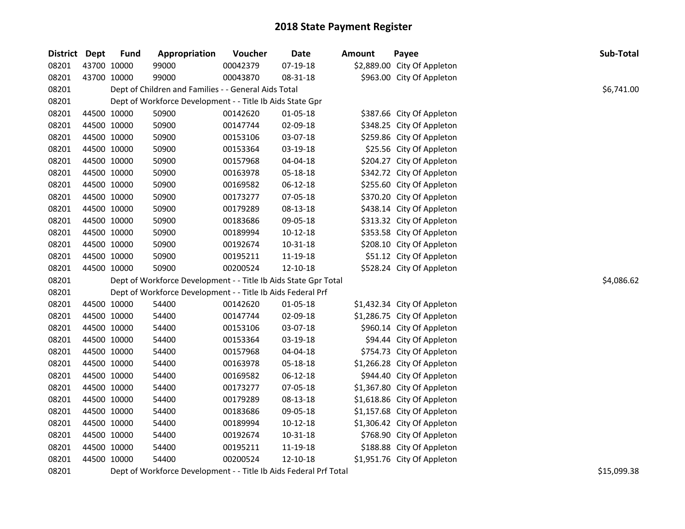| District Dept |             | <b>Fund</b> | Appropriation                                                   | Voucher  | <b>Date</b>    | <b>Amount</b> | Payee                       | Sub-Total  |
|---------------|-------------|-------------|-----------------------------------------------------------------|----------|----------------|---------------|-----------------------------|------------|
| 08201         | 43700 10000 |             | 99000                                                           | 00042379 | 07-19-18       |               | \$2,889.00 City Of Appleton |            |
| 08201         | 43700 10000 |             | 99000                                                           | 00043870 | 08-31-18       |               | \$963.00 City Of Appleton   |            |
| 08201         |             |             | Dept of Children and Families - - General Aids Total            |          |                |               |                             | \$6,741.00 |
| 08201         |             |             | Dept of Workforce Development - - Title Ib Aids State Gpr       |          |                |               |                             |            |
| 08201         |             | 44500 10000 | 50900                                                           | 00142620 | 01-05-18       |               | \$387.66 City Of Appleton   |            |
| 08201         | 44500 10000 |             | 50900                                                           | 00147744 | 02-09-18       |               | \$348.25 City Of Appleton   |            |
| 08201         | 44500 10000 |             | 50900                                                           | 00153106 | 03-07-18       |               | \$259.86 City Of Appleton   |            |
| 08201         | 44500 10000 |             | 50900                                                           | 00153364 | 03-19-18       |               | \$25.56 City Of Appleton    |            |
| 08201         | 44500 10000 |             | 50900                                                           | 00157968 | 04-04-18       |               | \$204.27 City Of Appleton   |            |
| 08201         | 44500 10000 |             | 50900                                                           | 00163978 | 05-18-18       |               | \$342.72 City Of Appleton   |            |
| 08201         | 44500 10000 |             | 50900                                                           | 00169582 | 06-12-18       |               | \$255.60 City Of Appleton   |            |
| 08201         | 44500 10000 |             | 50900                                                           | 00173277 | 07-05-18       |               | \$370.20 City Of Appleton   |            |
| 08201         | 44500 10000 |             | 50900                                                           | 00179289 | 08-13-18       |               | \$438.14 City Of Appleton   |            |
| 08201         | 44500 10000 |             | 50900                                                           | 00183686 | 09-05-18       |               | \$313.32 City Of Appleton   |            |
| 08201         | 44500 10000 |             | 50900                                                           | 00189994 | $10 - 12 - 18$ |               | \$353.58 City Of Appleton   |            |
| 08201         | 44500 10000 |             | 50900                                                           | 00192674 | 10-31-18       |               | \$208.10 City Of Appleton   |            |
| 08201         | 44500 10000 |             | 50900                                                           | 00195211 | 11-19-18       |               | \$51.12 City Of Appleton    |            |
| 08201         | 44500 10000 |             | 50900                                                           | 00200524 | 12-10-18       |               | \$528.24 City Of Appleton   |            |
| 08201         |             |             | Dept of Workforce Development - - Title Ib Aids State Gpr Total |          |                |               |                             | \$4,086.62 |
| 08201         |             |             | Dept of Workforce Development - - Title Ib Aids Federal Prf     |          |                |               |                             |            |
| 08201         | 44500 10000 |             | 54400                                                           | 00142620 | 01-05-18       |               | \$1,432.34 City Of Appleton |            |
| 08201         | 44500 10000 |             | 54400                                                           | 00147744 | 02-09-18       |               | \$1,286.75 City Of Appleton |            |
| 08201         | 44500 10000 |             | 54400                                                           | 00153106 | 03-07-18       |               | \$960.14 City Of Appleton   |            |
| 08201         | 44500 10000 |             | 54400                                                           | 00153364 | 03-19-18       |               | \$94.44 City Of Appleton    |            |
| 08201         | 44500 10000 |             | 54400                                                           | 00157968 | 04-04-18       |               | \$754.73 City Of Appleton   |            |
| 08201         | 44500 10000 |             | 54400                                                           | 00163978 | 05-18-18       |               | \$1,266.28 City Of Appleton |            |
| 08201         | 44500 10000 |             | 54400                                                           | 00169582 | 06-12-18       |               | \$944.40 City Of Appleton   |            |
| 08201         | 44500 10000 |             | 54400                                                           | 00173277 | 07-05-18       |               | \$1,367.80 City Of Appleton |            |
| 08201         | 44500 10000 |             | 54400                                                           | 00179289 | 08-13-18       |               | \$1,618.86 City Of Appleton |            |
| 08201         | 44500 10000 |             | 54400                                                           | 00183686 | 09-05-18       |               | \$1,157.68 City Of Appleton |            |
| 08201         | 44500 10000 |             | 54400                                                           | 00189994 | $10 - 12 - 18$ |               | \$1,306.42 City Of Appleton |            |
| 08201         | 44500 10000 |             | 54400                                                           | 00192674 | 10-31-18       |               | \$768.90 City Of Appleton   |            |
| 08201         | 44500 10000 |             | 54400                                                           | 00195211 | 11-19-18       |               | \$188.88 City Of Appleton   |            |
| 08201         | 44500 10000 |             | 54400                                                           | 00200524 | 12-10-18       |               | \$1,951.76 City Of Appleton |            |

08201 Dept of Workforce Development - - Title Ib Aids Federal Prf Total **1992** Contract 10 100 08201 08201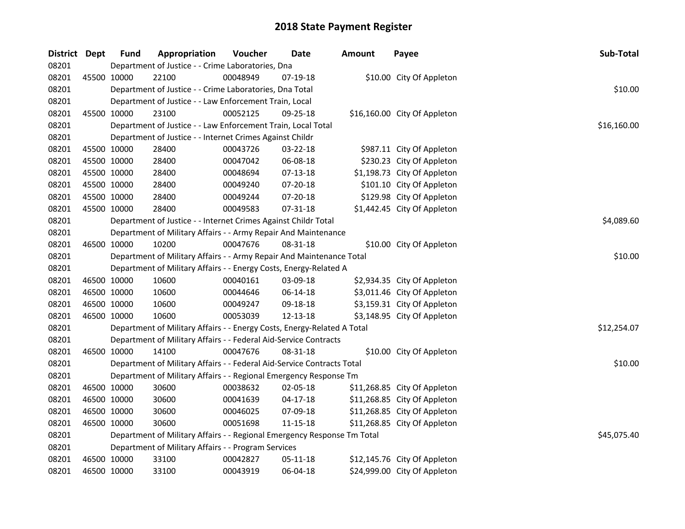| District Dept |             | <b>Fund</b> | Appropriation                                                           | Voucher  | <b>Date</b> | <b>Amount</b> | Payee                        | Sub-Total   |
|---------------|-------------|-------------|-------------------------------------------------------------------------|----------|-------------|---------------|------------------------------|-------------|
| 08201         |             |             | Department of Justice - - Crime Laboratories, Dna                       |          |             |               |                              |             |
| 08201         |             | 45500 10000 | 22100                                                                   | 00048949 | 07-19-18    |               | \$10.00 City Of Appleton     |             |
| 08201         |             |             | Department of Justice - - Crime Laboratories, Dna Total                 |          |             |               |                              | \$10.00     |
| 08201         |             |             | Department of Justice - - Law Enforcement Train, Local                  |          |             |               |                              |             |
| 08201         |             | 45500 10000 | 23100                                                                   | 00052125 | 09-25-18    |               | \$16,160.00 City Of Appleton |             |
| 08201         |             |             | Department of Justice - - Law Enforcement Train, Local Total            |          |             |               |                              | \$16,160.00 |
| 08201         |             |             | Department of Justice - - Internet Crimes Against Childr                |          |             |               |                              |             |
| 08201         | 45500 10000 |             | 28400                                                                   | 00043726 | 03-22-18    |               | \$987.11 City Of Appleton    |             |
| 08201         |             | 45500 10000 | 28400                                                                   | 00047042 | 06-08-18    |               | \$230.23 City Of Appleton    |             |
| 08201         | 45500 10000 |             | 28400                                                                   | 00048694 | 07-13-18    |               | \$1,198.73 City Of Appleton  |             |
| 08201         |             | 45500 10000 | 28400                                                                   | 00049240 | 07-20-18    |               | \$101.10 City Of Appleton    |             |
| 08201         |             | 45500 10000 | 28400                                                                   | 00049244 | 07-20-18    |               | \$129.98 City Of Appleton    |             |
| 08201         |             | 45500 10000 | 28400                                                                   | 00049583 | 07-31-18    |               | \$1,442.45 City Of Appleton  |             |
| 08201         |             |             | Department of Justice - - Internet Crimes Against Childr Total          |          |             |               |                              | \$4,089.60  |
| 08201         |             |             | Department of Military Affairs - - Army Repair And Maintenance          |          |             |               |                              |             |
| 08201         |             | 46500 10000 | 10200                                                                   | 00047676 | 08-31-18    |               | \$10.00 City Of Appleton     |             |
| 08201         |             |             | Department of Military Affairs - - Army Repair And Maintenance Total    |          |             |               |                              | \$10.00     |
| 08201         |             |             | Department of Military Affairs - - Energy Costs, Energy-Related A       |          |             |               |                              |             |
| 08201         |             | 46500 10000 | 10600                                                                   | 00040161 | 03-09-18    |               | \$2,934.35 City Of Appleton  |             |
| 08201         |             | 46500 10000 | 10600                                                                   | 00044646 | 06-14-18    |               | \$3,011.46 City Of Appleton  |             |
| 08201         |             | 46500 10000 | 10600                                                                   | 00049247 | 09-18-18    |               | \$3,159.31 City Of Appleton  |             |
| 08201         |             | 46500 10000 | 10600                                                                   | 00053039 | 12-13-18    |               | \$3,148.95 City Of Appleton  |             |
| 08201         |             |             | Department of Military Affairs - - Energy Costs, Energy-Related A Total |          |             |               |                              | \$12,254.07 |
| 08201         |             |             | Department of Military Affairs - - Federal Aid-Service Contracts        |          |             |               |                              |             |
| 08201         |             | 46500 10000 | 14100                                                                   | 00047676 | 08-31-18    |               | \$10.00 City Of Appleton     |             |
| 08201         |             |             | Department of Military Affairs - - Federal Aid-Service Contracts Total  |          |             |               |                              | \$10.00     |
| 08201         |             |             | Department of Military Affairs - - Regional Emergency Response Tm       |          |             |               |                              |             |
| 08201         |             | 46500 10000 | 30600                                                                   | 00038632 | 02-05-18    |               | \$11,268.85 City Of Appleton |             |
| 08201         |             | 46500 10000 | 30600                                                                   | 00041639 | $04-17-18$  |               | \$11,268.85 City Of Appleton |             |
| 08201         |             | 46500 10000 | 30600                                                                   | 00046025 | 07-09-18    |               | \$11,268.85 City Of Appleton |             |
| 08201         |             | 46500 10000 | 30600                                                                   | 00051698 | 11-15-18    |               | \$11,268.85 City Of Appleton |             |
| 08201         |             |             | Department of Military Affairs - - Regional Emergency Response Tm Total |          |             |               |                              | \$45,075.40 |
| 08201         |             |             | Department of Military Affairs - - Program Services                     |          |             |               |                              |             |
| 08201         |             | 46500 10000 | 33100                                                                   | 00042827 | 05-11-18    |               | \$12,145.76 City Of Appleton |             |
| 08201         |             | 46500 10000 | 33100                                                                   | 00043919 | 06-04-18    |               | \$24,999.00 City Of Appleton |             |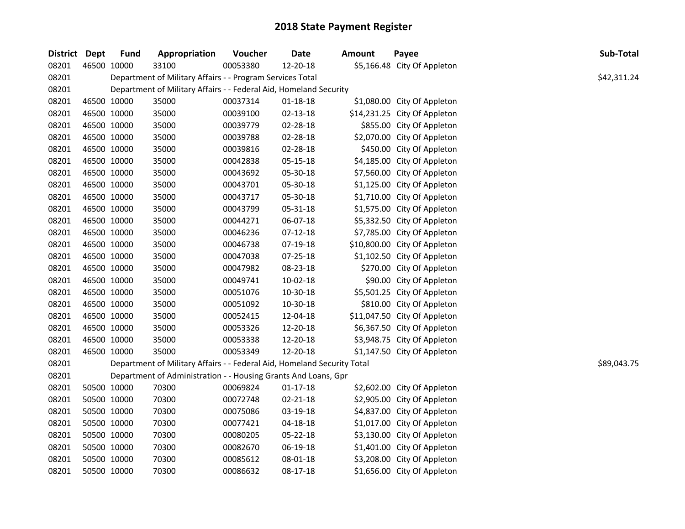| District Dept |             | <b>Fund</b> | Appropriation                                                           | Voucher  | <b>Date</b>    | Amount | Payee                        | Sub-Total   |
|---------------|-------------|-------------|-------------------------------------------------------------------------|----------|----------------|--------|------------------------------|-------------|
| 08201         | 46500 10000 |             | 33100                                                                   | 00053380 | 12-20-18       |        | \$5,166.48 City Of Appleton  |             |
| 08201         |             |             | Department of Military Affairs - - Program Services Total               |          |                |        |                              | \$42,311.24 |
| 08201         |             |             | Department of Military Affairs - - Federal Aid, Homeland Security       |          |                |        |                              |             |
| 08201         | 46500 10000 |             | 35000                                                                   | 00037314 | $01 - 18 - 18$ |        | \$1,080.00 City Of Appleton  |             |
| 08201         | 46500 10000 |             | 35000                                                                   | 00039100 | $02 - 13 - 18$ |        | \$14,231.25 City Of Appleton |             |
| 08201         | 46500 10000 |             | 35000                                                                   | 00039779 | 02-28-18       |        | \$855.00 City Of Appleton    |             |
| 08201         | 46500 10000 |             | 35000                                                                   | 00039788 | 02-28-18       |        | \$2,070.00 City Of Appleton  |             |
| 08201         | 46500 10000 |             | 35000                                                                   | 00039816 | 02-28-18       |        | \$450.00 City Of Appleton    |             |
| 08201         | 46500 10000 |             | 35000                                                                   | 00042838 | 05-15-18       |        | \$4,185.00 City Of Appleton  |             |
| 08201         | 46500 10000 |             | 35000                                                                   | 00043692 | 05-30-18       |        | \$7,560.00 City Of Appleton  |             |
| 08201         | 46500 10000 |             | 35000                                                                   | 00043701 | 05-30-18       |        | \$1,125.00 City Of Appleton  |             |
| 08201         | 46500 10000 |             | 35000                                                                   | 00043717 | 05-30-18       |        | \$1,710.00 City Of Appleton  |             |
| 08201         | 46500 10000 |             | 35000                                                                   | 00043799 | 05-31-18       |        | \$1,575.00 City Of Appleton  |             |
| 08201         | 46500 10000 |             | 35000                                                                   | 00044271 | 06-07-18       |        | \$5,332.50 City Of Appleton  |             |
| 08201         | 46500 10000 |             | 35000                                                                   | 00046236 | $07-12-18$     |        | \$7,785.00 City Of Appleton  |             |
| 08201         | 46500 10000 |             | 35000                                                                   | 00046738 | 07-19-18       |        | \$10,800.00 City Of Appleton |             |
| 08201         | 46500 10000 |             | 35000                                                                   | 00047038 | 07-25-18       |        | \$1,102.50 City Of Appleton  |             |
| 08201         | 46500 10000 |             | 35000                                                                   | 00047982 | 08-23-18       |        | \$270.00 City Of Appleton    |             |
| 08201         | 46500 10000 |             | 35000                                                                   | 00049741 | 10-02-18       |        | \$90.00 City Of Appleton     |             |
| 08201         | 46500 10000 |             | 35000                                                                   | 00051076 | 10-30-18       |        | \$5,501.25 City Of Appleton  |             |
| 08201         | 46500 10000 |             | 35000                                                                   | 00051092 | 10-30-18       |        | \$810.00 City Of Appleton    |             |
| 08201         | 46500 10000 |             | 35000                                                                   | 00052415 | 12-04-18       |        | \$11,047.50 City Of Appleton |             |
| 08201         | 46500 10000 |             | 35000                                                                   | 00053326 | 12-20-18       |        | \$6,367.50 City Of Appleton  |             |
| 08201         | 46500 10000 |             | 35000                                                                   | 00053338 | 12-20-18       |        | \$3,948.75 City Of Appleton  |             |
| 08201         | 46500 10000 |             | 35000                                                                   | 00053349 | 12-20-18       |        | \$1,147.50 City Of Appleton  |             |
| 08201         |             |             | Department of Military Affairs - - Federal Aid, Homeland Security Total |          |                |        |                              | \$89,043.75 |
| 08201         |             |             | Department of Administration - - Housing Grants And Loans, Gpr          |          |                |        |                              |             |
| 08201         | 50500 10000 |             | 70300                                                                   | 00069824 | $01 - 17 - 18$ |        | \$2,602.00 City Of Appleton  |             |
| 08201         | 50500 10000 |             | 70300                                                                   | 00072748 | 02-21-18       |        | \$2,905.00 City Of Appleton  |             |
| 08201         | 50500 10000 |             | 70300                                                                   | 00075086 | 03-19-18       |        | \$4,837.00 City Of Appleton  |             |
| 08201         | 50500 10000 |             | 70300                                                                   | 00077421 | 04-18-18       |        | \$1,017.00 City Of Appleton  |             |
| 08201         | 50500 10000 |             | 70300                                                                   | 00080205 | 05-22-18       |        | \$3,130.00 City Of Appleton  |             |
| 08201         | 50500 10000 |             | 70300                                                                   | 00082670 | 06-19-18       |        | \$1,401.00 City Of Appleton  |             |
| 08201         | 50500 10000 |             | 70300                                                                   | 00085612 | 08-01-18       |        | \$3,208.00 City Of Appleton  |             |
| 08201         | 50500 10000 |             | 70300                                                                   | 00086632 | 08-17-18       |        | \$1,656.00 City Of Appleton  |             |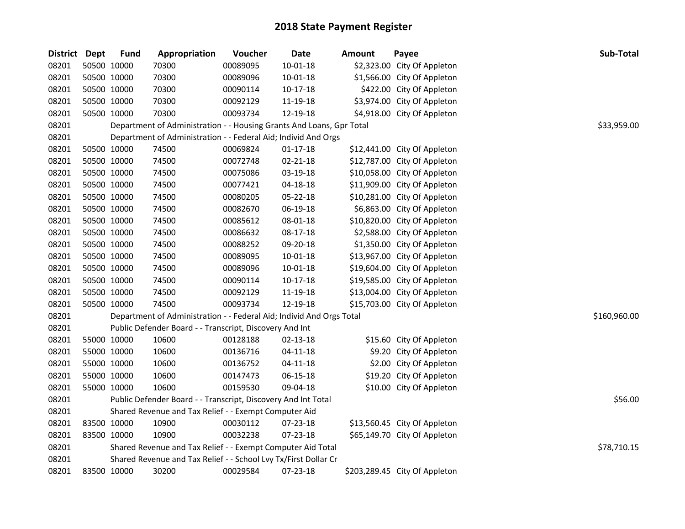| District Dept | <b>Fund</b> | Appropriation                                                        | Voucher  | Date           | Amount | Payee                         | Sub-Total    |
|---------------|-------------|----------------------------------------------------------------------|----------|----------------|--------|-------------------------------|--------------|
| 08201         | 50500 10000 | 70300                                                                | 00089095 | $10 - 01 - 18$ |        | \$2,323.00 City Of Appleton   |              |
| 08201         | 50500 10000 | 70300                                                                | 00089096 | $10 - 01 - 18$ |        | \$1,566.00 City Of Appleton   |              |
| 08201         | 50500 10000 | 70300                                                                | 00090114 | $10-17-18$     |        | \$422.00 City Of Appleton     |              |
| 08201         | 50500 10000 | 70300                                                                | 00092129 | 11-19-18       |        | \$3,974.00 City Of Appleton   |              |
| 08201         | 50500 10000 | 70300                                                                | 00093734 | 12-19-18       |        | \$4,918.00 City Of Appleton   |              |
| 08201         |             | Department of Administration - - Housing Grants And Loans, Gpr Total |          |                |        |                               | \$33,959.00  |
| 08201         |             | Department of Administration - - Federal Aid; Individ And Orgs       |          |                |        |                               |              |
| 08201         | 50500 10000 | 74500                                                                | 00069824 | $01 - 17 - 18$ |        | \$12,441.00 City Of Appleton  |              |
| 08201         | 50500 10000 | 74500                                                                | 00072748 | 02-21-18       |        | \$12,787.00 City Of Appleton  |              |
| 08201         | 50500 10000 | 74500                                                                | 00075086 | 03-19-18       |        | \$10,058.00 City Of Appleton  |              |
| 08201         | 50500 10000 | 74500                                                                | 00077421 | 04-18-18       |        | \$11,909.00 City Of Appleton  |              |
| 08201         | 50500 10000 | 74500                                                                | 00080205 | 05-22-18       |        | \$10,281.00 City Of Appleton  |              |
| 08201         | 50500 10000 | 74500                                                                | 00082670 | 06-19-18       |        | \$6,863.00 City Of Appleton   |              |
| 08201         | 50500 10000 | 74500                                                                | 00085612 | 08-01-18       |        | \$10,820.00 City Of Appleton  |              |
| 08201         | 50500 10000 | 74500                                                                | 00086632 | 08-17-18       |        | \$2,588.00 City Of Appleton   |              |
| 08201         | 50500 10000 | 74500                                                                | 00088252 | 09-20-18       |        | \$1,350.00 City Of Appleton   |              |
| 08201         | 50500 10000 | 74500                                                                | 00089095 | $10 - 01 - 18$ |        | \$13,967.00 City Of Appleton  |              |
| 08201         | 50500 10000 | 74500                                                                | 00089096 | $10 - 01 - 18$ |        | \$19,604.00 City Of Appleton  |              |
| 08201         | 50500 10000 | 74500                                                                | 00090114 | $10-17-18$     |        | \$19,585.00 City Of Appleton  |              |
| 08201         | 50500 10000 | 74500                                                                | 00092129 | 11-19-18       |        | \$13,004.00 City Of Appleton  |              |
| 08201         | 50500 10000 | 74500                                                                | 00093734 | 12-19-18       |        | \$15,703.00 City Of Appleton  |              |
| 08201         |             | Department of Administration - - Federal Aid; Individ And Orgs Total |          |                |        |                               | \$160,960.00 |
| 08201         |             | Public Defender Board - - Transcript, Discovery And Int              |          |                |        |                               |              |
| 08201         | 55000 10000 | 10600                                                                | 00128188 | 02-13-18       |        | \$15.60 City Of Appleton      |              |
| 08201         | 55000 10000 | 10600                                                                | 00136716 | 04-11-18       |        | \$9.20 City Of Appleton       |              |
| 08201         | 55000 10000 | 10600                                                                | 00136752 | $04 - 11 - 18$ |        | \$2.00 City Of Appleton       |              |
| 08201         | 55000 10000 | 10600                                                                | 00147473 | 06-15-18       |        | \$19.20 City Of Appleton      |              |
| 08201         | 55000 10000 | 10600                                                                | 00159530 | 09-04-18       |        | \$10.00 City Of Appleton      |              |
| 08201         |             | Public Defender Board - - Transcript, Discovery And Int Total        |          |                |        |                               | \$56.00      |
| 08201         |             | Shared Revenue and Tax Relief - - Exempt Computer Aid                |          |                |        |                               |              |
| 08201         | 83500 10000 | 10900                                                                | 00030112 | 07-23-18       |        | \$13,560.45 City Of Appleton  |              |
| 08201         | 83500 10000 | 10900                                                                | 00032238 | 07-23-18       |        | \$65,149.70 City Of Appleton  |              |
| 08201         |             | Shared Revenue and Tax Relief - - Exempt Computer Aid Total          |          |                |        |                               | \$78,710.15  |
| 08201         |             | Shared Revenue and Tax Relief - - School Lvy Tx/First Dollar Cr      |          |                |        |                               |              |
| 08201         | 83500 10000 | 30200                                                                | 00029584 | 07-23-18       |        | \$203,289.45 City Of Appleton |              |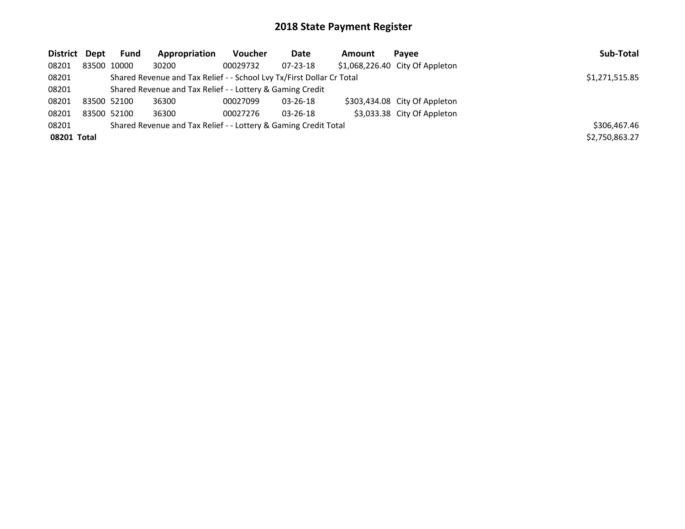| District Dept | Fund        | Appropriation                                                         | Voucher        | Date           | Amount | Pavee                           | Sub-Total      |
|---------------|-------------|-----------------------------------------------------------------------|----------------|----------------|--------|---------------------------------|----------------|
| 08201         | 83500 10000 | 30200                                                                 | 00029732       | $07 - 23 - 18$ |        | \$1,068,226.40 City Of Appleton |                |
| 08201         |             | Shared Revenue and Tax Relief - - School Lvy Tx/First Dollar Cr Total | \$1,271,515.85 |                |        |                                 |                |
| 08201         |             | Shared Revenue and Tax Relief - - Lottery & Gaming Credit             |                |                |        |                                 |                |
| 08201         | 83500 52100 | 36300                                                                 | 00027099       | 03-26-18       |        | \$303,434.08 City Of Appleton   |                |
| 08201         | 83500 52100 | 36300                                                                 | 00027276       | $03 - 26 - 18$ |        | \$3,033.38 City Of Appleton     |                |
| 08201         |             | Shared Revenue and Tax Relief - - Lottery & Gaming Credit Total       |                |                |        |                                 | \$306,467.46   |
| 08201 Total   |             |                                                                       |                |                |        |                                 | \$2,750,863.27 |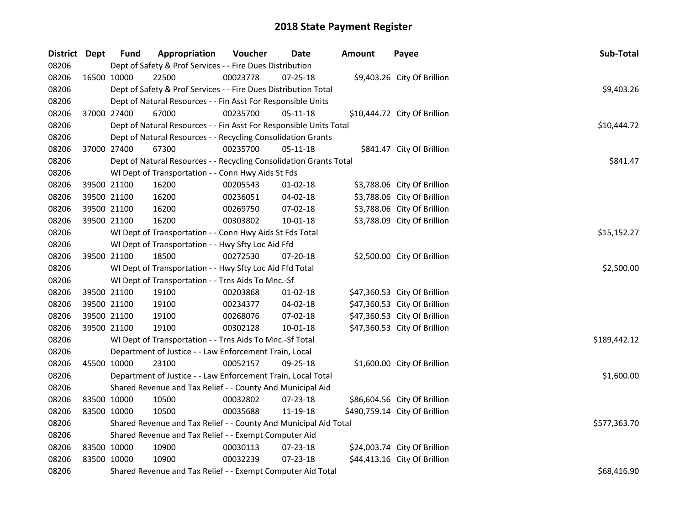| District Dept | <b>Fund</b> | Appropriation                                                      | Voucher  | Date           | <b>Amount</b> | Payee                         | Sub-Total    |
|---------------|-------------|--------------------------------------------------------------------|----------|----------------|---------------|-------------------------------|--------------|
| 08206         |             | Dept of Safety & Prof Services - - Fire Dues Distribution          |          |                |               |                               |              |
| 08206         | 16500 10000 | 22500                                                              | 00023778 | $07 - 25 - 18$ |               | \$9,403.26 City Of Brillion   |              |
| 08206         |             | Dept of Safety & Prof Services - - Fire Dues Distribution Total    |          |                |               |                               | \$9,403.26   |
| 08206         |             | Dept of Natural Resources - - Fin Asst For Responsible Units       |          |                |               |                               |              |
| 08206         | 37000 27400 | 67000                                                              | 00235700 | 05-11-18       |               | \$10,444.72 City Of Brillion  |              |
| 08206         |             | Dept of Natural Resources - - Fin Asst For Responsible Units Total |          |                |               |                               | \$10,444.72  |
| 08206         |             | Dept of Natural Resources - - Recycling Consolidation Grants       |          |                |               |                               |              |
| 08206         | 37000 27400 | 67300                                                              | 00235700 | $05 - 11 - 18$ |               | \$841.47 City Of Brillion     |              |
| 08206         |             | Dept of Natural Resources - - Recycling Consolidation Grants Total |          |                |               |                               | \$841.47     |
| 08206         |             | WI Dept of Transportation - - Conn Hwy Aids St Fds                 |          |                |               |                               |              |
| 08206         | 39500 21100 | 16200                                                              | 00205543 | 01-02-18       |               | \$3,788.06 City Of Brillion   |              |
| 08206         | 39500 21100 | 16200                                                              | 00236051 | 04-02-18       |               | \$3,788.06 City Of Brillion   |              |
| 08206         | 39500 21100 | 16200                                                              | 00269750 | 07-02-18       |               | \$3,788.06 City Of Brillion   |              |
| 08206         | 39500 21100 | 16200                                                              | 00303802 | 10-01-18       |               | \$3,788.09 City Of Brillion   |              |
| 08206         |             | WI Dept of Transportation - - Conn Hwy Aids St Fds Total           |          |                |               |                               | \$15,152.27  |
| 08206         |             | WI Dept of Transportation - - Hwy Sfty Loc Aid Ffd                 |          |                |               |                               |              |
| 08206         | 39500 21100 | 18500                                                              | 00272530 | 07-20-18       |               | \$2,500.00 City Of Brillion   |              |
| 08206         |             | WI Dept of Transportation - - Hwy Sfty Loc Aid Ffd Total           |          |                |               |                               | \$2,500.00   |
| 08206         |             | WI Dept of Transportation - - Trns Aids To Mnc.-Sf                 |          |                |               |                               |              |
| 08206         | 39500 21100 | 19100                                                              | 00203868 | $01-02-18$     |               | \$47,360.53 City Of Brillion  |              |
| 08206         | 39500 21100 | 19100                                                              | 00234377 | 04-02-18       |               | \$47,360.53 City Of Brillion  |              |
| 08206         | 39500 21100 | 19100                                                              | 00268076 | 07-02-18       |               | \$47,360.53 City Of Brillion  |              |
| 08206         | 39500 21100 | 19100                                                              | 00302128 | $10 - 01 - 18$ |               | \$47,360.53 City Of Brillion  |              |
| 08206         |             | WI Dept of Transportation - - Trns Aids To Mnc.-Sf Total           |          |                |               |                               | \$189,442.12 |
| 08206         |             | Department of Justice - - Law Enforcement Train, Local             |          |                |               |                               |              |
| 08206         | 45500 10000 | 23100                                                              | 00052157 | 09-25-18       |               | \$1,600.00 City Of Brillion   |              |
| 08206         |             | Department of Justice - - Law Enforcement Train, Local Total       |          |                |               |                               | \$1,600.00   |
| 08206         |             | Shared Revenue and Tax Relief - - County And Municipal Aid         |          |                |               |                               |              |
| 08206         | 83500 10000 | 10500                                                              | 00032802 | 07-23-18       |               | \$86,604.56 City Of Brillion  |              |
| 08206         | 83500 10000 | 10500                                                              | 00035688 | 11-19-18       |               | \$490,759.14 City Of Brillion |              |
| 08206         |             | Shared Revenue and Tax Relief - - County And Municipal Aid Total   |          |                |               |                               | \$577,363.70 |
| 08206         |             | Shared Revenue and Tax Relief - - Exempt Computer Aid              |          |                |               |                               |              |
| 08206         | 83500 10000 | 10900                                                              | 00030113 | 07-23-18       |               | \$24,003.74 City Of Brillion  |              |
| 08206         | 83500 10000 | 10900                                                              | 00032239 | $07 - 23 - 18$ |               | \$44,413.16 City Of Brillion  |              |
| 08206         |             | Shared Revenue and Tax Relief - - Exempt Computer Aid Total        |          |                |               |                               | \$68,416.90  |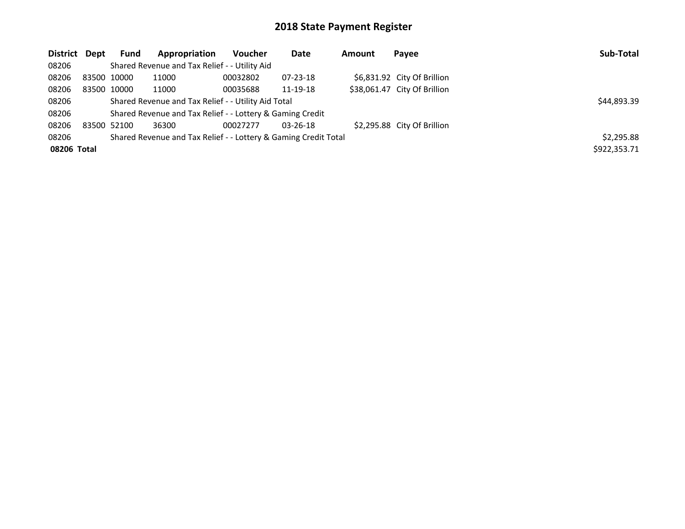| District Dept |             | <b>Fund</b> | Appropriation                                                   | <b>Voucher</b> | Date           | Amount | Payee                        | Sub-Total    |
|---------------|-------------|-------------|-----------------------------------------------------------------|----------------|----------------|--------|------------------------------|--------------|
| 08206         |             |             | Shared Revenue and Tax Relief - - Utility Aid                   |                |                |        |                              |              |
| 08206         |             | 83500 10000 | 11000                                                           | 00032802       | $07 - 23 - 18$ |        | \$6,831.92 City Of Brillion  |              |
| 08206         |             | 83500 10000 | 11000                                                           | 00035688       | 11-19-18       |        | \$38,061.47 City Of Brillion |              |
| 08206         |             |             | Shared Revenue and Tax Relief - - Utility Aid Total             |                |                |        |                              | \$44,893.39  |
| 08206         |             |             | Shared Revenue and Tax Relief - - Lottery & Gaming Credit       |                |                |        |                              |              |
| 08206         | 83500 52100 |             | 36300                                                           | 00027277       | $03 - 26 - 18$ |        | \$2,295.88 City Of Brillion  |              |
| 08206         |             |             | Shared Revenue and Tax Relief - - Lottery & Gaming Credit Total |                |                |        |                              | \$2,295.88   |
| 08206 Total   |             |             |                                                                 |                |                |        |                              | \$922,353.71 |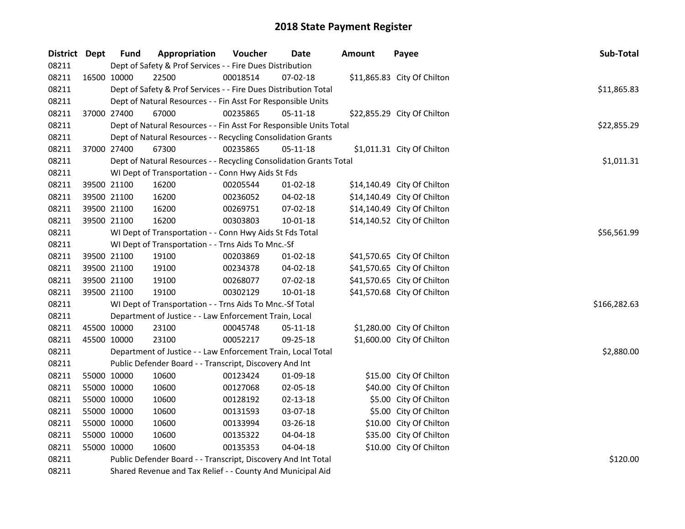| District Dept |             | <b>Fund</b> | Appropriation                                                      | Voucher  | <b>Date</b>    | <b>Amount</b> | Payee                       | Sub-Total    |
|---------------|-------------|-------------|--------------------------------------------------------------------|----------|----------------|---------------|-----------------------------|--------------|
| 08211         |             |             | Dept of Safety & Prof Services - - Fire Dues Distribution          |          |                |               |                             |              |
| 08211         | 16500 10000 |             | 22500                                                              | 00018514 | 07-02-18       |               | \$11,865.83 City Of Chilton |              |
| 08211         |             |             | Dept of Safety & Prof Services - - Fire Dues Distribution Total    |          |                |               |                             | \$11,865.83  |
| 08211         |             |             | Dept of Natural Resources - - Fin Asst For Responsible Units       |          |                |               |                             |              |
| 08211         | 37000 27400 |             | 67000                                                              | 00235865 | $05 - 11 - 18$ |               | \$22,855.29 City Of Chilton |              |
| 08211         |             |             | Dept of Natural Resources - - Fin Asst For Responsible Units Total |          |                |               |                             | \$22,855.29  |
| 08211         |             |             | Dept of Natural Resources - - Recycling Consolidation Grants       |          |                |               |                             |              |
| 08211         |             | 37000 27400 | 67300                                                              | 00235865 | 05-11-18       |               | \$1,011.31 City Of Chilton  |              |
| 08211         |             |             | Dept of Natural Resources - - Recycling Consolidation Grants Total |          |                |               |                             | \$1,011.31   |
| 08211         |             |             | WI Dept of Transportation - - Conn Hwy Aids St Fds                 |          |                |               |                             |              |
| 08211         |             | 39500 21100 | 16200                                                              | 00205544 | 01-02-18       |               | \$14,140.49 City Of Chilton |              |
| 08211         |             | 39500 21100 | 16200                                                              | 00236052 | 04-02-18       |               | \$14,140.49 City Of Chilton |              |
| 08211         |             | 39500 21100 | 16200                                                              | 00269751 | 07-02-18       |               | \$14,140.49 City Of Chilton |              |
| 08211         | 39500 21100 |             | 16200                                                              | 00303803 | $10 - 01 - 18$ |               | \$14,140.52 City Of Chilton |              |
| 08211         |             |             | WI Dept of Transportation - - Conn Hwy Aids St Fds Total           |          |                |               |                             | \$56,561.99  |
| 08211         |             |             | WI Dept of Transportation - - Trns Aids To Mnc.-Sf                 |          |                |               |                             |              |
| 08211         |             | 39500 21100 | 19100                                                              | 00203869 | $01-02-18$     |               | \$41,570.65 City Of Chilton |              |
| 08211         | 39500 21100 |             | 19100                                                              | 00234378 | $04 - 02 - 18$ |               | \$41,570.65 City Of Chilton |              |
| 08211         |             | 39500 21100 | 19100                                                              | 00268077 | 07-02-18       |               | \$41,570.65 City Of Chilton |              |
| 08211         | 39500 21100 |             | 19100                                                              | 00302129 | $10 - 01 - 18$ |               | \$41,570.68 City Of Chilton |              |
| 08211         |             |             | WI Dept of Transportation - - Trns Aids To Mnc.-Sf Total           |          |                |               |                             | \$166,282.63 |
| 08211         |             |             | Department of Justice - - Law Enforcement Train, Local             |          |                |               |                             |              |
| 08211         |             | 45500 10000 | 23100                                                              | 00045748 | 05-11-18       |               | \$1,280.00 City Of Chilton  |              |
| 08211         | 45500 10000 |             | 23100                                                              | 00052217 | 09-25-18       |               | \$1,600.00 City Of Chilton  |              |
| 08211         |             |             | Department of Justice - - Law Enforcement Train, Local Total       |          |                |               |                             | \$2,880.00   |
| 08211         |             |             | Public Defender Board - - Transcript, Discovery And Int            |          |                |               |                             |              |
| 08211         | 55000 10000 |             | 10600                                                              | 00123424 | 01-09-18       |               | \$15.00 City Of Chilton     |              |
| 08211         |             | 55000 10000 | 10600                                                              | 00127068 | 02-05-18       |               | \$40.00 City Of Chilton     |              |
| 08211         | 55000 10000 |             | 10600                                                              | 00128192 | 02-13-18       |               | \$5.00 City Of Chilton      |              |
| 08211         | 55000 10000 |             | 10600                                                              | 00131593 | 03-07-18       |               | \$5.00 City Of Chilton      |              |
| 08211         | 55000 10000 |             | 10600                                                              | 00133994 | 03-26-18       |               | \$10.00 City Of Chilton     |              |
| 08211         | 55000 10000 |             | 10600                                                              | 00135322 | 04-04-18       |               | \$35.00 City Of Chilton     |              |
| 08211         | 55000 10000 |             | 10600                                                              | 00135353 | 04-04-18       |               | \$10.00 City Of Chilton     |              |
| 08211         |             |             | Public Defender Board - - Transcript, Discovery And Int Total      |          | \$120.00       |               |                             |              |
| 08211         |             |             | Shared Revenue and Tax Relief - - County And Municipal Aid         |          |                |               |                             |              |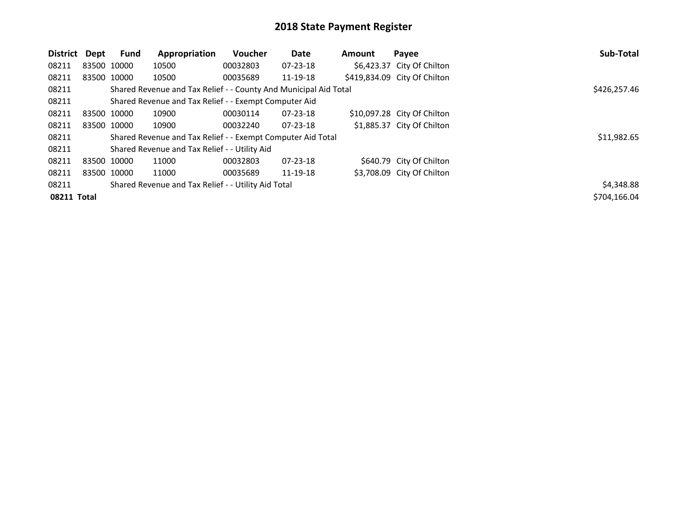| District    | Dept | <b>Fund</b> | Appropriation                                                    | <b>Voucher</b> | Date           | <b>Amount</b> | Payee                        | Sub-Total    |
|-------------|------|-------------|------------------------------------------------------------------|----------------|----------------|---------------|------------------------------|--------------|
| 08211       |      | 83500 10000 | 10500                                                            | 00032803       | $07 - 23 - 18$ |               | \$6,423.37 City Of Chilton   |              |
| 08211       |      | 83500 10000 | 10500                                                            | 00035689       | 11-19-18       |               | \$419,834.09 City Of Chilton |              |
| 08211       |      |             | Shared Revenue and Tax Relief - - County And Municipal Aid Total |                |                |               |                              | \$426,257.46 |
| 08211       |      |             | Shared Revenue and Tax Relief - - Exempt Computer Aid            |                |                |               |                              |              |
| 08211       |      | 83500 10000 | 10900                                                            | 00030114       | 07-23-18       |               | \$10,097.28 City Of Chilton  |              |
| 08211       |      | 83500 10000 | 10900                                                            | 00032240       | $07 - 23 - 18$ |               | \$1,885.37 City Of Chilton   |              |
| 08211       |      |             | Shared Revenue and Tax Relief - - Exempt Computer Aid Total      |                |                |               |                              | \$11,982.65  |
| 08211       |      |             | Shared Revenue and Tax Relief - - Utility Aid                    |                |                |               |                              |              |
| 08211       |      | 83500 10000 | 11000                                                            | 00032803       | 07-23-18       |               | \$640.79 City Of Chilton     |              |
| 08211       |      | 83500 10000 | 11000                                                            | 00035689       | 11-19-18       |               | \$3,708.09 City Of Chilton   |              |
| 08211       |      |             | Shared Revenue and Tax Relief - - Utility Aid Total              |                |                |               |                              | \$4,348.88   |
| 08211 Total |      |             |                                                                  |                |                |               |                              | \$704.166.04 |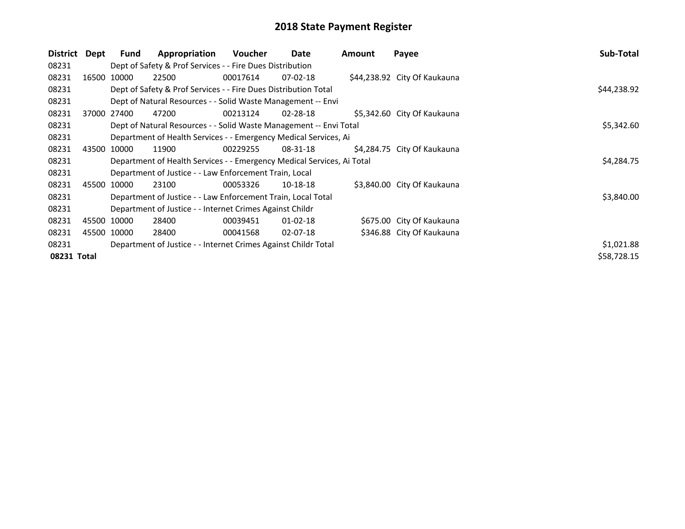| District Dept |       | <b>Fund</b> | Appropriation                                                          | <b>Voucher</b> | Date           | <b>Amount</b> | Payee                        | Sub-Total   |
|---------------|-------|-------------|------------------------------------------------------------------------|----------------|----------------|---------------|------------------------------|-------------|
| 08231         |       |             | Dept of Safety & Prof Services - - Fire Dues Distribution              |                |                |               |                              |             |
| 08231         | 16500 | 10000       | 22500                                                                  | 00017614       | $07 - 02 - 18$ |               | \$44,238.92 City Of Kaukauna |             |
| 08231         |       |             | Dept of Safety & Prof Services - - Fire Dues Distribution Total        |                |                |               |                              | \$44,238.92 |
| 08231         |       |             | Dept of Natural Resources - - Solid Waste Management -- Envi           |                |                |               |                              |             |
| 08231         |       | 37000 27400 | 47200                                                                  | 00213124       | 02-28-18       |               | \$5,342.60 City Of Kaukauna  |             |
| 08231         |       |             | Dept of Natural Resources - - Solid Waste Management -- Envi Total     |                |                |               |                              | \$5,342.60  |
| 08231         |       |             | Department of Health Services - - Emergency Medical Services, Ai       |                |                |               |                              |             |
| 08231         | 43500 | 10000       | 11900                                                                  | 00229255       | 08-31-18       |               | \$4,284.75 City Of Kaukauna  |             |
| 08231         |       |             | Department of Health Services - - Emergency Medical Services, Ai Total |                |                |               |                              | \$4,284.75  |
| 08231         |       |             | Department of Justice - - Law Enforcement Train, Local                 |                |                |               |                              |             |
| 08231         |       | 45500 10000 | 23100                                                                  | 00053326       | 10-18-18       |               | \$3,840.00 City Of Kaukauna  |             |
| 08231         |       |             | Department of Justice - - Law Enforcement Train, Local Total           |                |                |               |                              | \$3,840.00  |
| 08231         |       |             | Department of Justice - - Internet Crimes Against Childr               |                |                |               |                              |             |
| 08231         |       | 45500 10000 | 28400                                                                  | 00039451       | $01 - 02 - 18$ |               | \$675.00 City Of Kaukauna    |             |
| 08231         |       | 45500 10000 | 28400                                                                  | 00041568       | $02 - 07 - 18$ |               | \$346.88 City Of Kaukauna    |             |
| 08231         |       |             | Department of Justice - - Internet Crimes Against Childr Total         |                |                |               |                              | \$1,021.88  |
| 08231 Total   |       |             |                                                                        |                |                |               |                              | \$58,728.15 |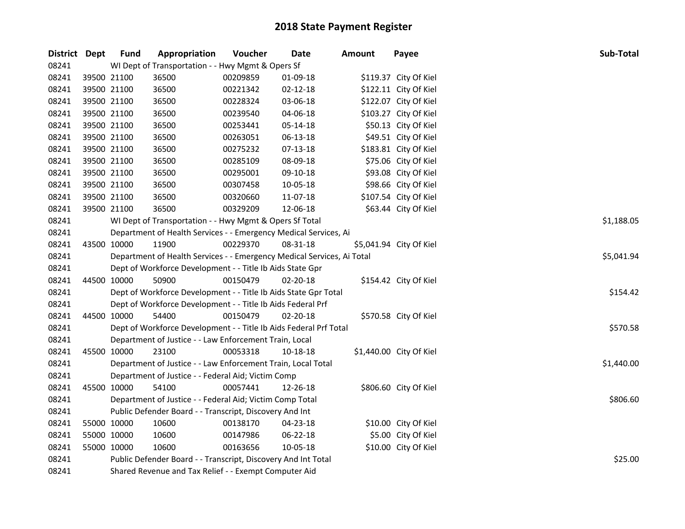| District Dept | <b>Fund</b> | Appropriation                                                          | Voucher  | Date           | <b>Amount</b> | Payee                   | Sub-Total  |
|---------------|-------------|------------------------------------------------------------------------|----------|----------------|---------------|-------------------------|------------|
| 08241         |             | WI Dept of Transportation - - Hwy Mgmt & Opers Sf                      |          |                |               |                         |            |
| 08241         | 39500 21100 | 36500                                                                  | 00209859 | 01-09-18       |               | \$119.37 City Of Kiel   |            |
| 08241         | 39500 21100 | 36500                                                                  | 00221342 | 02-12-18       |               | \$122.11 City Of Kiel   |            |
| 08241         | 39500 21100 | 36500                                                                  | 00228324 | 03-06-18       |               | \$122.07 City Of Kiel   |            |
| 08241         | 39500 21100 | 36500                                                                  | 00239540 | 04-06-18       |               | \$103.27 City Of Kiel   |            |
| 08241         | 39500 21100 | 36500                                                                  | 00253441 | 05-14-18       |               | \$50.13 City Of Kiel    |            |
| 08241         | 39500 21100 | 36500                                                                  | 00263051 | 06-13-18       |               | \$49.51 City Of Kiel    |            |
| 08241         | 39500 21100 | 36500                                                                  | 00275232 | 07-13-18       |               | \$183.81 City Of Kiel   |            |
| 08241         | 39500 21100 | 36500                                                                  | 00285109 | 08-09-18       |               | \$75.06 City Of Kiel    |            |
| 08241         | 39500 21100 | 36500                                                                  | 00295001 | 09-10-18       |               | \$93.08 City Of Kiel    |            |
| 08241         | 39500 21100 | 36500                                                                  | 00307458 | 10-05-18       |               | \$98.66 City Of Kiel    |            |
| 08241         | 39500 21100 | 36500                                                                  | 00320660 | 11-07-18       |               | \$107.54 City Of Kiel   |            |
| 08241         | 39500 21100 | 36500                                                                  | 00329209 | 12-06-18       |               | \$63.44 City Of Kiel    |            |
| 08241         |             | WI Dept of Transportation - - Hwy Mgmt & Opers Sf Total                |          |                |               |                         | \$1,188.05 |
| 08241         |             | Department of Health Services - - Emergency Medical Services, Ai       |          |                |               |                         |            |
| 08241         | 43500 10000 | 11900                                                                  | 00229370 | 08-31-18       |               | \$5,041.94 City Of Kiel |            |
| 08241         |             | Department of Health Services - - Emergency Medical Services, Ai Total |          |                |               |                         | \$5,041.94 |
| 08241         |             | Dept of Workforce Development - - Title Ib Aids State Gpr              |          |                |               |                         |            |
| 08241         | 44500 10000 | 50900                                                                  | 00150479 | $02 - 20 - 18$ |               | \$154.42 City Of Kiel   |            |
| 08241         |             | Dept of Workforce Development - - Title Ib Aids State Gpr Total        |          |                |               |                         | \$154.42   |
| 08241         |             | Dept of Workforce Development - - Title Ib Aids Federal Prf            |          |                |               |                         |            |
| 08241         | 44500 10000 | 54400                                                                  | 00150479 | $02 - 20 - 18$ |               | \$570.58 City Of Kiel   |            |
| 08241         |             | Dept of Workforce Development - - Title Ib Aids Federal Prf Total      |          |                |               |                         | \$570.58   |
| 08241         |             | Department of Justice - - Law Enforcement Train, Local                 |          |                |               |                         |            |
| 08241         | 45500 10000 | 23100                                                                  | 00053318 | 10-18-18       |               | \$1,440.00 City Of Kiel |            |
| 08241         |             | Department of Justice - - Law Enforcement Train, Local Total           |          |                |               |                         | \$1,440.00 |
| 08241         |             | Department of Justice - - Federal Aid; Victim Comp                     |          |                |               |                         |            |
| 08241         | 45500 10000 | 54100                                                                  | 00057441 | 12-26-18       |               | \$806.60 City Of Kiel   |            |
| 08241         |             | Department of Justice - - Federal Aid; Victim Comp Total               |          |                |               |                         | \$806.60   |
| 08241         |             | Public Defender Board - - Transcript, Discovery And Int                |          |                |               |                         |            |
| 08241         | 55000 10000 | 10600                                                                  | 00138170 | 04-23-18       |               | \$10.00 City Of Kiel    |            |
| 08241         | 55000 10000 | 10600                                                                  | 00147986 | 06-22-18       |               | \$5.00 City Of Kiel     |            |
| 08241         | 55000 10000 | 10600                                                                  | 00163656 | 10-05-18       |               | \$10.00 City Of Kiel    |            |
| 08241         |             | Public Defender Board - - Transcript, Discovery And Int Total          |          |                |               |                         | \$25.00    |
| 08241         |             | Shared Revenue and Tax Relief - - Exempt Computer Aid                  |          |                |               |                         |            |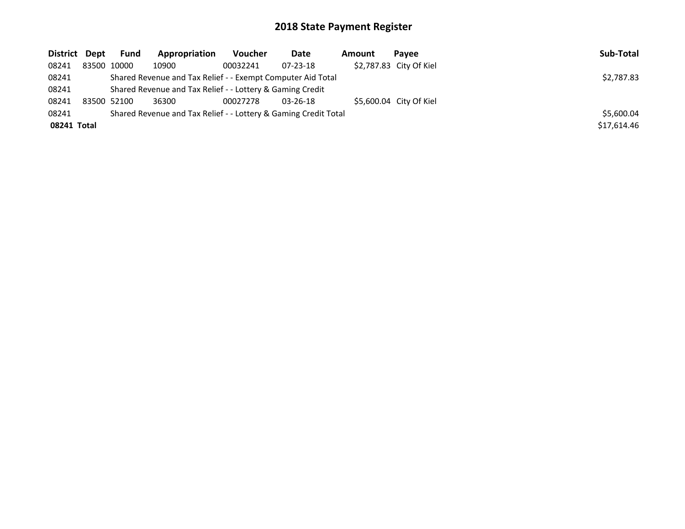| District Dept | Fund        | Appropriation                                                   | <b>Voucher</b> | Date           | Amount | Pavee                   | Sub-Total   |
|---------------|-------------|-----------------------------------------------------------------|----------------|----------------|--------|-------------------------|-------------|
| 08241         | 83500 10000 | 10900                                                           | 00032241       | $07 - 23 - 18$ |        | \$2,787.83 City Of Kiel |             |
| 08241         |             | Shared Revenue and Tax Relief - - Exempt Computer Aid Total     |                |                |        |                         | \$2,787.83  |
| 08241         |             | Shared Revenue and Tax Relief - - Lottery & Gaming Credit       |                |                |        |                         |             |
| 08241         | 83500 52100 | 36300                                                           | 00027278       | $03 - 26 - 18$ |        | \$5,600.04 City Of Kiel |             |
| 08241         |             | Shared Revenue and Tax Relief - - Lottery & Gaming Credit Total |                |                |        |                         | \$5,600.04  |
| 08241 Total   |             |                                                                 |                |                |        |                         | \$17,614.46 |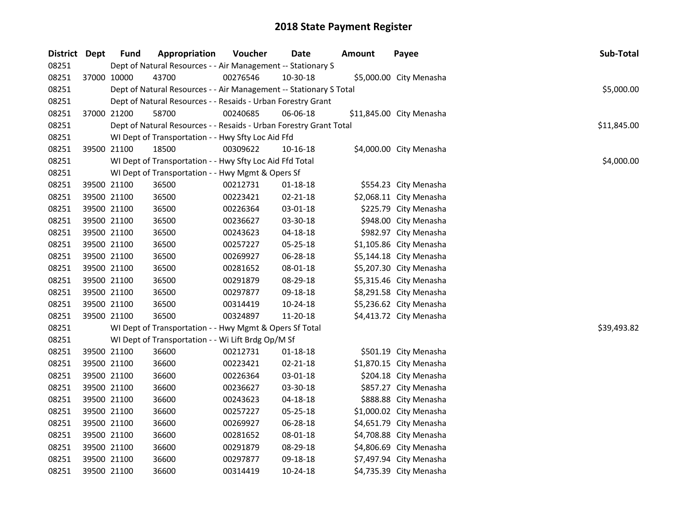| District Dept | <b>Fund</b> | Appropriation                                                      | Voucher  | <b>Date</b>    | <b>Amount</b> | Payee                    | Sub-Total   |
|---------------|-------------|--------------------------------------------------------------------|----------|----------------|---------------|--------------------------|-------------|
| 08251         |             | Dept of Natural Resources - - Air Management -- Stationary S       |          |                |               |                          |             |
| 08251         | 37000 10000 | 43700                                                              | 00276546 | 10-30-18       |               | \$5,000.00 City Menasha  |             |
| 08251         |             | Dept of Natural Resources - - Air Management -- Stationary S Total |          |                |               |                          | \$5,000.00  |
| 08251         |             | Dept of Natural Resources - - Resaids - Urban Forestry Grant       |          |                |               |                          |             |
| 08251         | 37000 21200 | 58700                                                              | 00240685 | 06-06-18       |               | \$11,845.00 City Menasha |             |
| 08251         |             | Dept of Natural Resources - - Resaids - Urban Forestry Grant Total |          |                |               |                          | \$11,845.00 |
| 08251         |             | WI Dept of Transportation - - Hwy Sfty Loc Aid Ffd                 |          |                |               |                          |             |
| 08251         | 39500 21100 | 18500                                                              | 00309622 | 10-16-18       |               | \$4,000.00 City Menasha  |             |
| 08251         |             | WI Dept of Transportation - - Hwy Sfty Loc Aid Ffd Total           |          |                |               |                          | \$4,000.00  |
| 08251         |             | WI Dept of Transportation - - Hwy Mgmt & Opers Sf                  |          |                |               |                          |             |
| 08251         | 39500 21100 | 36500                                                              | 00212731 | $01 - 18 - 18$ |               | \$554.23 City Menasha    |             |
| 08251         | 39500 21100 | 36500                                                              | 00223421 | $02 - 21 - 18$ |               | \$2,068.11 City Menasha  |             |
| 08251         | 39500 21100 | 36500                                                              | 00226364 | 03-01-18       |               | \$225.79 City Menasha    |             |
| 08251         | 39500 21100 | 36500                                                              | 00236627 | 03-30-18       |               | \$948.00 City Menasha    |             |
| 08251         | 39500 21100 | 36500                                                              | 00243623 | 04-18-18       |               | \$982.97 City Menasha    |             |
| 08251         | 39500 21100 | 36500                                                              | 00257227 | 05-25-18       |               | \$1,105.86 City Menasha  |             |
| 08251         | 39500 21100 | 36500                                                              | 00269927 | 06-28-18       |               | \$5,144.18 City Menasha  |             |
| 08251         | 39500 21100 | 36500                                                              | 00281652 | 08-01-18       |               | \$5,207.30 City Menasha  |             |
| 08251         | 39500 21100 | 36500                                                              | 00291879 | 08-29-18       |               | \$5,315.46 City Menasha  |             |
| 08251         | 39500 21100 | 36500                                                              | 00297877 | 09-18-18       |               | \$8,291.58 City Menasha  |             |
| 08251         | 39500 21100 | 36500                                                              | 00314419 | 10-24-18       |               | \$5,236.62 City Menasha  |             |
| 08251         | 39500 21100 | 36500                                                              | 00324897 | 11-20-18       |               | \$4,413.72 City Menasha  |             |
| 08251         |             | WI Dept of Transportation - - Hwy Mgmt & Opers Sf Total            |          |                |               |                          | \$39,493.82 |
| 08251         |             | WI Dept of Transportation - - Wi Lift Brdg Op/M Sf                 |          |                |               |                          |             |
| 08251         | 39500 21100 | 36600                                                              | 00212731 | $01 - 18 - 18$ |               | \$501.19 City Menasha    |             |
| 08251         | 39500 21100 | 36600                                                              | 00223421 | 02-21-18       |               | \$1,870.15 City Menasha  |             |
| 08251         | 39500 21100 | 36600                                                              | 00226364 | 03-01-18       |               | \$204.18 City Menasha    |             |
| 08251         | 39500 21100 | 36600                                                              | 00236627 | 03-30-18       |               | \$857.27 City Menasha    |             |
| 08251         | 39500 21100 | 36600                                                              | 00243623 | 04-18-18       |               | \$888.88 City Menasha    |             |
| 08251         | 39500 21100 | 36600                                                              | 00257227 | 05-25-18       |               | \$1,000.02 City Menasha  |             |
| 08251         | 39500 21100 | 36600                                                              | 00269927 | 06-28-18       |               | \$4,651.79 City Menasha  |             |
| 08251         | 39500 21100 | 36600                                                              | 00281652 | 08-01-18       |               | \$4,708.88 City Menasha  |             |
| 08251         | 39500 21100 | 36600                                                              | 00291879 | 08-29-18       |               | \$4,806.69 City Menasha  |             |
| 08251         | 39500 21100 | 36600                                                              | 00297877 | 09-18-18       |               | \$7,497.94 City Menasha  |             |
| 08251         | 39500 21100 | 36600                                                              | 00314419 | $10-24-18$     |               | \$4,735.39 City Menasha  |             |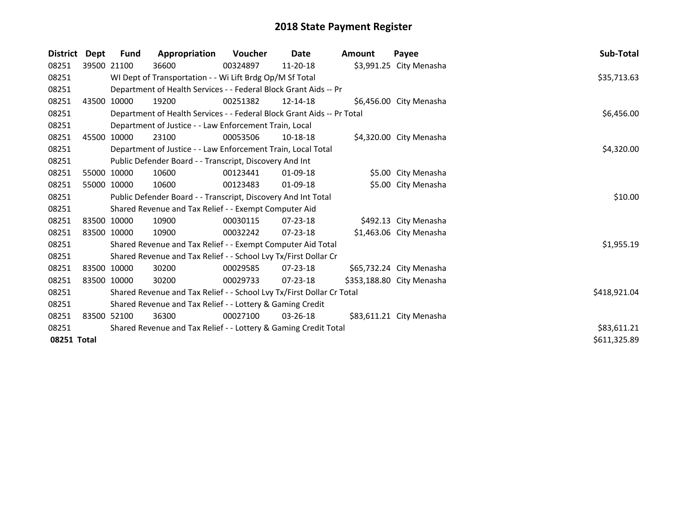| <b>District</b> | Dept  | Fund        | Appropriation                                                          | Voucher  | Date           | Amount | Payee                     | Sub-Total    |
|-----------------|-------|-------------|------------------------------------------------------------------------|----------|----------------|--------|---------------------------|--------------|
| 08251           |       | 39500 21100 | 36600                                                                  | 00324897 | 11-20-18       |        | \$3,991.25 City Menasha   |              |
| 08251           |       |             | WI Dept of Transportation - - Wi Lift Brdg Op/M Sf Total               |          |                |        |                           | \$35,713.63  |
| 08251           |       |             | Department of Health Services - - Federal Block Grant Aids -- Pr       |          |                |        |                           |              |
| 08251           | 43500 | 10000       | 19200                                                                  | 00251382 | 12-14-18       |        | \$6,456.00 City Menasha   |              |
| 08251           |       |             | Department of Health Services - - Federal Block Grant Aids -- Pr Total |          |                |        |                           | \$6,456.00   |
| 08251           |       |             | Department of Justice - - Law Enforcement Train, Local                 |          |                |        |                           |              |
| 08251           | 45500 | 10000       | 23100                                                                  | 00053506 | 10-18-18       |        | \$4,320.00 City Menasha   |              |
| 08251           |       |             | Department of Justice - - Law Enforcement Train, Local Total           |          |                |        |                           | \$4,320.00   |
| 08251           |       |             | Public Defender Board - - Transcript, Discovery And Int                |          |                |        |                           |              |
| 08251           |       | 55000 10000 | 10600                                                                  | 00123441 | $01 - 09 - 18$ |        | \$5.00 City Menasha       |              |
| 08251           | 55000 | 10000       | 10600                                                                  | 00123483 | $01 - 09 - 18$ |        | \$5.00 City Menasha       |              |
| 08251           |       |             | Public Defender Board - - Transcript, Discovery And Int Total          |          |                |        |                           | \$10.00      |
| 08251           |       |             | Shared Revenue and Tax Relief - - Exempt Computer Aid                  |          |                |        |                           |              |
| 08251           |       | 83500 10000 | 10900                                                                  | 00030115 | 07-23-18       |        | \$492.13 City Menasha     |              |
| 08251           |       | 83500 10000 | 10900                                                                  | 00032242 | $07 - 23 - 18$ |        | \$1,463.06 City Menasha   |              |
| 08251           |       |             | Shared Revenue and Tax Relief - - Exempt Computer Aid Total            |          |                |        |                           | \$1,955.19   |
| 08251           |       |             | Shared Revenue and Tax Relief - - School Lvy Tx/First Dollar Cr        |          |                |        |                           |              |
| 08251           |       | 83500 10000 | 30200                                                                  | 00029585 | $07 - 23 - 18$ |        | \$65,732.24 City Menasha  |              |
| 08251           |       | 83500 10000 | 30200                                                                  | 00029733 | 07-23-18       |        | \$353,188.80 City Menasha |              |
| 08251           |       |             | Shared Revenue and Tax Relief - - School Lvy Tx/First Dollar Cr Total  |          |                |        |                           | \$418,921.04 |
| 08251           |       |             | Shared Revenue and Tax Relief - - Lottery & Gaming Credit              |          |                |        |                           |              |
| 08251           |       | 83500 52100 | 36300                                                                  | 00027100 | $03 - 26 - 18$ |        | \$83,611.21 City Menasha  |              |
| 08251           |       |             | Shared Revenue and Tax Relief - - Lottery & Gaming Credit Total        |          |                |        |                           | \$83,611.21  |
| 08251 Total     |       |             |                                                                        |          |                |        |                           | \$611,325.89 |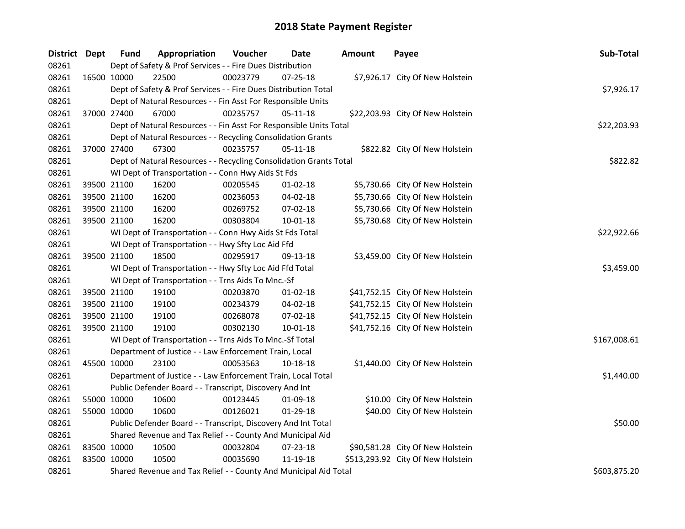| District Dept |             | <b>Fund</b> | Appropriation                                                      | Voucher  | Date           | <b>Amount</b> | Payee                             | Sub-Total    |
|---------------|-------------|-------------|--------------------------------------------------------------------|----------|----------------|---------------|-----------------------------------|--------------|
| 08261         |             |             | Dept of Safety & Prof Services - - Fire Dues Distribution          |          |                |               |                                   |              |
| 08261         |             | 16500 10000 | 22500                                                              | 00023779 | 07-25-18       |               | \$7,926.17 City Of New Holstein   |              |
| 08261         |             |             | Dept of Safety & Prof Services - - Fire Dues Distribution Total    |          |                |               |                                   | \$7,926.17   |
| 08261         |             |             | Dept of Natural Resources - - Fin Asst For Responsible Units       |          |                |               |                                   |              |
| 08261         |             | 37000 27400 | 67000                                                              | 00235757 | 05-11-18       |               | \$22,203.93 City Of New Holstein  |              |
| 08261         |             |             | Dept of Natural Resources - - Fin Asst For Responsible Units Total |          |                |               |                                   | \$22,203.93  |
| 08261         |             |             | Dept of Natural Resources - - Recycling Consolidation Grants       |          |                |               |                                   |              |
| 08261         |             | 37000 27400 | 67300                                                              | 00235757 | 05-11-18       |               | \$822.82 City Of New Holstein     |              |
| 08261         |             |             | Dept of Natural Resources - - Recycling Consolidation Grants Total |          |                |               |                                   | \$822.82     |
| 08261         |             |             | WI Dept of Transportation - - Conn Hwy Aids St Fds                 |          |                |               |                                   |              |
| 08261         |             | 39500 21100 | 16200                                                              | 00205545 | 01-02-18       |               | \$5,730.66 City Of New Holstein   |              |
| 08261         |             | 39500 21100 | 16200                                                              | 00236053 | 04-02-18       |               | \$5,730.66 City Of New Holstein   |              |
| 08261         |             | 39500 21100 | 16200                                                              | 00269752 | 07-02-18       |               | \$5,730.66 City Of New Holstein   |              |
| 08261         |             | 39500 21100 | 16200                                                              | 00303804 | 10-01-18       |               | \$5,730.68 City Of New Holstein   |              |
| 08261         |             |             | WI Dept of Transportation - - Conn Hwy Aids St Fds Total           |          |                |               |                                   | \$22,922.66  |
| 08261         |             |             | WI Dept of Transportation - - Hwy Sfty Loc Aid Ffd                 |          |                |               |                                   |              |
| 08261         |             | 39500 21100 | 18500                                                              | 00295917 | 09-13-18       |               | \$3,459.00 City Of New Holstein   |              |
| 08261         |             |             | WI Dept of Transportation - - Hwy Sfty Loc Aid Ffd Total           |          |                |               |                                   | \$3,459.00   |
| 08261         |             |             | WI Dept of Transportation - - Trns Aids To Mnc.-Sf                 |          |                |               |                                   |              |
| 08261         |             | 39500 21100 | 19100                                                              | 00203870 | 01-02-18       |               | \$41,752.15 City Of New Holstein  |              |
| 08261         | 39500 21100 |             | 19100                                                              | 00234379 | 04-02-18       |               | \$41,752.15 City Of New Holstein  |              |
| 08261         | 39500 21100 |             | 19100                                                              | 00268078 | 07-02-18       |               | \$41,752.15 City Of New Holstein  |              |
| 08261         |             | 39500 21100 | 19100                                                              | 00302130 | $10 - 01 - 18$ |               | \$41,752.16 City Of New Holstein  |              |
| 08261         |             |             | WI Dept of Transportation - - Trns Aids To Mnc.-Sf Total           |          |                |               |                                   | \$167,008.61 |
| 08261         |             |             | Department of Justice - - Law Enforcement Train, Local             |          |                |               |                                   |              |
| 08261         |             | 45500 10000 | 23100                                                              | 00053563 | 10-18-18       |               | \$1,440.00 City Of New Holstein   |              |
| 08261         |             |             | Department of Justice - - Law Enforcement Train, Local Total       |          |                |               |                                   | \$1,440.00   |
| 08261         |             |             | Public Defender Board - - Transcript, Discovery And Int            |          |                |               |                                   |              |
| 08261         | 55000 10000 |             | 10600                                                              | 00123445 | 01-09-18       |               | \$10.00 City Of New Holstein      |              |
| 08261         |             | 55000 10000 | 10600                                                              | 00126021 | 01-29-18       |               | \$40.00 City Of New Holstein      |              |
| 08261         |             |             | Public Defender Board - - Transcript, Discovery And Int Total      |          |                |               |                                   | \$50.00      |
| 08261         |             |             | Shared Revenue and Tax Relief - - County And Municipal Aid         |          |                |               |                                   |              |
| 08261         |             | 83500 10000 | 10500                                                              | 00032804 | 07-23-18       |               | \$90,581.28 City Of New Holstein  |              |
| 08261         | 83500 10000 |             | 10500                                                              | 00035690 | 11-19-18       |               | \$513,293.92 City Of New Holstein |              |
| 08261         |             |             | Shared Revenue and Tax Relief - - County And Municipal Aid Total   |          |                |               |                                   | \$603,875.20 |